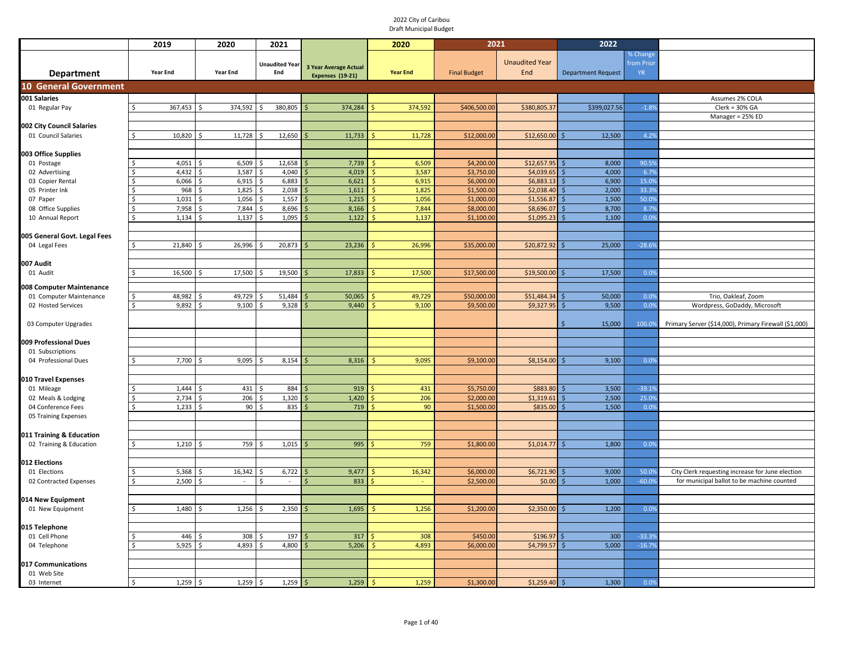|                                          | 2019              | 2020                 | 2021                  |                              | 2020                        | 2021                |                       | 2022                      |               |                                                       |
|------------------------------------------|-------------------|----------------------|-----------------------|------------------------------|-----------------------------|---------------------|-----------------------|---------------------------|---------------|-------------------------------------------------------|
|                                          |                   |                      |                       |                              |                             |                     |                       |                           | % Change      |                                                       |
|                                          |                   |                      | <b>Unaudited Year</b> | <b>3 Year Average Actual</b> |                             |                     | <b>Unaudited Year</b> |                           | from Prior    |                                                       |
| <b>Department</b>                        | <b>Year End</b>   | <b>Year End</b>      | End                   | Expenses (19-21)             | <b>Year End</b>             | <b>Final Budget</b> | End                   | <b>Department Request</b> | <b>YR</b>     |                                                       |
| <b>10 General Government</b>             |                   |                      |                       |                              |                             |                     |                       |                           |               |                                                       |
| 001 Salaries                             |                   |                      |                       |                              |                             |                     |                       |                           |               | Assumes 2% COLA                                       |
| 01 Regular Pay                           | S.<br>367,453     | 374,592<br>Ŝ.        | 380,805<br>Ŝ.         | 374,284                      |                             | \$406,500.00        | \$380,805.3           | \$399,027.56              | $-1.89$       | $Clerk = 30% GA$                                      |
|                                          |                   |                      |                       |                              | 374,592                     |                     |                       |                           |               | Manager = $25\%$ ED                                   |
| 002 City Council Salaries                |                   |                      |                       |                              |                             |                     |                       |                           |               |                                                       |
| 01 Council Salaries                      | $\zeta$<br>10,820 | 11,728               | 12,650                | 11,733                       | 11,728                      | \$12,000.00         | \$12,650.00           | 12,500                    | 4.29          |                                                       |
|                                          |                   |                      |                       |                              |                             |                     |                       |                           |               |                                                       |
| 003 Office Supplies                      |                   |                      |                       |                              |                             |                     |                       |                           |               |                                                       |
| 01 Postage                               | 4,051             | 6,509                | 12,658                | 7,739                        | <sup>5</sup><br>6,509       | \$4,200.00          | \$12,657.95           | 8,000                     | 90.5%         |                                                       |
| 02 Advertising                           | 4,432             | 3,587                | 4,040                 | 4,019                        | 3,587<br><sup>5</sup>       | \$3,750.00          | \$4,039.65            | 4,000<br>S.               | 6.79          |                                                       |
| 03 Copier Rental                         | 6,066             | 6,915                | 6,883                 | 6,621                        | <sup>5</sup><br>6,915       | \$6,000.00          | \$6,883.13            | 6,900<br>Ŝ.               | 15.09         |                                                       |
| 05 Printer Ink                           | 968               | 1,825                | 2,038<br>Ś            | 1,611                        | 1,825<br>$\mathsf{\hat{S}}$ | \$1,500.00          | \$2,038.40            | 2,000<br>Ŝ.               | 33.39         |                                                       |
| 07 Paper                                 | 1,031             | 1,056                | 1,557<br>\$           | 1,215<br>S,                  | 1,056<br>\$                 | \$1,000.00          | \$1,556.87            | 1,500<br>Ŝ.               | 50.09         |                                                       |
| 08 Office Supplies                       | 7,958             | 7,844                | 8,696                 | 8,166                        | 7,844                       | \$8,000.00          | \$8,696.07            | 8,700                     | 8.79          |                                                       |
| 10 Annual Report                         | 1,134             | 1,137                | 1,095                 | 1,122                        | 1,137                       | \$1,100.00          | \$1,095.23            | 1,100                     | 0.0%          |                                                       |
|                                          |                   |                      |                       |                              |                             |                     |                       |                           |               |                                                       |
| 005 General Govt. Legal Fees             |                   |                      |                       |                              |                             |                     |                       |                           |               |                                                       |
| 04 Legal Fees                            | \$<br>21,840      | 26,996               | 20,873                | 23,236                       | 26,996                      | \$35,000.00         | \$20,872.92           | 25,000                    | $-28.69$      |                                                       |
|                                          |                   |                      |                       |                              |                             |                     |                       |                           |               |                                                       |
| 007 Audit                                |                   |                      |                       |                              |                             |                     |                       |                           |               |                                                       |
| 01 Audit                                 | 16,500<br>Ŝ.      | 17,500               | 19,500<br>Ś           | 17,833                       | 17,500                      | \$17,500.0          | \$19,500.00           | 17,500                    | 0.09          |                                                       |
|                                          |                   |                      |                       |                              |                             |                     |                       |                           |               |                                                       |
| 008 Computer Maintenance                 |                   |                      |                       |                              |                             |                     |                       |                           |               |                                                       |
| 01 Computer Maintenance                  | 48,982            | 49,729               | 51,484                | 50,065                       | 49,729                      | \$50,000.0          | \$51,484.34           | 50,000                    | 0.09          | Trio, Oakleaf, Zoom                                   |
| 02 Hosted Services                       | $\zeta$<br>9,892  | 9,100                | 9,328                 | 9,440                        | 9,100                       | \$9,500.00          | \$9,327.95            | 9,500<br>Ś                | 0.0%          | Wordpress, GoDaddy, Microsoft                         |
|                                          |                   |                      |                       |                              |                             |                     |                       |                           |               |                                                       |
| 03 Computer Upgrades                     |                   |                      |                       |                              |                             |                     |                       | 15,000                    | 100.0%        | Primary Server (\$14,000), Primary Firewall (\$1,000) |
|                                          |                   |                      |                       |                              |                             |                     |                       |                           |               |                                                       |
| 009 Professional Dues                    |                   |                      |                       |                              |                             |                     |                       |                           |               |                                                       |
| 01 Subscriptions                         |                   | <sup>\$</sup>        |                       |                              |                             |                     |                       |                           |               |                                                       |
| 04 Professional Dues                     | 7,700             | 9,095                | 8,154                 | 8,316                        | 9,095                       | \$9,100.00          | \$8,154.00            | 9,100                     | 0.09          |                                                       |
|                                          |                   |                      |                       |                              |                             |                     |                       |                           |               |                                                       |
| 010 Travel Expenses                      |                   |                      |                       |                              |                             |                     |                       |                           |               |                                                       |
| 01 Mileage                               | 1,444             | 431                  | 884                   | 919                          | 431                         | \$5,750.00          | \$883.80              | 3,500                     | $-39.19$      |                                                       |
| 02 Meals & Lodging<br>04 Conference Fees | 2,734<br>1,233    | 206<br>90            | 1,320                 | 1,420<br>719                 | 206<br>90                   | \$2,000.00          | \$1,319.61            | 2,500<br>1,500            | 25.09<br>0.0% |                                                       |
|                                          |                   |                      | 835                   |                              |                             | \$1,500.0           | \$835.00              |                           |               |                                                       |
| 05 Training Expenses                     |                   |                      |                       |                              |                             |                     |                       |                           |               |                                                       |
|                                          |                   |                      |                       |                              |                             |                     |                       |                           |               |                                                       |
| 011 Training & Education                 | \$<br>1,210       | 759<br><sup>\$</sup> | 1,015<br>Ś            | 995                          | 759                         | \$1,800.00          | \$1,014.77            | 1,800                     | 0.09          |                                                       |
| 02 Training & Education                  |                   |                      |                       |                              |                             |                     |                       |                           |               |                                                       |
| 012 Elections                            |                   |                      |                       |                              |                             |                     |                       |                           |               |                                                       |
| 01 Elections                             | 5,368             | 16,342               | 6,722<br>Ŝ.           | 9,477                        | 16,342                      | \$6,000.00          | \$6,721.90            | 9,000                     | 50.09         | City Clerk requesting increase for June election      |
| 02 Contracted Expenses                   | 2,500<br>Ś        |                      | Ś<br>$\omega$         | 833                          |                             | \$2,500.00          | \$0.00                | 1,000                     | $-60.09$      | for municipal ballot to be machine counted            |
|                                          |                   |                      |                       |                              |                             |                     |                       |                           |               |                                                       |
| 014 New Equipment                        |                   |                      |                       |                              |                             |                     |                       |                           |               |                                                       |
| 01 New Equipment                         | 1,480             | 1,256<br>Ŝ.          | 2,350<br>Ś.           | 1,695                        | 1,256<br><sup>5</sup>       | \$1,200.00          | \$2,350.00            | 1,200<br>.S               | 0.09          |                                                       |
|                                          |                   |                      |                       |                              |                             |                     |                       |                           |               |                                                       |
| 015 Telephone                            |                   |                      |                       |                              |                             |                     |                       |                           |               |                                                       |
| 01 Cell Phone                            | 446               | 308                  | 197                   | 317                          | 308                         | \$450.00            | \$196.97              | 300                       | $-33.39$      |                                                       |
| 04 Telephone                             | 5.925<br>Š.       | 4.893                | Ŝ.<br>4.800           | 5,206                        | 4,893<br>S.                 | \$6,000.00          | \$4,799.57            | 5.000                     | $-16.79$      |                                                       |
|                                          |                   |                      |                       |                              |                             |                     |                       |                           |               |                                                       |
| 017 Communications                       |                   |                      |                       |                              |                             |                     |                       |                           |               |                                                       |
| 01 Web Site                              |                   |                      |                       |                              |                             |                     |                       |                           |               |                                                       |
| 03 Internet                              | 1,259<br>Ŝ.       | 1,259<br>-Ŝ          | $1,259$ \$<br>Ŝ.      | 1,259                        | S.<br>1,259                 | \$1,300.00          | $$1,259.40$ \$        | 1,300                     | 0.0%          |                                                       |
|                                          |                   |                      |                       |                              |                             |                     |                       |                           |               |                                                       |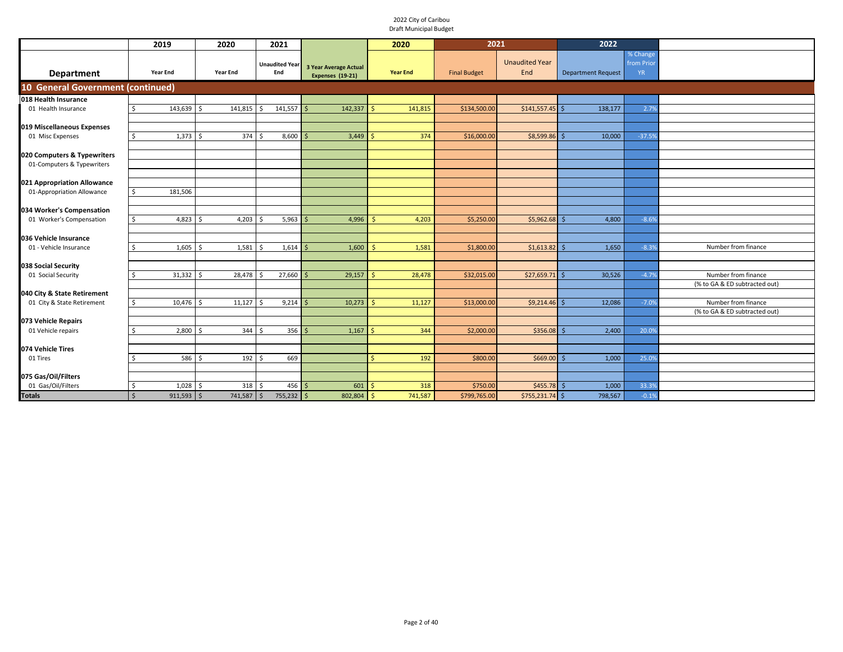|                                   | 2019                         | 2020               | 2021                         |                                                  | 2020             | 2021                |                              | 2022                      |                                     |                                                      |
|-----------------------------------|------------------------------|--------------------|------------------------------|--------------------------------------------------|------------------|---------------------|------------------------------|---------------------------|-------------------------------------|------------------------------------------------------|
| Department                        | Year End                     | <b>Year End</b>    | <b>Unaudited Year</b><br>End | 3 Year Average Actual<br><b>Expenses (19-21)</b> | <b>Year End</b>  | <b>Final Budget</b> | <b>Unaudited Year</b><br>End | <b>Department Request</b> | % Change<br>from Prior<br><b>YR</b> |                                                      |
| 10 General Government (continued) |                              |                    |                              |                                                  |                  |                     |                              |                           |                                     |                                                      |
| 018 Health Insurance              |                              |                    |                              |                                                  |                  |                     |                              |                           |                                     |                                                      |
| 01 Health Insurance               | 143,639                      | $\zeta$<br>141,815 | 141,557<br>Ŝ.                | 142,337                                          | 141,815          | \$134,500.00        | $$141,557.45$ \$             | 138,177                   | 2.79                                |                                                      |
|                                   |                              |                    |                              |                                                  |                  |                     |                              |                           |                                     |                                                      |
| 019 Miscellaneous Expenses        |                              |                    |                              |                                                  |                  |                     |                              |                           |                                     |                                                      |
| 01 Misc Expenses                  | $1,373$ \$                   | 374                | 8,600<br>- \$                | 3,449                                            | 374              | \$16,000.00         | $$8,599.86$ \$               | 10,000                    | $-37.59$                            |                                                      |
| 020 Computers & Typewriters       |                              |                    |                              |                                                  |                  |                     |                              |                           |                                     |                                                      |
| 01-Computers & Typewriters        |                              |                    |                              |                                                  |                  |                     |                              |                           |                                     |                                                      |
|                                   |                              |                    |                              |                                                  |                  |                     |                              |                           |                                     |                                                      |
| 021 Appropriation Allowance       |                              |                    |                              |                                                  |                  |                     |                              |                           |                                     |                                                      |
| 01-Appropriation Allowance        | 181,506<br>Ŝ.                |                    |                              |                                                  |                  |                     |                              |                           |                                     |                                                      |
|                                   |                              |                    |                              |                                                  |                  |                     |                              |                           |                                     |                                                      |
| 034 Worker's Compensation         |                              |                    |                              |                                                  |                  |                     |                              |                           |                                     |                                                      |
| 01 Worker's Compensation          | $4,823$ \$<br>Ŝ.             | 4,203              | 5,963<br>S.                  | 4,996                                            | 4,203<br>$\prec$ | \$5,250.00          | \$5,962.68                   | 4,800                     | $-8.6%$                             |                                                      |
| 036 Vehicle Insurance             |                              |                    |                              |                                                  |                  |                     |                              |                           |                                     |                                                      |
| 01 - Vehicle Insurance            | 1,605                        | 1,581<br>-Ś        | 1,614<br>Ŝ.                  | 1,600                                            | 1,581<br>-Ś.     | \$1,800.00          | $$1,613.82$ \$               | 1,650                     | $-8.39$                             | Number from finance                                  |
|                                   |                              |                    |                              |                                                  |                  |                     |                              |                           |                                     |                                                      |
| 038 Social Security               |                              |                    |                              |                                                  |                  |                     |                              |                           |                                     |                                                      |
| 01 Social Security                | $31,332$ \$<br>Ŝ.            | 28,478             | 27,660<br>Ŝ.                 | 29,157                                           | 28,478<br>-Ś     | \$32,015.00         | $$27,659.71$ \$              | 30,526                    | $-4.7%$                             | Number from finance                                  |
|                                   |                              |                    |                              |                                                  |                  |                     |                              |                           |                                     | (% to GA & ED subtracted out)                        |
| 040 City & State Retirement       |                              |                    |                              |                                                  |                  |                     |                              |                           |                                     |                                                      |
| 01 City & State Retirement        | 10,476 \$<br>Ŝ.              | 11,127             | 9,214<br>Ŝ.                  | 10,273                                           | 11,127<br>╰      | \$13,000.00         | \$9,214.46                   | 12,086<br>.S              | $-7.0%$                             | Number from finance<br>(% to GA & ED subtracted out) |
| 073 Vehicle Repairs               |                              |                    |                              |                                                  |                  |                     |                              |                           |                                     |                                                      |
| 01 Vehicle repairs                | 2,800                        | 344                | 356                          | 1,167                                            | 344              | \$2,000.00          | \$356.08                     | 2,400                     | 20.09                               |                                                      |
|                                   |                              |                    |                              |                                                  |                  |                     |                              |                           |                                     |                                                      |
| 074 Vehicle Tires                 |                              |                    |                              |                                                  |                  |                     |                              |                           |                                     |                                                      |
| 01 Tires                          | 586 \$<br>≺                  | 192                | 669<br>Ŝ.                    |                                                  | 192<br>$\leq$    | \$800.00            | \$669.00                     | 1,000<br>S,               | 25.0%                               |                                                      |
|                                   |                              |                    |                              |                                                  |                  |                     |                              |                           |                                     |                                                      |
| 075 Gas/Oil/Filters               |                              |                    |                              |                                                  |                  |                     |                              |                           |                                     |                                                      |
| 01 Gas/Oil/Filters                | 1,028<br>Ŝ.                  | 318                | $456$ \$<br>Ŝ.               | 601                                              | 318              | \$750.00            | \$455.78                     | 1,000                     | 33.39                               |                                                      |
| Totals                            | $\mathsf{S}$<br>$911,593$ \$ | 741,587            | \$<br>$755,232$ \$           | 802,804                                          | 741,587<br>Ŝ.    | \$799,765.00        | $$755,231.74$ \$             | 798,567                   | $-0.1%$                             |                                                      |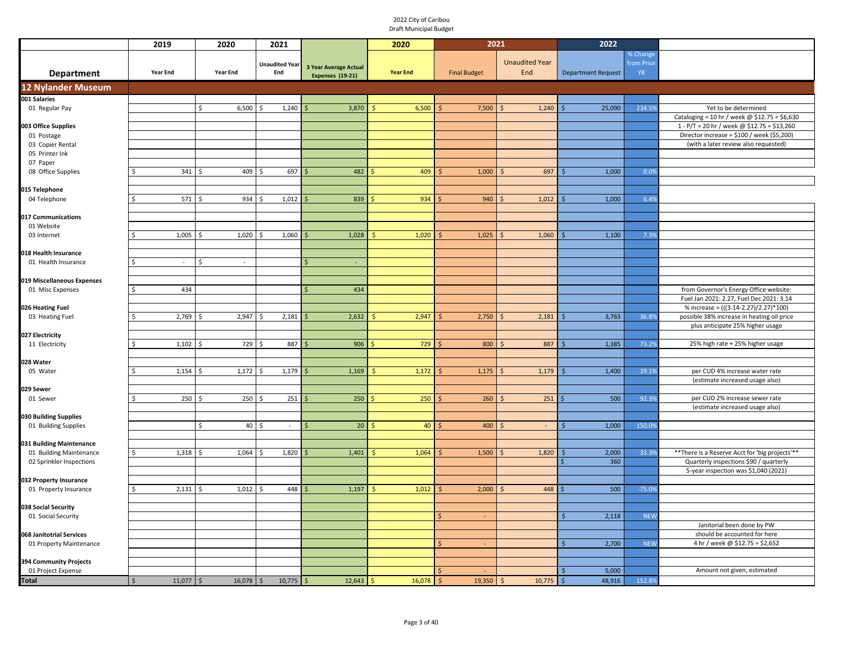|                                                | 2019              | 2020            | 2021                                   |                                           | 2020            | 2021                |                              | 2022                      |                                     |                                                                                    |
|------------------------------------------------|-------------------|-----------------|----------------------------------------|-------------------------------------------|-----------------|---------------------|------------------------------|---------------------------|-------------------------------------|------------------------------------------------------------------------------------|
| <b>Department</b>                              | <b>Year End</b>   | <b>Year End</b> | <b>Unaudited Year</b><br>End           | 3 Year Average Actual<br>Expenses (19-21) | <b>Year End</b> | <b>Final Budget</b> | <b>Unaudited Year</b><br>End | <b>Department Request</b> | % Change<br>from Prior<br><b>YR</b> |                                                                                    |
| <b>12 Nylander Museum</b>                      |                   |                 |                                        |                                           |                 |                     |                              |                           |                                     |                                                                                    |
| 001 Salaries                                   |                   |                 |                                        |                                           |                 |                     |                              |                           |                                     |                                                                                    |
| 01 Regular Pay                                 |                   | 6,500<br>\$     | 1,240<br>ς                             | 3,870                                     | 6,500<br>-\$    | 7,500               | 1,240                        | 25,090                    | 234.5%                              | Yet to be determined                                                               |
|                                                |                   |                 |                                        |                                           |                 |                     |                              |                           |                                     | Cataloging = 10 hr / week @ \$12.75 = \$6,630                                      |
| 003 Office Supplies                            |                   |                 |                                        |                                           |                 |                     |                              |                           |                                     | 1 - P/T = 20 hr / week @ \$12.75 = \$13,260                                        |
| 01 Postage<br>03 Copier Rental                 |                   |                 |                                        |                                           |                 |                     |                              |                           |                                     | Director increase = \$100 / week (\$5,200)<br>(with a later review also requested) |
| 05 Printer Ink                                 |                   |                 |                                        |                                           |                 |                     |                              |                           |                                     |                                                                                    |
| 07 Paper                                       |                   |                 |                                        |                                           |                 |                     |                              |                           |                                     |                                                                                    |
| 08 Office Supplies                             | 341               | 409<br>Ś        | 697                                    | 482                                       | 409             | 1,000               | 697                          | 1,000                     | 0.0%                                |                                                                                    |
|                                                |                   |                 |                                        |                                           |                 |                     |                              |                           |                                     |                                                                                    |
| 015 Telephone                                  |                   |                 |                                        |                                           |                 |                     |                              |                           |                                     |                                                                                    |
| 04 Telephone                                   | 571               | 934<br>Ś        | 1,012<br>ς                             | 839                                       | 934             | 940                 | 1,012                        | 1,000                     | 6.4%                                |                                                                                    |
|                                                |                   |                 |                                        |                                           |                 |                     |                              |                           |                                     |                                                                                    |
| 017 Communications                             |                   |                 |                                        |                                           |                 |                     |                              |                           |                                     |                                                                                    |
| 01 Website                                     |                   |                 |                                        |                                           |                 |                     |                              |                           |                                     |                                                                                    |
| 03 Internet                                    | 1,005             | 1,020<br>Ś      | 1,060                                  | 1,028                                     | 1,020           | 1,025               | 1,060                        | 1,100                     | 7.3%                                |                                                                                    |
|                                                |                   |                 |                                        |                                           |                 |                     |                              |                           |                                     |                                                                                    |
| 018 Health Insurance                           |                   |                 |                                        |                                           |                 |                     |                              |                           |                                     |                                                                                    |
| 01 Health Insurance                            |                   | Ś               |                                        |                                           |                 |                     |                              |                           |                                     |                                                                                    |
|                                                |                   |                 |                                        |                                           |                 |                     |                              |                           |                                     |                                                                                    |
| 019 Miscellaneous Expenses<br>01 Misc Expenses | 434               |                 |                                        | 434                                       |                 |                     |                              |                           |                                     | from Governor's Energy Office website:                                             |
|                                                |                   |                 |                                        |                                           |                 |                     |                              |                           |                                     | Fuel Jan 2021: 2.27, Fuel Dec 2021: 3.14                                           |
| 026 Heating Fuel                               |                   |                 |                                        |                                           |                 |                     |                              |                           |                                     | % increase = (((3.14-2.27)/2.27)*100)                                              |
| 03 Heating Fuel                                | 2,769             | 2,947<br>ς      | 2,181                                  | 2,632                                     | 2,947<br>- <    | 2,750               | 2,181                        | 3,763                     | 36.8%                               | possible 38% increase in heating oil price                                         |
|                                                |                   |                 |                                        |                                           |                 |                     |                              |                           |                                     | plus anticipate 25% higher usage                                                   |
| 027 Electricity                                |                   |                 |                                        |                                           |                 |                     |                              |                           |                                     |                                                                                    |
| 11 Electricity                                 | 1,102             | 729<br>Ś        | 887<br>ς.                              | 906<br>ς                                  | 729             | 800                 | 887                          | 1,385                     | 73.2%                               | 25% high rate + 25% higher usage                                                   |
|                                                |                   |                 |                                        |                                           |                 |                     |                              |                           |                                     |                                                                                    |
| 028 Water                                      |                   |                 |                                        |                                           |                 |                     |                              |                           |                                     |                                                                                    |
| 05 Water                                       | 1,154             | 1,172<br>Ś      | 1,179                                  | 1,169                                     | 1,172           | 1,175               | 1,179                        | 1,400                     | 19.1%                               | per CUD 4% increase water rate                                                     |
|                                                |                   |                 |                                        |                                           |                 |                     |                              |                           |                                     | (estimate increased usage also)                                                    |
| 029 Sewer                                      |                   |                 |                                        |                                           |                 |                     |                              |                           |                                     |                                                                                    |
| 01 Sewer                                       | 250               | 250             | 251                                    | 250                                       | 250             | 260                 | 251                          | 500                       | 92.39                               | per CUD 2% increase sewer rate                                                     |
|                                                |                   |                 |                                        |                                           |                 |                     |                              |                           |                                     | (estimate increased usage also)                                                    |
| 030 Building Supplies<br>01 Building Supplies  |                   | Ś<br>40         | ¢<br>$\sim$                            | 20 <sup>°</sup>                           | 40              | 400                 | $\sim$                       | 1,000                     | 150.09                              |                                                                                    |
|                                                |                   |                 |                                        |                                           |                 |                     |                              |                           |                                     |                                                                                    |
| 031 Building Maintenance                       |                   |                 |                                        |                                           |                 |                     |                              |                           |                                     |                                                                                    |
| 01 Building Maintenance                        | 1,318             | 1,064<br>Ś      | 1,820<br>ς                             | 1,401                                     | 1,064<br>- <    | 1,500               | 1,820                        | 2,000                     | 33.3%                               | ** There is a Reserve Acct for 'big projects'**                                    |
| 02 Sprinkler Inspections                       |                   |                 |                                        |                                           |                 |                     |                              | 360                       |                                     | Quarterly inspections \$90 / quarterly                                             |
|                                                |                   |                 |                                        |                                           |                 |                     |                              |                           |                                     | 5-year inspection was \$1,040 (2021)                                               |
| 032 Property Insurance                         |                   |                 |                                        |                                           |                 |                     |                              |                           |                                     |                                                                                    |
| 01 Property Insurance                          | 2,131             | 1,012<br>Ś      | 448                                    | 1,197                                     | 1,012<br>-Ś     | 2,000               | 448                          | 500                       | $-75.09$                            |                                                                                    |
|                                                |                   |                 |                                        |                                           |                 |                     |                              |                           |                                     |                                                                                    |
| 038 Social Security                            |                   |                 |                                        |                                           |                 |                     |                              |                           |                                     |                                                                                    |
| 01 Social Security                             |                   |                 |                                        |                                           |                 | $\omega$            |                              | 2,118<br><sup>5</sup>     | <b>NEW</b>                          |                                                                                    |
|                                                |                   |                 |                                        |                                           |                 |                     |                              |                           |                                     | Janitorial been done by PW                                                         |
| 068 Janitotrial Services                       |                   |                 |                                        |                                           |                 |                     |                              |                           |                                     | should be accounted for here                                                       |
| 01 Property Maintenance                        |                   |                 |                                        |                                           |                 | $\sim$              |                              | 2,700<br>Ŝ.               | <b>NEW</b>                          | 4 hr / week @ \$12.75 = \$2,652                                                    |
|                                                |                   |                 |                                        |                                           |                 |                     |                              |                           |                                     |                                                                                    |
| 394 Community Projects<br>01 Project Expense   |                   |                 |                                        |                                           |                 |                     |                              | 5,000                     |                                     | Amount not given, estimated                                                        |
| <b>Total</b>                                   | $11,077$ \$<br>\$ | 16,078          | $10,775$ \$<br>$\overline{\mathsf{S}}$ | 12,643                                    | -\$<br>16,078   | 19,350<br><b>S</b>  | 10,775<br>$\leq$             | 48,916                    | 152.8%                              |                                                                                    |
|                                                |                   |                 |                                        |                                           |                 |                     |                              | $\ddot{\varsigma}$        |                                     |                                                                                    |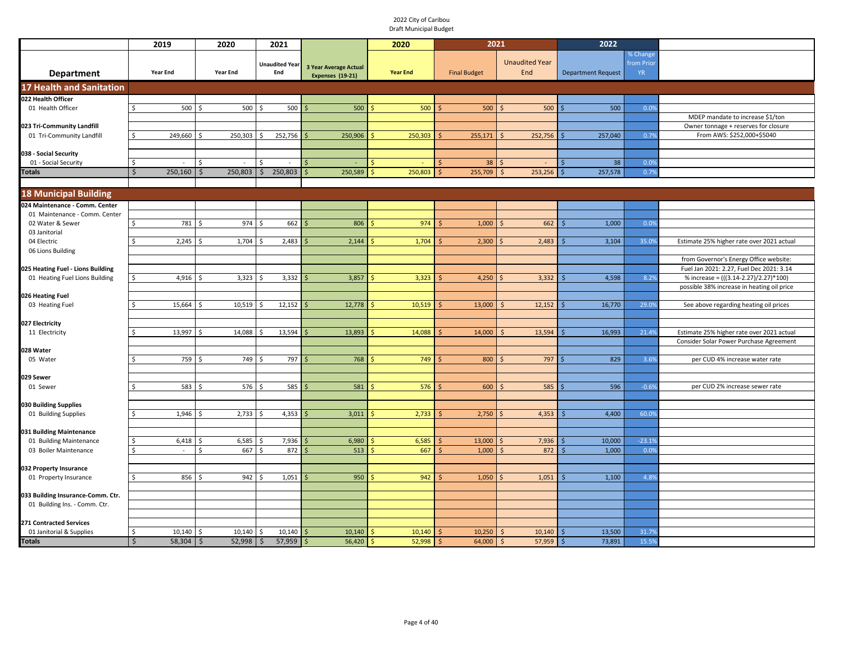|                                                                    | 2019                          | 2020                 | 2021                           |                                                         | 2020                   | 2021                           |                              | 2022                         |                                     |                                            |
|--------------------------------------------------------------------|-------------------------------|----------------------|--------------------------------|---------------------------------------------------------|------------------------|--------------------------------|------------------------------|------------------------------|-------------------------------------|--------------------------------------------|
| <b>Department</b>                                                  | <b>Year End</b>               | <b>Year End</b>      | <b>Unaudited Year</b><br>End   | <b>3 Year Average Actual</b><br><b>Expenses (19-21)</b> | <b>Year End</b>        | <b>Final Budget</b>            | <b>Unaudited Year</b><br>End | <b>Department Request</b>    | % Change<br>from Prior<br><b>YR</b> |                                            |
| <b>17 Health and Sanitation</b>                                    |                               |                      |                                |                                                         |                        |                                |                              |                              |                                     |                                            |
| 022 Health Officer                                                 |                               |                      |                                |                                                         |                        |                                |                              |                              |                                     |                                            |
| 01 Health Officer                                                  | \$<br>500                     | 500<br>$\hat{\zeta}$ | 500                            | 500                                                     | 500                    | 500                            | 500                          | 500                          | 0.0%                                | MDEP mandate to increase \$1/ton           |
| 023 Tri-Community Landfill                                         |                               |                      |                                |                                                         |                        |                                |                              |                              |                                     | Owner tonnage + reserves for closure       |
| 01 Tri-Community Landfill                                          | 249,660                       | 250,303              | 252,756                        | 250,906                                                 | 250,303                | 255,171                        | 252,756                      | 257,040                      | 0.79                                | From AWS: \$252,000+\$5040                 |
|                                                                    |                               |                      |                                |                                                         |                        |                                |                              |                              |                                     |                                            |
| 038 - Social Security                                              |                               |                      |                                |                                                         |                        |                                |                              |                              |                                     |                                            |
| 01 - Social Security<br><b>Fotals</b>                              | Ŝ.<br>$\sim$<br>250,160<br>\$ | \$.<br>250,803<br>Ŝ. | 250,803<br>$\ddot{\mathsf{S}}$ | 250,589                                                 | 250,803<br>Ś           | 38<br>255,709<br><sup>\$</sup> | S<br>253,256<br><sub>S</sub> | 38<br>257,578<br>Ś           | 0.0%<br>0.7%                        |                                            |
|                                                                    |                               |                      |                                |                                                         |                        |                                |                              |                              |                                     |                                            |
| <b>18 Municipal Building</b>                                       |                               |                      |                                |                                                         |                        |                                |                              |                              |                                     |                                            |
| 024 Maintenance - Comm. Center                                     |                               |                      |                                |                                                         |                        |                                |                              |                              |                                     |                                            |
| 01 Maintenance - Comm. Center                                      |                               |                      |                                |                                                         |                        |                                |                              |                              |                                     |                                            |
| 02 Water & Sewer                                                   | $\mathsf{S}$<br>781           | 974<br>$\zeta$       | 662                            | 806                                                     | 974                    | 1,000                          | 662                          | 1,000                        | 0.0%                                |                                            |
| 03 Janitorial                                                      |                               |                      |                                |                                                         |                        |                                |                              |                              |                                     |                                            |
| 04 Electric<br>06 Lions Building                                   | 2,245                         | 1,704<br>Ŝ.          | 2,483                          | 2,144                                                   | 1,704                  | 2,300                          | 2,483                        | 3,104                        | 35.09                               | Estimate 25% higher rate over 2021 actual  |
|                                                                    |                               |                      |                                |                                                         |                        |                                |                              |                              |                                     | from Governor's Energy Office website:     |
| 025 Heating Fuel - Lions Building                                  |                               |                      |                                |                                                         |                        |                                |                              |                              |                                     | Fuel Jan 2021: 2.27, Fuel Dec 2021: 3.14   |
| 01 Heating Fuel Lions Building                                     | \$<br>4,916                   | 3,323<br>Ŝ.          | 3,332                          | 3,857                                                   | 3,323                  | 4,250<br>Ŝ                     | 3,332                        | 4,598                        | 8.2%                                | % increase = (((3.14-2.27)/2.27)*100)      |
|                                                                    |                               |                      |                                |                                                         |                        |                                |                              |                              |                                     | possible 38% increase in heating oil price |
| 026 Heating Fuel<br>03 Heating Fuel                                | 15,664                        | 10,519               | 12,152                         | 12,778                                                  | 10,519                 | 13,000                         | 12,152                       | 16,770                       | 29.0%                               | See above regarding heating oil prices     |
|                                                                    |                               |                      |                                |                                                         |                        |                                |                              |                              |                                     |                                            |
| 027 Electricity                                                    |                               |                      |                                |                                                         |                        |                                |                              |                              |                                     |                                            |
| 11 Electricity                                                     | 13,997                        | 14,088               | 13,594                         | 13,893                                                  | 14,088                 | 14,000                         | 13,594                       | 16,993                       | 21.49                               | Estimate 25% higher rate over 2021 actual  |
| 028 Water                                                          |                               |                      |                                |                                                         |                        |                                |                              |                              |                                     | Consider Solar Power Purchase Agreement    |
| 05 Water                                                           | 759                           | 749                  | 797                            | 768                                                     | 749                    | 800                            | 797                          | 829                          | 3.6%                                | per CUD 4% increase water rate             |
|                                                                    |                               |                      |                                |                                                         |                        |                                |                              |                              |                                     |                                            |
| 029 Sewer                                                          |                               |                      |                                |                                                         |                        |                                |                              |                              |                                     |                                            |
| 01 Sewer                                                           | 583                           | 576                  | 585                            | 581                                                     | 576                    | 600                            | 585                          | 596                          | $-0.69$                             | per CUD 2% increase sewer rate             |
| 030 Building Supplies                                              |                               |                      |                                |                                                         |                        |                                |                              |                              |                                     |                                            |
| 01 Building Supplies                                               | 1,946                         | 2,733                | 4,353                          | 3,011                                                   | 2,733                  | 2,750                          | 4,353                        | 4,400                        | 60.09                               |                                            |
|                                                                    |                               |                      |                                |                                                         |                        |                                |                              |                              |                                     |                                            |
| 031 Building Maintenance                                           |                               |                      |                                |                                                         |                        |                                |                              |                              |                                     |                                            |
| 01 Building Maintenance<br>03 Boiler Maintenance                   | 6,418<br>Ŝ.<br>$\sim$         | 6,585<br>Ŝ.<br>667   | 7,936<br>872<br>Š.             | 6,980<br>513                                            | 6,585<br>667<br>S.     | 13,000<br>1,000<br>$\zeta$     | 7,936<br>872                 | 10,000<br>1,000              | $-23.19$<br>0.0%                    |                                            |
|                                                                    |                               |                      |                                |                                                         |                        |                                |                              |                              |                                     |                                            |
| 032 Property Insurance                                             |                               |                      |                                |                                                         |                        |                                |                              |                              |                                     |                                            |
| 01 Property Insurance                                              | 856<br>Ŝ.                     | 942<br>Ŝ.            | 1,051                          | 950                                                     | 942                    | 1,050                          | 1,051                        | 1,100                        | 4.8%                                |                                            |
|                                                                    |                               |                      |                                |                                                         |                        |                                |                              |                              |                                     |                                            |
| 033 Building Insurance-Comm. Ctr.<br>01 Building Ins. - Comm. Ctr. |                               |                      |                                |                                                         |                        |                                |                              |                              |                                     |                                            |
|                                                                    |                               |                      |                                |                                                         |                        |                                |                              |                              |                                     |                                            |
| <b>271 Contracted Services</b>                                     |                               |                      |                                |                                                         |                        |                                |                              |                              |                                     |                                            |
| 01 Janitorial & Supplies                                           | Ŝ.<br>10,140                  | 10,140<br>Ŝ          | 10,140                         | 10,140                                                  | 10,140                 | 10,250                         | 10,140<br>ς                  | 13,500                       | 31.79                               |                                            |
| Totals                                                             | $\mathsf{S}$<br>58,304        | $\zeta$<br>52,998    | $\zeta$<br>$57,959$ \$         | 56,420                                                  | 52,998<br><sub>S</sub> | 64,000<br>Ś                    | 57,959<br><sub>S</sub>       | 73,891<br>$\mathsf{\hat{S}}$ | 15.5%                               |                                            |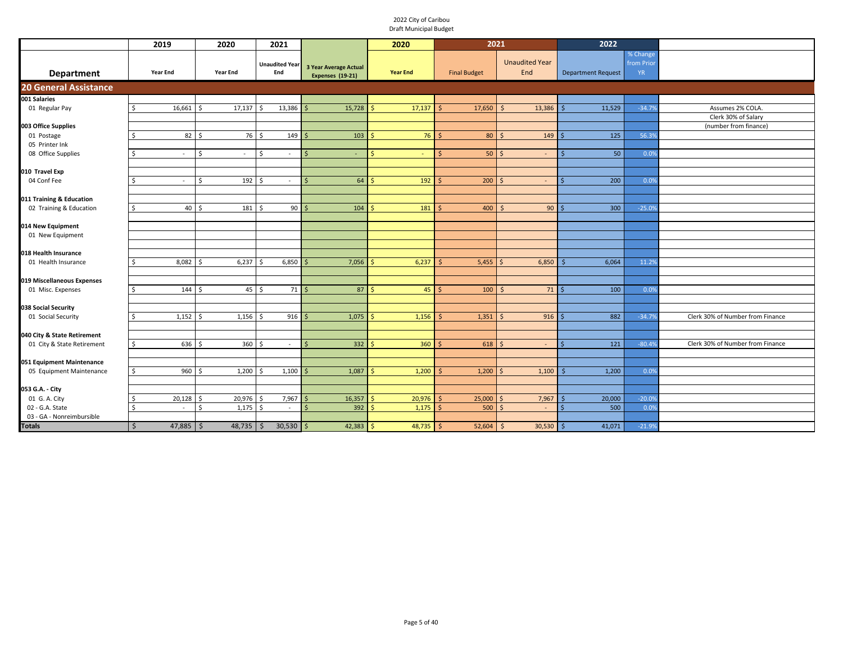|                                                 | 2019                                   | 2020                           | 2021                         |                                                         | 2020            | 2021                              |                              | 2022                      |                                     |                                  |
|-------------------------------------------------|----------------------------------------|--------------------------------|------------------------------|---------------------------------------------------------|-----------------|-----------------------------------|------------------------------|---------------------------|-------------------------------------|----------------------------------|
| <b>Department</b>                               | <b>Year End</b>                        | <b>Year End</b>                | <b>Unaudited Year</b><br>End | <b>3 Year Average Actual</b><br><b>Expenses (19-21)</b> | <b>Year End</b> | <b>Final Budget</b>               | <b>Unaudited Year</b><br>End | <b>Department Request</b> | % Change<br>from Prior<br><b>YR</b> |                                  |
| <b>20 General Assistance</b>                    |                                        |                                |                              |                                                         |                 |                                   |                              |                           |                                     |                                  |
| 001 Salaries                                    |                                        |                                |                              |                                                         |                 |                                   |                              |                           |                                     |                                  |
| 01 Regular Pay                                  | 16,661<br>l \$                         | 17,137<br>l s                  | 13,386<br>Ŝ.                 | 15,728<br>$\zeta$                                       | 17,137          | 17,650                            | 13,386<br>$\zeta$            | 11,529                    | $-34.7%$                            | Assumes 2% COLA.                 |
|                                                 |                                        |                                |                              |                                                         |                 |                                   |                              |                           |                                     | Clerk 30% of Salary              |
| 003 Office Supplies                             | $82 \quad$                             | 76 \$                          | 149                          | $103$ \$                                                | 76              |                                   |                              | $\overline{125}$          | 56.3%                               | (number from finance)            |
| 01 Postage<br>05 Printer Ink                    |                                        |                                |                              |                                                         |                 | $80$ \ \$                         | 149                          |                           |                                     |                                  |
| 08 Office Supplies                              | l \$<br>$\sim$                         | \$<br>$\sim$                   | Ś<br>$\sim$                  | $\dot{\mathsf{S}}$                                      |                 | $50$ \$<br>Ŝ                      | $\omega$                     | 50<br>-Ś                  | 0.0%                                |                                  |
|                                                 |                                        |                                |                              |                                                         |                 |                                   |                              |                           |                                     |                                  |
| 010 Travel Exp                                  |                                        |                                |                              |                                                         |                 |                                   |                              |                           |                                     |                                  |
| 04 Conf Fee                                     | l \$<br>$\sim$                         | $\mathsf{S}$<br>192            | $\sim$                       | $64 \overline{\smash{\big)}\,}$<br>$\zeta$              | 192             | $200 \, \text{S}$                 | $\sim$                       | 200                       | 0.0%                                |                                  |
|                                                 |                                        |                                |                              |                                                         |                 |                                   |                              |                           |                                     |                                  |
| 011 Training & Education                        |                                        |                                |                              |                                                         |                 |                                   |                              |                           |                                     |                                  |
| 02 Training & Education                         | l \$<br>$40 \overline{\smash{\big)} }$ | 181                            | 90 <sup>°</sup><br>¢         | 104                                                     | 181             | 400                               | $90$ $\frac{3}{5}$           | 300                       | $-25.0%$                            |                                  |
|                                                 |                                        |                                |                              |                                                         |                 |                                   |                              |                           |                                     |                                  |
| 014 New Equipment                               |                                        |                                |                              |                                                         |                 |                                   |                              |                           |                                     |                                  |
| 01 New Equipment                                |                                        |                                |                              |                                                         |                 |                                   |                              |                           |                                     |                                  |
|                                                 |                                        |                                |                              |                                                         |                 |                                   |                              |                           |                                     |                                  |
| 018 Health Insurance                            |                                        |                                |                              |                                                         |                 |                                   |                              |                           |                                     |                                  |
| 01 Health Insurance                             | 8,082<br>-Ś                            | 6,237<br>l s                   | 6,850                        | 7,056                                                   | 6,237           | 5,455                             | 6,850                        | 6,064                     | 11.2%                               |                                  |
|                                                 |                                        |                                |                              |                                                         |                 |                                   |                              |                           |                                     |                                  |
| 019 Miscellaneous Expenses<br>01 Misc. Expenses | $144 \frac{1}{2}$<br>l \$              | $45 \overline{\smash{\big)} }$ | $71 \mid 5$                  | $87 \mid 5$                                             | 45              | $100 \, \text{S}$<br>$\mathsf{S}$ | $71 \mid \zeta$              | 100                       | 0.0%                                |                                  |
|                                                 |                                        |                                |                              |                                                         |                 |                                   |                              |                           |                                     |                                  |
| 038 Social Security                             |                                        |                                |                              |                                                         |                 |                                   |                              |                           |                                     |                                  |
| 01 Social Security                              | $1,152$ \$<br>-Ś                       | 1,156                          | $916$ \$<br>$\hat{\zeta}$    | 1,075                                                   | 1,156           | 1,351                             | $916$ \$                     | 882                       | $-34.7%$                            | Clerk 30% of Number from Finance |
|                                                 |                                        |                                |                              |                                                         |                 |                                   |                              |                           |                                     |                                  |
| 040 City & State Retirement                     |                                        |                                |                              |                                                         |                 |                                   |                              |                           |                                     |                                  |
| 01 City & State Retirement                      | l \$<br>636 \$                         | 360                            | ς<br>$\sim$                  | $332 \frac{1}{2}$<br>$\leq$                             | 360             | $618$ \$                          | $\sim$                       | 121                       | $-80.4%$                            | Clerk 30% of Number from Finance |
|                                                 |                                        |                                |                              |                                                         |                 |                                   |                              |                           |                                     |                                  |
| 051 Equipment Maintenance                       |                                        |                                |                              |                                                         |                 |                                   |                              |                           |                                     |                                  |
| 05 Equipment Maintenance                        | 960<br>Ŝ.                              | 1,200<br>l s                   | 1,100<br>ς                   | 1,087<br>$\leq$                                         | 1,200           | $1,200$ \$                        | 1,100                        | 1,200                     | 0.0%                                |                                  |
|                                                 |                                        |                                |                              |                                                         |                 |                                   |                              |                           |                                     |                                  |
| 053 G.A. - City                                 |                                        |                                |                              |                                                         |                 |                                   |                              |                           |                                     |                                  |
| 01 G. A. City                                   | 20,128                                 | 20,976<br>-Ś                   | 7,967                        | 16,357<br>S                                             | 20,976          | 25,000                            | 7,967                        | 20,000                    | $-20.0%$                            |                                  |
| 02 - G.A. State<br>03 - GA - Nonreimbursible    | \$<br>$\sim$                           | $\mathsf{s}$<br>1,175          | \$<br>$\sim$                 | $392 \, \text{S}$<br>$\leq$                             | 1,175           | $500$ \$                          | $\sim$                       | 500<br>$\zeta$            | 0.0%                                |                                  |
|                                                 |                                        |                                |                              |                                                         |                 |                                   |                              |                           |                                     |                                  |
| <b>Totals</b>                                   | \$<br>$47,885$ \$                      | $48,735$ \$                    | 30,530                       | $42,383$ \$<br>l s                                      | 48,735          | 52,604<br>-Ś                      | 30,530<br>l \$               | 41,071<br>l \$            | $-21.9%$                            |                                  |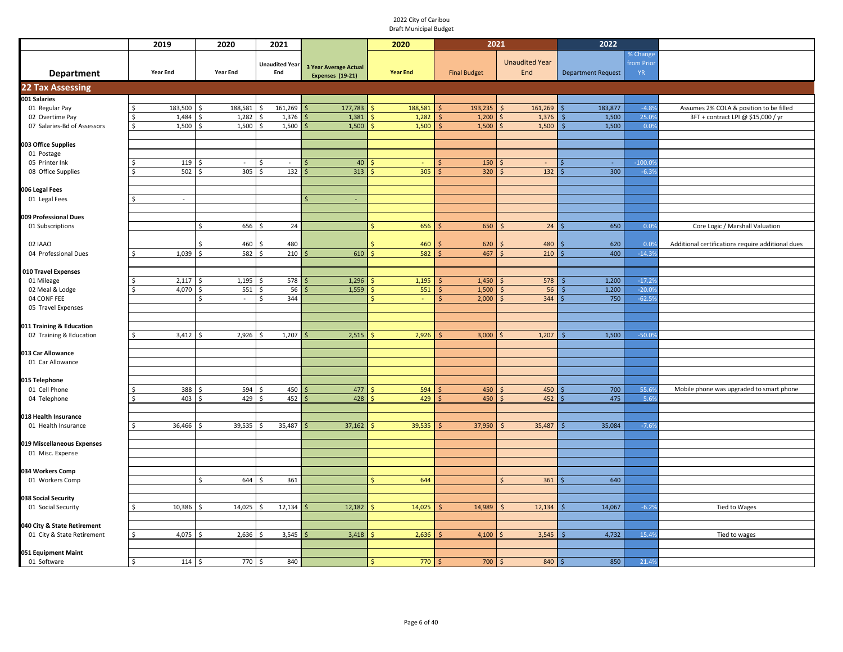|                              | 2019                | 2020            | 2021                  |                              | 2020            | 2021                |                       | 2022                      |           |                                                   |
|------------------------------|---------------------|-----------------|-----------------------|------------------------------|-----------------|---------------------|-----------------------|---------------------------|-----------|---------------------------------------------------|
|                              |                     |                 |                       |                              |                 |                     |                       |                           | % Change  |                                                   |
|                              |                     |                 | <b>Unaudited Year</b> | <b>3 Year Average Actual</b> |                 |                     | <b>Unaudited Year</b> |                           | from Prio |                                                   |
| <b>Department</b>            | <b>Year End</b>     | <b>Year End</b> | End                   | Expenses (19-21)             | <b>Year End</b> | <b>Final Budget</b> | End                   | <b>Department Request</b> | YR.       |                                                   |
| <b>22 Tax Assessing</b>      |                     |                 |                       |                              |                 |                     |                       |                           |           |                                                   |
| 001 Salaries                 |                     |                 |                       |                              |                 |                     |                       |                           |           |                                                   |
| 01 Regular Pay               | 183,500<br>S        | 188,581         | 161,269<br>Ŝ          | 177,783                      | 188,581         | 193,235             | 161,269<br>Ś          | 183,877                   | $-4.89$   | Assumes 2% COLA & position to be filled           |
| 02 Overtime Pay              | $\zeta$<br>1,484    | 1,282           | 1,376                 | 1,381                        | 1,282           | 1,200<br>$\zeta$    | 1,376                 | 1,500                     | 25.09     | 3FT + contract LPI @ \$15,000 / yr                |
| 07 Salaries-Bd of Assessors  | 1,500<br>Ś          | 1,500           | 1,500<br>-S           | 1,500                        | 1,500           | 1,500<br>Ś          | 1,500                 | 1,500<br>Ś                | 0.0%      |                                                   |
|                              |                     |                 |                       |                              |                 |                     |                       |                           |           |                                                   |
| 003 Office Supplies          |                     |                 |                       |                              |                 |                     |                       |                           |           |                                                   |
| 01 Postage<br>05 Printer Ink | 119                 | $\sim$<br>S.    | \$<br>$\sim$          | 40<br>$\zeta$                |                 | 150                 |                       | $\sim$                    | $-100.09$ |                                                   |
| 08 Office Supplies           | $502 \quad$ \$<br>S | 305             | <sup>\$</sup><br>132  | 313                          | 305             | 320                 | 132                   | 300                       | $-6.39$   |                                                   |
|                              |                     |                 |                       |                              |                 |                     |                       |                           |           |                                                   |
| 006 Legal Fees               |                     |                 |                       |                              |                 |                     |                       |                           |           |                                                   |
| 01 Legal Fees                | $\sim$              |                 |                       |                              |                 |                     |                       |                           |           |                                                   |
|                              |                     |                 |                       |                              |                 |                     |                       |                           |           |                                                   |
| 009 Professional Dues        |                     |                 |                       |                              |                 |                     |                       |                           |           |                                                   |
| 01 Subscriptions             |                     | 656<br>Ŝ.       | 24<br>S.              |                              | 656             | 650                 | 24<br><b>S</b>        | 650                       | 0.0%      | Core Logic / Marshall Valuation                   |
|                              |                     |                 |                       |                              |                 |                     |                       |                           |           |                                                   |
| 02 IAAO                      |                     | 460             | 480                   |                              | 460             | 620                 | 480                   | 620                       | 0.09      | Additional certifications require additional dues |
| 04 Professional Dues         | 1,039               | 582             | 210                   | 610                          | 582             | 467                 | 210<br>ς              | 400                       | $-14.3%$  |                                                   |
| 010 Travel Expenses          |                     |                 |                       |                              |                 |                     |                       |                           |           |                                                   |
| 01 Mileage                   | 2,117               | 1,195           | 578                   | 1,296                        | 1,195           | 1,450               | 578                   | 1,200                     | $-17.2$   |                                                   |
| 02 Meal & Lodge              | 4,070<br>ς.         | 551<br>$\zeta$  | 56<br>Ŝ.              | 1,559                        | 551             | 1,500<br>Ŝ          | 56                    | 1,200                     | $-20.09$  |                                                   |
| 04 CONF FEE                  |                     | S.<br>$\sim$    | 344<br>\$             |                              |                 | 2,000<br>Ś          | 344<br>Ś              | 750                       | $-62.59$  |                                                   |
| 05 Travel Expenses           |                     |                 |                       |                              |                 |                     |                       |                           |           |                                                   |
|                              |                     |                 |                       |                              |                 |                     |                       |                           |           |                                                   |
| 011 Training & Education     |                     |                 |                       |                              |                 |                     |                       |                           |           |                                                   |
| 02 Training & Education      | $3,412$ \$          | 2,926           | 1,207<br>-S           | 2,515                        | 2,926           | 3,000               | 1,207                 | 1,500                     | $-50.09$  |                                                   |
|                              |                     |                 |                       |                              |                 |                     |                       |                           |           |                                                   |
| 013 Car Allowance            |                     |                 |                       |                              |                 |                     |                       |                           |           |                                                   |
| 01 Car Allowance             |                     |                 |                       |                              |                 |                     |                       |                           |           |                                                   |
| 015 Telephone                |                     |                 |                       |                              |                 |                     |                       |                           |           |                                                   |
| 01 Cell Phone                | 388                 | 594             | 450<br>$\zeta$        | 477                          | 594             | 450                 | 450                   | 700                       | 55.69     | Mobile phone was upgraded to smart phone          |
| 04 Telephone                 | $403 \quad $5$<br>Ś | $429 \pm 5$     | $452 \,$ \$           | 428                          | 429             | 450                 | 452<br>Ś              | 475                       | 5.69      |                                                   |
|                              |                     |                 |                       |                              |                 |                     |                       |                           |           |                                                   |
| 018 Health Insurance         |                     |                 |                       |                              |                 |                     |                       |                           |           |                                                   |
| 01 Health Insurance          | 36,466              | 39,535          | 35,487                | 37,162                       | 39,535          | 37,950              | 35,487<br>Ś           | 35,084                    | $-7.69$   |                                                   |
|                              |                     |                 |                       |                              |                 |                     |                       |                           |           |                                                   |
| 019 Miscellaneous Expenses   |                     |                 |                       |                              |                 |                     |                       |                           |           |                                                   |
| 01 Misc. Expense             |                     |                 |                       |                              |                 |                     |                       |                           |           |                                                   |
| 034 Workers Comp             |                     |                 |                       |                              |                 |                     |                       |                           |           |                                                   |
| 01 Workers Comp              |                     | 644<br>Ŝ.       | 361                   |                              | 644             |                     | 361<br>Ś              | 640                       |           |                                                   |
|                              |                     |                 |                       |                              |                 |                     |                       |                           |           |                                                   |
| 038 Social Security          |                     |                 |                       |                              |                 |                     |                       |                           |           |                                                   |
| 01 Social Security           | 10,386              | 14,025          | 12,134                | 12,182                       | 14,025          | 14,989              | 12,134                | 14,067                    | $-6.29$   | Tied to Wages                                     |
|                              |                     |                 |                       |                              |                 |                     |                       |                           |           |                                                   |
| 040 City & State Retirement  |                     |                 |                       |                              |                 |                     |                       |                           |           |                                                   |
| 01 City & State Retirement   | $4,075$ \$<br>S     | 2,636           | 3,545<br>-S           | 3,418                        | 2,636           | 4,100               | 3,545                 | 4,732                     | 15.49     | Tied to wages                                     |
| 051 Equipment Maint          |                     |                 |                       |                              |                 |                     |                       |                           |           |                                                   |
| 01 Software                  | \$<br>$114 - 5$     | 770 \$          | 840                   |                              | 770             | 700                 | 840<br>$\zeta$        | 850                       | 21.4%     |                                                   |
|                              |                     |                 |                       |                              |                 |                     |                       |                           |           |                                                   |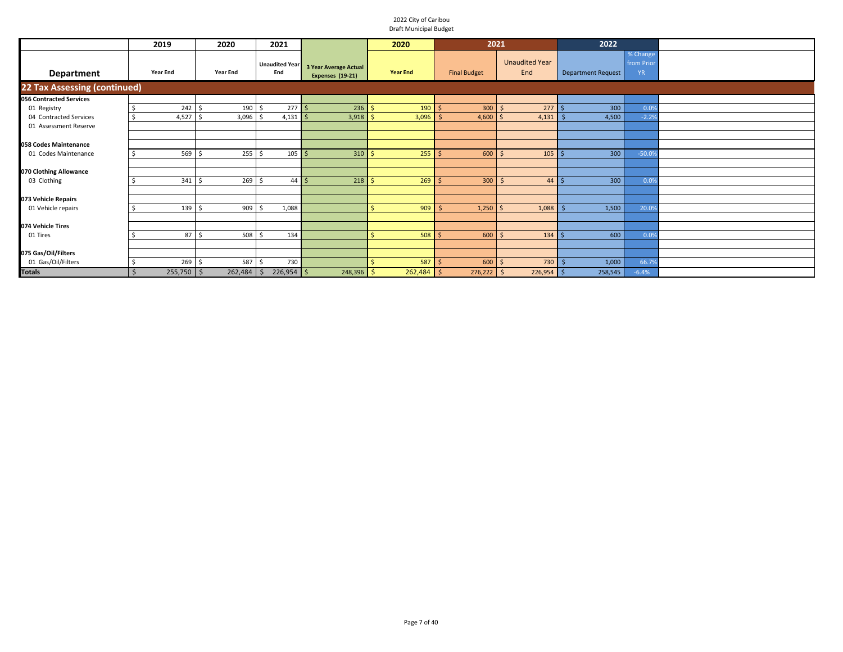|                                     | 2019              | 2020            | 2021                         |                                                         | 2020                 | 2021                |                              | 2022                      |                                     |  |
|-------------------------------------|-------------------|-----------------|------------------------------|---------------------------------------------------------|----------------------|---------------------|------------------------------|---------------------------|-------------------------------------|--|
| Department                          | <b>Year End</b>   | <b>Year End</b> | <b>Unaudited Year</b><br>End | <b>3 Year Average Actual</b><br><b>Expenses (19-21)</b> | <b>Year End</b>      | <b>Final Budget</b> | <b>Unaudited Year</b><br>End | <b>Department Request</b> | % Change<br>from Prior<br><b>YR</b> |  |
| <b>22 Tax Assessing (continued)</b> |                   |                 |                              |                                                         |                      |                     |                              |                           |                                     |  |
| <b>056 Contracted Services</b>      |                   |                 |                              |                                                         |                      |                     |                              |                           |                                     |  |
| 01 Registry                         | 242S              | 190             | 277S<br>l ś                  | 236                                                     | 190<br>-Ś            | $300 \, \text{S}$   | 277S                         | 300                       | 0.0%                                |  |
| 04 Contracted Services              | 4,527             | 3,096           | $4,131$ \$                   | 3,918                                                   | 3,096<br>-Ś          | 4,600               | 4,131                        | 4,500                     | $-2.2%$                             |  |
| 01 Assessment Reserve               |                   |                 |                              |                                                         |                      |                     |                              |                           |                                     |  |
|                                     |                   |                 |                              |                                                         |                      |                     |                              |                           |                                     |  |
| 058 Codes Maintenance               |                   |                 |                              |                                                         |                      |                     |                              |                           |                                     |  |
| 01 Codes Maintenance                | 569               | $255$ \$<br>Ś   | 105                          | 310                                                     | 255                  | $600 \, \text{S}$   | 105                          | 300                       | $-50.0%$                            |  |
|                                     |                   |                 |                              |                                                         |                      |                     |                              |                           |                                     |  |
| 070 Clothing Allowance              |                   |                 |                              |                                                         |                      |                     |                              |                           |                                     |  |
| 03 Clothing                         | $341 \frac{1}{2}$ | 269             | $44 \overline{\phantom{1}5}$ | 218                                                     | 269<br>-S            | $300 \mid 5$        | $44 \mid \zeta$              | 300                       | 0.0%                                |  |
| 073 Vehicle Repairs                 |                   |                 |                              |                                                         |                      |                     |                              |                           |                                     |  |
| 01 Vehicle repairs                  | 139               | 909<br>.\$      | 1,088                        |                                                         | 909                  | $1,250$   \$        | 1,088                        | 1,500                     | 20.0%                               |  |
|                                     |                   |                 |                              |                                                         |                      |                     |                              |                           |                                     |  |
| 074 Vehicle Tires                   |                   |                 |                              |                                                         |                      |                     |                              |                           |                                     |  |
| 01 Tires                            | $87 \quad$ \$     | 508             | 134<br>-Ś                    |                                                         | 508<br><sup>5</sup>  | $600 \mid$ \$       | 134                          | 600                       | 0.0%                                |  |
|                                     |                   |                 |                              |                                                         |                      |                     |                              |                           |                                     |  |
| 075 Gas/Oil/Filters                 |                   |                 |                              |                                                         |                      |                     |                              |                           |                                     |  |
| 01 Gas/Oil/Filters                  | 269               | 587 \$<br>-S    | 730                          |                                                         | 587                  | $600 \, \text{S}$   | 730                          | 1,000                     | 66.79                               |  |
| <b>Totals</b>                       | $255,750$ \$      | 262,484         | $226,954$ \$<br><b>S</b>     | 248,396                                                 | $262,484$ \$<br>l \$ | $276,222$ \$        | $226,954$ \$                 | 258,545                   | $-6.4%$                             |  |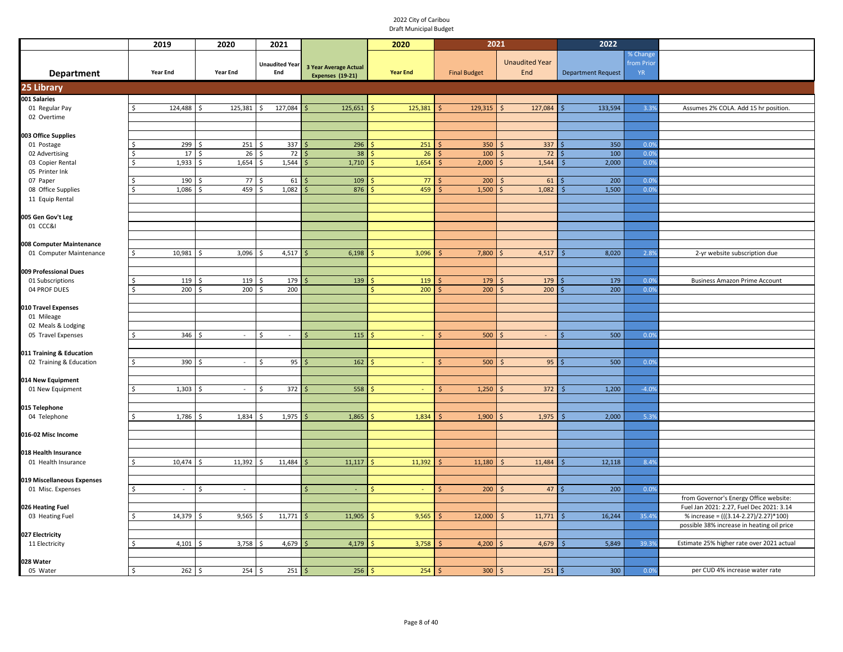|                            | 2019                         | 2020                 | 2021                    |                       | 2020            | 2021                |                         | 2022                      |            |                                            |
|----------------------------|------------------------------|----------------------|-------------------------|-----------------------|-----------------|---------------------|-------------------------|---------------------------|------------|--------------------------------------------|
|                            |                              |                      |                         |                       |                 |                     |                         |                           | % Change   |                                            |
|                            |                              |                      | <b>Unaudited Year</b>   | 3 Year Average Actual |                 |                     | <b>Unaudited Year</b>   |                           | from Prior |                                            |
| <b>Department</b>          | Year End                     | Year End             | End                     | Expenses (19-21)      | <b>Year End</b> | <b>Final Budget</b> | End                     | <b>Department Request</b> | YR.        |                                            |
| 25 Library                 |                              |                      |                         |                       |                 |                     |                         |                           |            |                                            |
| 001 Salaries               |                              |                      |                         |                       |                 |                     |                         |                           |            |                                            |
| 01 Regular Pay             | \$<br>124,488                | 125,381<br>Ś         | 127,084<br>\$           | 125,651               | 125,381         | 129,315             | $\mathsf{S}$<br>127,084 | 133,594                   | 3.3%       | Assumes 2% COLA. Add 15 hr position.       |
| 02 Overtime                |                              |                      |                         |                       |                 |                     |                         |                           |            |                                            |
|                            |                              |                      |                         |                       |                 |                     |                         |                           |            |                                            |
| 003 Office Supplies        |                              |                      |                         |                       |                 |                     |                         |                           |            |                                            |
| 01 Postage                 | 299<br>Ŝ                     | 251                  | 337<br>l ś              | 296                   | 251             | 350                 | 337<br>Ŝ                | 350                       | 0.0%       |                                            |
| 02 Advertising             | 17<br>\$                     | 26<br>l s            | 72<br>l\$               | 38                    | 26              | 100                 | 72<br><sup>5</sup>      | 100                       | 0.0%       |                                            |
| 03 Copier Rental           | \$<br>1,933                  | 1,654                | 1,544<br>۱Ś             | 1,710                 | 1,654           | 2,000               | 1,544                   | 2,000<br>ς                | 0.0%       |                                            |
| 05 Printer Ink             |                              |                      |                         |                       |                 |                     |                         |                           |            |                                            |
| 07 Paper                   | 190                          | 77                   | 61<br><sup>5</sup>      | 109                   | 77              | 200                 | 61                      | 200                       | 0.09       |                                            |
| 08 Office Supplies         | Ś<br>1,086                   | 459                  | 1,082<br>Ś.             | 876                   | 459             | 1,500               | 1,082                   | 1,500<br>Ś                | 0.0%       |                                            |
| 11 Equip Rental            |                              |                      |                         |                       |                 |                     |                         |                           |            |                                            |
|                            |                              |                      |                         |                       |                 |                     |                         |                           |            |                                            |
| 005 Gen Gov't Leg          |                              |                      |                         |                       |                 |                     |                         |                           |            |                                            |
| 01 CCC&I                   |                              |                      |                         |                       |                 |                     |                         |                           |            |                                            |
|                            |                              |                      |                         |                       |                 |                     |                         |                           |            |                                            |
| 008 Computer Maintenance   |                              |                      |                         |                       |                 |                     |                         |                           |            |                                            |
| 01 Computer Maintenance    | $\mathsf{\hat{S}}$<br>10,981 | 3,096                | 4,517                   | 6,198                 | 3,096           | 7,800               | 4,517                   | 8,020                     | 2.89       | 2-yr website subscription due              |
|                            |                              |                      |                         |                       |                 |                     |                         |                           |            |                                            |
| 009 Professional Dues      |                              |                      |                         | 139                   |                 |                     |                         | 179                       |            |                                            |
| 01 Subscriptions           | 119<br>\$<br>200             | 119<br>200           | 179<br>200              |                       | 119<br>200<br>Ś | 179<br>200          | 179<br>200<br>-Ś        | 200                       | 0.09       | <b>Business Amazon Prime Account</b>       |
| 04 PROF DUES               |                              |                      | $\ddot{\circ}$          |                       |                 |                     |                         |                           | 0.0%       |                                            |
| 010 Travel Expenses        |                              |                      |                         |                       |                 |                     |                         |                           |            |                                            |
| 01 Mileage                 |                              |                      |                         |                       |                 |                     |                         |                           |            |                                            |
| 02 Meals & Lodging         |                              |                      |                         |                       |                 |                     |                         |                           |            |                                            |
| 05 Travel Expenses         | \$.<br>346                   | l s<br>$\omega$      | <sup>\$</sup><br>$\sim$ | 115<br>$\leq$         | $\omega$        | 500                 | $\sim$                  | 500                       | 0.0%       |                                            |
|                            |                              |                      |                         |                       |                 |                     |                         |                           |            |                                            |
| 011 Training & Education   |                              |                      |                         |                       |                 |                     |                         |                           |            |                                            |
| 02 Training & Education    | 390<br>\$                    | $\sim$               | 95<br>Ŝ.                | 162                   | $\sim$          | 500                 | 95<br>$\zeta$           | 500                       | 0.0%       |                                            |
|                            |                              |                      |                         |                       |                 |                     |                         |                           |            |                                            |
| 014 New Equipment          |                              |                      |                         |                       |                 |                     |                         |                           |            |                                            |
| 01 New Equipment           | 1,303<br>Ś                   | $\sim$               | 372<br>Ś                | 558                   | $\sim$          | 1,250               | 372                     | 1,200<br><sup>5</sup>     | $-4.0%$    |                                            |
|                            |                              |                      |                         |                       |                 |                     |                         |                           |            |                                            |
| 015 Telephone              |                              |                      |                         |                       |                 |                     |                         |                           |            |                                            |
| 04 Telephone               | 1,786<br>\$                  | 1,834                | 1,975                   | 1,865                 | 1,834           | 1,900               | 1,975                   | 2,000                     | 5.3%       |                                            |
|                            |                              |                      |                         |                       |                 |                     |                         |                           |            |                                            |
| 016-02 Misc Income         |                              |                      |                         |                       |                 |                     |                         |                           |            |                                            |
|                            |                              |                      |                         |                       |                 |                     |                         |                           |            |                                            |
| 018 Health Insurance       |                              |                      |                         |                       |                 |                     |                         |                           |            |                                            |
| 01 Health Insurance        | 10,474<br>Ś                  | 11,392<br>l \$       | 11,484<br>-Ś            | 11,117                | 11,392          | 11,180              | 11,484                  | 12,118                    | 8.4%       |                                            |
| 019 Miscellaneous Expenses |                              |                      |                         |                       |                 |                     |                         |                           |            |                                            |
| 01 Misc. Expenses          | <sub>S</sub><br>$\sim$       | Ś<br>$\sim$          |                         | ÷.                    |                 | 200                 | 47                      | 200                       | 0.09       |                                            |
|                            |                              |                      |                         |                       |                 |                     |                         |                           |            | from Governor's Energy Office website:     |
| 026 Heating Fuel           |                              |                      |                         |                       |                 |                     |                         |                           |            | Fuel Jan 2021: 2.27, Fuel Dec 2021: 3.14   |
| 03 Heating Fuel            | Ś<br>14,379                  | 9,565                | 11,771                  | 11,905                | 9,565           | 12,000              | 11,771                  | 16,244                    | 35.4%      | % increase = (((3.14-2.27)/2.27)*100)      |
|                            |                              |                      |                         |                       |                 |                     |                         |                           |            | possible 38% increase in heating oil price |
| 027 Electricity            |                              |                      |                         |                       |                 |                     |                         |                           |            |                                            |
| 11 Electricity             | Ś<br>4,101                   | 3,758                | 4,679<br>Ś              | 4,179                 | 3,758           | 4,200               | 4,679                   | 5,849                     | 39.39      | Estimate 25% higher rate over 2021 actual  |
|                            |                              |                      |                         |                       |                 |                     |                         |                           |            |                                            |
| 028 Water                  |                              |                      |                         |                       |                 |                     |                         |                           |            |                                            |
| 05 Water                   | 262<br>$\ddot{\mathsf{S}}$   | $254 \quad $$<br>۱\$ | 251                     | 256<br><b>S</b>       | 254             | 300                 | 251<br>-Ś               | 300<br>Ŝ.                 | 0.0%       | per CUD 4% increase water rate             |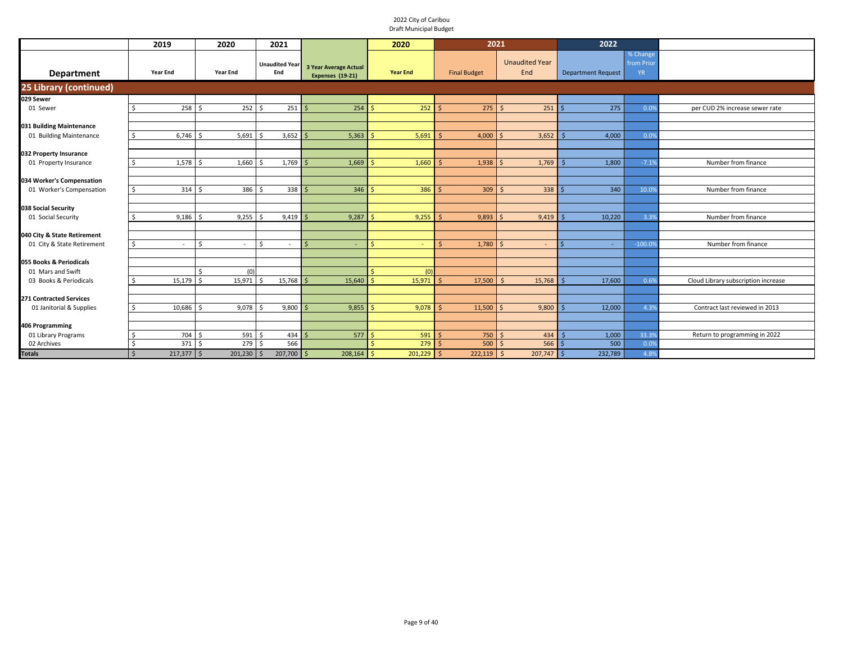|                                | 2019                             | 2020            | 2021                         |                                                  | 2020            | 2021                |                              | 2022                      |                                    |                                     |
|--------------------------------|----------------------------------|-----------------|------------------------------|--------------------------------------------------|-----------------|---------------------|------------------------------|---------------------------|------------------------------------|-------------------------------------|
| <b>Department</b>              | <b>Year End</b>                  | <b>Year End</b> | <b>Unaudited Year</b><br>End | <b>3 Year Average Actual</b><br>Expenses (19-21) | <b>Year End</b> | <b>Final Budget</b> | <b>Unaudited Year</b><br>End | <b>Department Request</b> | % Change<br>from Prio<br><b>YR</b> |                                     |
| 25 Library (continued)         |                                  |                 |                              |                                                  |                 |                     |                              |                           |                                    |                                     |
| 029 Sewer                      |                                  |                 |                              |                                                  |                 |                     |                              |                           |                                    |                                     |
| 01 Sewer                       | 258<br>Ŝ                         | 252             | 251<br>.\$                   | 254                                              | 252             | 275                 | $\zeta$<br>251               | 275                       | 0.09                               | per CUD 2% increase sewer rate      |
|                                |                                  |                 |                              |                                                  |                 |                     |                              |                           |                                    |                                     |
| 031 Building Maintenance       |                                  |                 |                              |                                                  |                 |                     |                              |                           |                                    |                                     |
| 01 Building Maintenance        | $6,746$ \$<br>S.                 | 5,691           | $3,652$ \$<br>S,             | 5,363                                            | 5,691           | 4,000               | 3,652                        | 4,000                     | 0.0%                               |                                     |
|                                |                                  |                 |                              |                                                  |                 |                     |                              |                           |                                    |                                     |
| 032 Property Insurance         |                                  |                 |                              |                                                  |                 |                     |                              |                           |                                    |                                     |
| 01 Property Insurance          | 1,578                            | 1,660           | $1,769$ \$                   | 1,669                                            | 1,660           | 1,938               | 1,769                        | 1,800                     | $-7.1%$                            | Number from finance                 |
|                                |                                  |                 |                              |                                                  |                 |                     |                              |                           |                                    |                                     |
| 034 Worker's Compensation      |                                  |                 |                              |                                                  |                 |                     |                              |                           |                                    |                                     |
| 01 Worker's Compensation       | 314<br>\$                        | 386<br>Ś        | $338$ \$<br>Ś                | 346                                              | 386             | 309                 | 338<br>S.                    | 340                       | 10.0                               | Number from finance                 |
|                                |                                  |                 |                              |                                                  |                 |                     |                              |                           |                                    |                                     |
| 038 Social Security            |                                  |                 |                              |                                                  |                 |                     |                              |                           |                                    |                                     |
| 01 Social Security             | $9,186$ \$<br>- Š                | 9,255           | $9,419$ \$                   | 9,287                                            | 9,255           | 9,893               | 9,419                        | 10,220                    | 3.3%                               | Number from finance                 |
|                                |                                  |                 |                              |                                                  |                 |                     |                              |                           |                                    |                                     |
| 040 City & State Retirement    |                                  |                 |                              |                                                  |                 |                     |                              |                           |                                    |                                     |
| 01 City & State Retirement     | . \$<br>$\overline{\phantom{a}}$ | Ś<br>٠          | \$<br>٠                      | ٠                                                |                 | 1,780               | $\sim$                       | $\sim$                    | $-100.0$                           | Number from finance                 |
|                                |                                  |                 |                              |                                                  |                 |                     |                              |                           |                                    |                                     |
| 055 Books & Periodicals        |                                  |                 |                              |                                                  |                 |                     |                              |                           |                                    |                                     |
| 01 Mars and Swift              |                                  | (0)             |                              |                                                  | (0)             |                     |                              |                           |                                    |                                     |
| 03 Books & Periodicals         | 15,179<br>Ŝ.                     | 15,971          | 15,768                       | 15,640<br>l S                                    | 15,971          | 17,500              | $\leq$<br>15,768             | 17,600                    | 0.6%                               | Cloud Library subscription increase |
|                                |                                  |                 |                              |                                                  |                 |                     |                              |                           |                                    |                                     |
| <b>271 Contracted Services</b> |                                  |                 |                              |                                                  |                 |                     |                              |                           |                                    |                                     |
| 01 Janitorial & Supplies       | 10,686<br>.s                     | 9,078           | $9,800$ \$                   | 9,855                                            | 9,078           | 11,500              | 9,800                        | 12,000                    | 4.3%                               | Contract last reviewed in 2013      |
|                                |                                  |                 |                              |                                                  |                 |                     |                              |                           |                                    |                                     |
| 406 Programming                |                                  |                 |                              |                                                  |                 |                     |                              |                           |                                    |                                     |
| 01 Library Programs            | 704                              | 591             | ς<br>434                     | 577                                              | 591             | 750                 | 434<br>$\zeta$               | 1,000                     | 33.39                              | Return to programming in 2022       |
| 02 Archives                    | 371S<br><sup>\$</sup>            | 279             | 566<br>Ś                     |                                                  | 279             | 500                 | $566$ \$<br>S.               | 500                       | 0.09                               |                                     |
| <b>Totals</b>                  | $217,377$ \$<br>$\zeta$          | $201,230$ \$    | $207,700$ \$                 | $208,164$ \$                                     | $201,229$ \$    | $222,119$ \$        | $207,747$ \$                 | 232,789                   | 4.8%                               |                                     |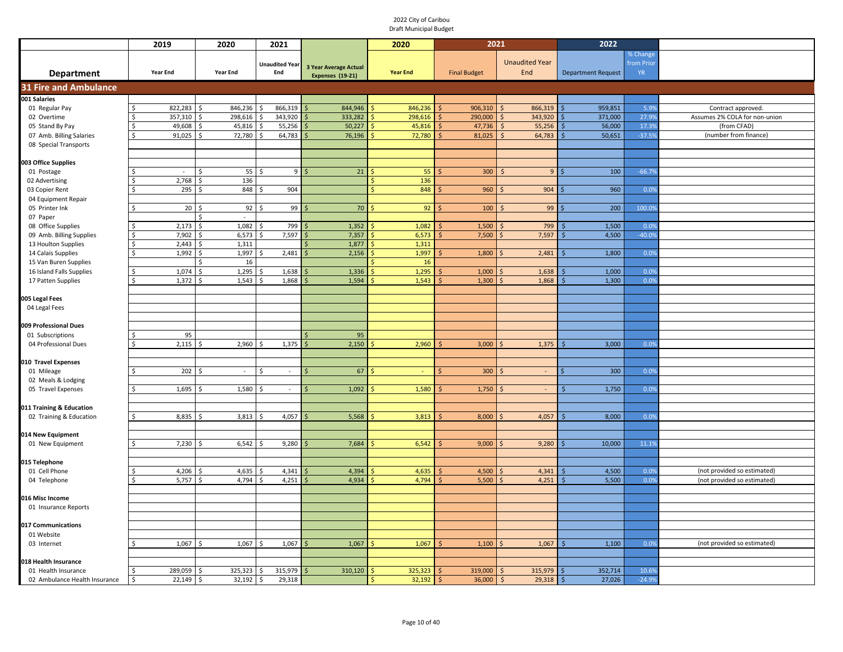|                                            | 2019            | 2020            | 2021                         |                                           | 2020                 | 2021                |                              | 2022                      |                                     |                               |
|--------------------------------------------|-----------------|-----------------|------------------------------|-------------------------------------------|----------------------|---------------------|------------------------------|---------------------------|-------------------------------------|-------------------------------|
| <b>Department</b>                          | <b>Year End</b> | <b>Year End</b> | <b>Unaudited Year</b><br>End | 3 Year Average Actual<br>Expenses (19-21) | <b>Year End</b>      | <b>Final Budget</b> | <b>Unaudited Year</b><br>End | <b>Department Request</b> | % Change<br>from Prior<br><b>YR</b> |                               |
| <b>31 Fire and Ambulance</b>               |                 |                 |                              |                                           |                      |                     |                              |                           |                                     |                               |
| 001 Salaries                               |                 |                 |                              |                                           |                      |                     |                              |                           |                                     |                               |
| 01 Regular Pay                             | 822,283         | 846,236<br>Ś    | 866,319<br>ς.                | 844,946                                   | 846,236<br>Š.        | 906,310             | 866,319<br>$\zeta$           | 959,851                   | 5.99                                | Contract approved.            |
| 02 Overtime                                | 357,310         | 298,616<br>Ś    | 343,920                      | 333,282                                   | 298,616<br>Ŝ         | 290,000             | 343,920                      | 371,000                   | 27.99                               | Assumes 2% COLA for non-union |
| 05 Stand By Pay                            | 49,608          | 45,816          | 55,256                       | 50,227                                    | 45,816               | 47,736              | 55,256<br><sup>5</sup>       | 56,000                    | 17.3%                               | (from CFAD)                   |
| 07 Amb. Billing Salaries                   | 91,025          | 72,780          | 64,783                       | 76,196                                    | 72,780               | 81,025              | 64,783<br><sup>5</sup>       | 50,651                    | $-37.5%$                            | (number from finance)         |
| 08 Special Transports                      |                 |                 |                              |                                           |                      |                     |                              |                           |                                     |                               |
| 003 Office Supplies                        |                 |                 |                              |                                           |                      |                     |                              |                           |                                     |                               |
| 01 Postage                                 |                 | 55<br>Ś         | 9 <sup>1</sup>               | 21                                        | 55<br><b>S</b>       | 300                 | 9 <sup>°</sup>               | 100                       | $-66.79$                            |                               |
| 02 Advertising                             | 2,768<br>Ś      | 136<br>Ś        |                              |                                           | 136<br><b>S</b>      |                     |                              |                           |                                     |                               |
| 03 Copier Rent                             | 295             | Ś<br>848        | 904                          |                                           | 848<br>$\hat{\zeta}$ | 960                 | 904                          | 960                       | 0.0%                                |                               |
| 04 Equipment Repair                        |                 |                 |                              |                                           |                      |                     |                              |                           |                                     |                               |
| 05 Printer Ink                             | 20<br>ς         | 92              | 99                           | 70                                        | 92                   | 100                 | 99                           | 200                       | 100.09                              |                               |
| 07 Paper                                   |                 | $\sim$          |                              |                                           |                      |                     |                              |                           |                                     |                               |
| 08 Office Supplies                         | 2,173           | 1,082<br>Ś      | 799                          | 1,352                                     | 1,082                | 1,500               | 799                          | 1,500                     | 0.09                                |                               |
| 09 Amb. Billing Supplies                   | 7,902           | 6,573           | 7,597                        | 7,357                                     | 6,573                | 7,500               | 7,597                        | 4,500                     | $-40.0%$                            |                               |
| 13 Houlton Supplies                        | 2,443           | 1,311           |                              | 1,877                                     | 1,311                |                     |                              |                           |                                     |                               |
| 14 Calais Supplies                         | 1,992<br>Ś      | 1,997<br>Ś      | 2,481                        | 2,156                                     | 1,997                | 1,800               | 2,481                        | 1,800                     | 0.0%                                |                               |
| 15 Van Buren Supplies                      |                 | 16              |                              |                                           | 16                   |                     |                              |                           |                                     |                               |
| 16 Island Falls Supplies                   | 1,074<br>Ś      | 1,295<br>ς      | 1,638                        | 1,336                                     | 1,295                | 1,000               | 1,638                        | 1,000                     | 0.0%                                |                               |
| 17 Patten Supplies                         | 1,372<br>ς      | 1,543<br>ς      | 1,868                        | 1,594                                     | 1,543                | 1,300               | 1,868                        | 1,300                     | 0.09                                |                               |
|                                            |                 |                 |                              |                                           |                      |                     |                              |                           |                                     |                               |
| 005 Legal Fees                             |                 |                 |                              |                                           |                      |                     |                              |                           |                                     |                               |
| 04 Legal Fees                              |                 |                 |                              |                                           |                      |                     |                              |                           |                                     |                               |
| 009 Professional Dues                      |                 |                 |                              |                                           |                      |                     |                              |                           |                                     |                               |
| 01 Subscriptions                           | 95<br>ς         |                 |                              | 95                                        |                      |                     |                              |                           |                                     |                               |
| 04 Professional Dues                       | 2,115           | 2,960<br>\$     | 1,375                        | 2,150<br>ς                                | 2,960                | 3,000               | 1,375                        | 3,000                     | 0.09                                |                               |
|                                            |                 |                 |                              |                                           |                      |                     |                              |                           |                                     |                               |
| 010 Travel Expenses                        |                 |                 |                              |                                           |                      |                     |                              |                           |                                     |                               |
| 01 Mileage                                 | 202             | $\sim$<br>Ś     | Ŝ.<br>$\sim$                 | 67                                        |                      | 300                 | $\sim$                       | 300                       | 0.0%                                |                               |
| 02 Meals & Lodging                         |                 |                 |                              |                                           |                      |                     |                              |                           |                                     |                               |
| 05 Travel Expenses                         | 1,695           | 1,580<br>Ś      | $\sim$                       | 1,092                                     | 1,580                | 1,750               | $\omega$                     | 1,750                     | 0.0%                                |                               |
|                                            |                 |                 |                              |                                           |                      |                     |                              |                           |                                     |                               |
| 011 Training & Education                   |                 |                 |                              |                                           |                      |                     |                              |                           |                                     |                               |
| 02 Training & Education                    | 8,835           | 3,813<br>Ś      | 4,057<br>Ś                   | 5,568                                     | 3,813                | 8,000               | 4,057                        | 8,000                     | 0.09                                |                               |
|                                            |                 |                 |                              |                                           |                      |                     |                              |                           |                                     |                               |
| 014 New Equipment<br>01 New Equipment      | 7,230           | 6,542<br>ς      | 9,280                        | 7,684                                     | 6,542                | 9,000               | 9,280                        | 10,000                    | 11.1%                               |                               |
|                                            |                 |                 |                              |                                           |                      |                     |                              |                           |                                     |                               |
| 015 Telephone                              |                 |                 |                              |                                           |                      |                     |                              |                           |                                     |                               |
| 01 Cell Phone                              | 4,206           | 4,635           | 4,341                        | 4,394                                     | 4,635                | 4,500               | 4,341                        | 4,500                     | 0.09                                | (not provided so estimated)   |
| 04 Telephone                               | 5,757           | 4,794<br>ς      | 4,251                        | 4,934                                     | 4,794                | 5,500               | 4,251                        | 5,500                     | 0.0%                                | (not provided so estimated)   |
|                                            |                 |                 |                              |                                           |                      |                     |                              |                           |                                     |                               |
| 016 Misc Income                            |                 |                 |                              |                                           |                      |                     |                              |                           |                                     |                               |
| 01 Insurance Reports                       |                 |                 |                              |                                           |                      |                     |                              |                           |                                     |                               |
|                                            |                 |                 |                              |                                           |                      |                     |                              |                           |                                     |                               |
| 017 Communications                         |                 |                 |                              |                                           |                      |                     |                              |                           |                                     |                               |
| 01 Website                                 |                 |                 |                              |                                           |                      |                     |                              |                           |                                     |                               |
| 03 Internet                                | 1,067<br>Ś      | 1,067<br>Ŝ.     | 1,067<br>-Ś                  | 1,067                                     | 1,067<br>-S          | 1,100               | 1,067                        | 1,100<br>Ŝ.               | 0.0%                                | (not provided so estimated)   |
|                                            |                 |                 |                              |                                           |                      |                     |                              |                           |                                     |                               |
| 18 Health Insurance<br>01 Health Insurance | 289,059         | 325,323<br>Ś    | 315,979                      | 310,120                                   | 325,323              | 319,000             | 315,979                      | 352,714                   | 10.6%                               |                               |
| 02 Ambulance Health Insurance              | Ś<br>22,149     | 32,192<br>Ś     | 29,318<br>۱\$                |                                           | 32,192<br>-S         | 36,000              | 29,318<br>-\$                | 27,026<br>\$              | $-24.9%$                            |                               |
|                                            |                 |                 |                              |                                           |                      |                     |                              |                           |                                     |                               |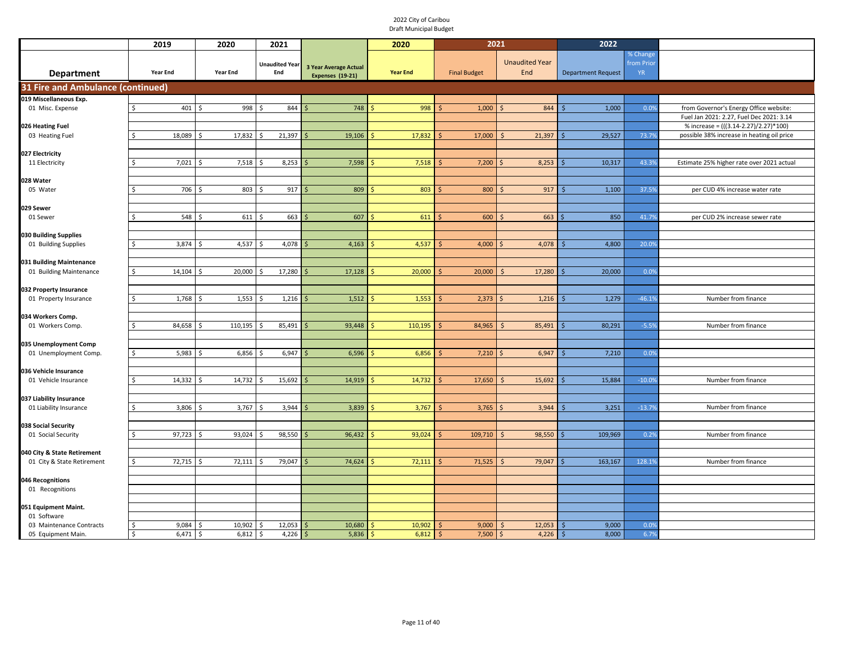|                                                     | 2019            | 2020            | 2021                         |                                                  | 2020            | 2021                |                              | 2022                      |                                     |                                                                                   |
|-----------------------------------------------------|-----------------|-----------------|------------------------------|--------------------------------------------------|-----------------|---------------------|------------------------------|---------------------------|-------------------------------------|-----------------------------------------------------------------------------------|
| <b>Department</b>                                   | <b>Year End</b> | <b>Year End</b> | <b>Unaudited Year</b><br>End | <b>3 Year Average Actual</b><br>Expenses (19-21) | <b>Year End</b> | <b>Final Budget</b> | <b>Unaudited Year</b><br>End | <b>Department Request</b> | % Change<br>from Prior<br><b>YR</b> |                                                                                   |
| <b>31 Fire and Ambulance (continued)</b>            |                 |                 |                              |                                                  |                 |                     |                              |                           |                                     |                                                                                   |
| 019 Miscellaneous Exp.                              |                 |                 |                              |                                                  |                 |                     |                              |                           |                                     |                                                                                   |
| 01 Misc. Expense                                    | 401             | 998             | 844                          | 748                                              | 998             | 1,000               | 844                          | 1,000                     | 0.0%                                | from Governor's Energy Office website:                                            |
| 026 Heating Fuel                                    |                 |                 |                              |                                                  |                 |                     |                              |                           |                                     | Fuel Jan 2021: 2.27, Fuel Dec 2021: 3.14<br>% increase = (((3.14-2.27)/2.27)*100) |
| 03 Heating Fuel                                     | 18,089<br>ς     | 17,832          | 21,397                       | 19,106                                           | 17,832          | 17,000              | 21,397                       | 29,527                    | 73.7%                               | possible 38% increase in heating oil price                                        |
|                                                     |                 |                 |                              |                                                  |                 |                     |                              |                           |                                     |                                                                                   |
| 027 Electricity                                     |                 |                 |                              |                                                  |                 |                     |                              |                           |                                     |                                                                                   |
| 11 Electricity                                      | 7,021           | 7,518           | 8,253                        | 7,598                                            | 7,518           | 7,200               | 8,253                        | 10,317                    | 43.39                               | Estimate 25% higher rate over 2021 actual                                         |
| 028 Water                                           |                 |                 |                              |                                                  |                 |                     |                              |                           |                                     |                                                                                   |
| 05 Water                                            | 706             | 803             | 917                          | 809                                              | 803             | 800                 | 917                          | 1,100                     | 37.5%                               | per CUD 4% increase water rate                                                    |
|                                                     |                 |                 |                              |                                                  |                 |                     |                              |                           |                                     |                                                                                   |
| 029 Sewer<br>01 Sewer                               | 548             | 611             | 663                          | 607                                              | 611             | 600                 | 663                          | 850                       | 41.79                               | per CUD 2% increase sewer rate                                                    |
|                                                     |                 |                 |                              |                                                  |                 |                     |                              |                           |                                     |                                                                                   |
| 030 Building Supplies                               |                 |                 |                              |                                                  |                 |                     |                              |                           |                                     |                                                                                   |
| 01 Building Supplies                                | 3,874           | 4,537           | 4,078                        | 4,163                                            | 4,537           | 4,000               | 4,078                        | 4,800                     | 20.09                               |                                                                                   |
|                                                     |                 |                 |                              |                                                  |                 |                     |                              |                           |                                     |                                                                                   |
| 031 Building Maintenance<br>01 Building Maintenance | 14,104          | 20,000          | 17,280                       | 17,128                                           | 20,000          | 20,000              | 17,280                       | 20,000                    | 0.0%                                |                                                                                   |
|                                                     |                 |                 |                              |                                                  |                 |                     |                              |                           |                                     |                                                                                   |
| 032 Property Insurance                              |                 |                 |                              |                                                  |                 |                     |                              |                           |                                     |                                                                                   |
| 01 Property Insurance                               | 1,768           | 1,553           | 1,216                        | 1,512                                            | 1,553           | 2,373               | 1,216                        | 1,279                     | $-46.1%$                            | Number from finance                                                               |
| 34 Workers Comp.                                    |                 |                 |                              |                                                  |                 |                     |                              |                           |                                     |                                                                                   |
| 01 Workers Comp.                                    | 84,658          | 110,195         | 85,491<br>-S                 | 93,448                                           | 110,195         | 84,965              | 85,491                       | 80,291                    | $-5.59$                             | Number from finance                                                               |
|                                                     |                 |                 |                              |                                                  |                 |                     |                              |                           |                                     |                                                                                   |
| 035 Unemployment Comp                               |                 |                 |                              |                                                  |                 |                     |                              |                           |                                     |                                                                                   |
| 01 Unemployment Comp.                               | 5,983           | 6,856<br>Ś      | 6,947<br>-\$                 | 6,596                                            | 6,856           | 7,210               | 6,947<br>l \$                | 7,210                     | 0.0%                                |                                                                                   |
| 036 Vehicle Insurance                               |                 |                 |                              |                                                  |                 |                     |                              |                           |                                     |                                                                                   |
| 01 Vehicle Insurance                                | 14,332          | 14,732<br>Ś     | 15,692<br>-S                 | 14,919                                           | 14,732          | 17,650              | 15,692<br>-S                 | 15,884                    | $-10.09$                            | Number from finance                                                               |
|                                                     |                 |                 |                              |                                                  |                 |                     |                              |                           |                                     |                                                                                   |
| 037 Liability Insurance<br>01 Liability Insurance   | 3,806           | 3,767           | 3,944                        | 3,839                                            | 3,767           | 3,765               | 3,944<br>-S                  | 3,251                     | $-13.79$                            | Number from finance                                                               |
|                                                     |                 |                 |                              |                                                  |                 |                     |                              |                           |                                     |                                                                                   |
| 038 Social Security                                 |                 |                 |                              |                                                  |                 |                     |                              |                           |                                     |                                                                                   |
| 01 Social Security                                  | 97,723<br>S.    | 93,024          | 98,550<br>-S                 | 96,432                                           | 93,024          | 109,710             | 98,550<br><b>S</b>           | 109,969                   | 0.29                                | Number from finance                                                               |
| 040 City & State Retirement                         |                 |                 |                              |                                                  |                 |                     |                              |                           |                                     |                                                                                   |
| 01 City & State Retirement                          | 72,715<br>Ŝ.    | 72,111          | 79,047<br>Ŝ.                 | 74,624                                           | 72,111          | 71,525              | 79,047                       | 163,167                   | 128.19                              | Number from finance                                                               |
|                                                     |                 |                 |                              |                                                  |                 |                     |                              |                           |                                     |                                                                                   |
| 046 Recognitions                                    |                 |                 |                              |                                                  |                 |                     |                              |                           |                                     |                                                                                   |
| 01 Recognitions                                     |                 |                 |                              |                                                  |                 |                     |                              |                           |                                     |                                                                                   |
| 051 Equipment Maint.                                |                 |                 |                              |                                                  |                 |                     |                              |                           |                                     |                                                                                   |
| 01 Software                                         |                 |                 |                              |                                                  |                 |                     |                              |                           |                                     |                                                                                   |
| 03 Maintenance Contracts                            | 9,084<br>-S     | 10,902          | 12,053                       | 10,680                                           | 10,902          | 9,000               | 12,053                       | 9,000                     | 0.09                                |                                                                                   |
| 05 Equipment Main.                                  | \$<br>6,471     | 6,812<br>\$     | 4,226<br>\$                  | 5,836<br>\$                                      | 6,812<br>Ŝ.     | 7,500<br>\$         | 4,226<br>\$                  | 8,000<br>\$               | 6.7%                                |                                                                                   |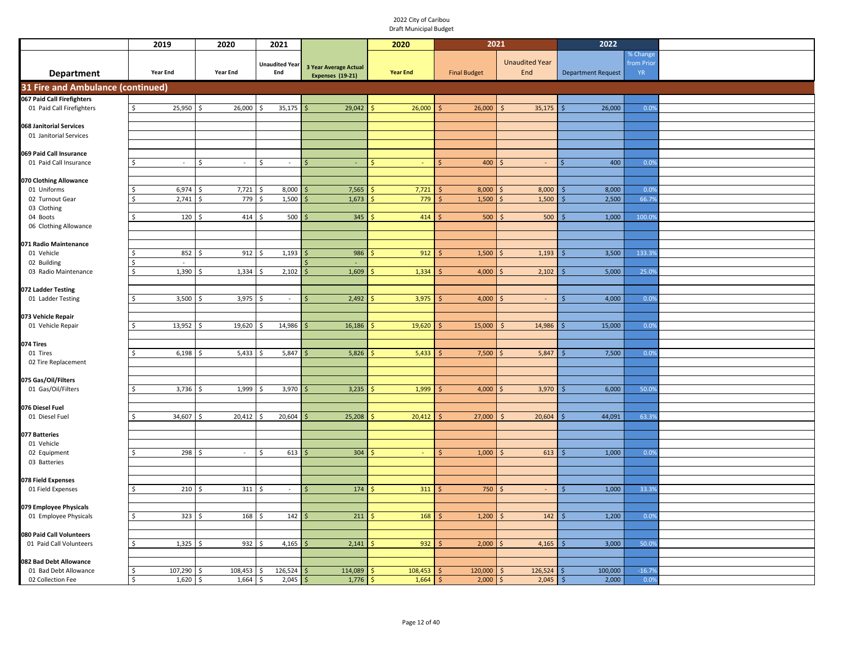|                                                 | 2019                        | 2020            | 2021                         |                                                         | 2020                        | 2021                |                              | 2022                      |                                     |  |
|-------------------------------------------------|-----------------------------|-----------------|------------------------------|---------------------------------------------------------|-----------------------------|---------------------|------------------------------|---------------------------|-------------------------------------|--|
| <b>Department</b>                               | <b>Year End</b>             | <b>Year End</b> | <b>Unaudited Year</b><br>End | <b>3 Year Average Actual</b><br><b>Expenses (19-21)</b> | <b>Year End</b>             | <b>Final Budget</b> | <b>Unaudited Year</b><br>End | <b>Department Request</b> | % Change<br>from Prior<br><b>YR</b> |  |
| 31 Fire and Ambulance (continued)               |                             |                 |                              |                                                         |                             |                     |                              |                           |                                     |  |
| 067 Paid Call Firefighters                      |                             |                 |                              |                                                         |                             |                     |                              |                           |                                     |  |
| 01 Paid Call Firefighters                       | 25,950<br>Ŝ.                | 26,000<br>Ŝ.    | 35,175<br>S.                 | 29,042<br>Ŝ                                             | 26,000                      | 26,000              | 35,175<br>Ŝ.                 | 26,000<br>Ŝ.              | 0.0%                                |  |
| 068 Janitorial Services                         |                             |                 |                              |                                                         |                             |                     |                              |                           |                                     |  |
| 01 Janitorial Services                          |                             |                 |                              |                                                         |                             |                     |                              |                           |                                     |  |
|                                                 |                             |                 |                              |                                                         |                             |                     |                              |                           |                                     |  |
| 069 Paid Call Insurance                         |                             |                 |                              |                                                         |                             |                     |                              |                           |                                     |  |
| 01 Paid Call Insurance                          | $\sim$                      | Ś<br>$\sim$     | Ŝ.<br>$\omega$               | Ś<br>$\blacksquare$                                     |                             | 400                 | $\sim$                       | 400                       | 0.0%                                |  |
| 070 Clothing Allowance                          |                             |                 |                              |                                                         |                             |                     |                              |                           |                                     |  |
| 01 Uniforms                                     | 6,974                       | 7,721           | 8,000                        | 7,565                                                   | 7,721                       | 8,000               | 8,000                        | 8,000                     | 0.0%                                |  |
| 02 Turnout Gear                                 | 2,741                       | 779             | 1,500                        | 1,673                                                   | 779                         | 1,500               | 1,500                        | 2,500                     | 66.7%                               |  |
| 03 Clothing                                     |                             |                 |                              |                                                         |                             |                     |                              |                           |                                     |  |
| 04 Boots<br>06 Clothing Allowance               | 120                         | 414             | 500                          | 345                                                     | 414                         | 500                 | 500                          | 1,000                     | 100.0%                              |  |
|                                                 |                             |                 |                              |                                                         |                             |                     |                              |                           |                                     |  |
| 071 Radio Maintenance                           |                             |                 |                              |                                                         |                             |                     |                              |                           |                                     |  |
| 01 Vehicle                                      | 852                         | 912             | 1,193                        | 986                                                     | 912                         | 1,500               | 1,193<br>-S                  | 3,500                     | 133.3%                              |  |
| 02 Building<br>03 Radio Maintenance             | Ŝ.<br>$\sim$<br>1,390<br>Ś. | 1,334<br>\$     | 2,102<br>Ŝ.                  | $\mathsf{S}$                                            |                             |                     | $\mathsf{S}$                 |                           | 25.0%                               |  |
|                                                 |                             |                 |                              | 1,609                                                   | 1,334                       | 4,000               | 2,102                        | 5,000                     |                                     |  |
| 072 Ladder Testing                              |                             |                 |                              |                                                         |                             |                     |                              |                           |                                     |  |
| 01 Ladder Testing                               | 3,500                       | 3,975           | $\sim$                       | 2,492                                                   | 3,975                       | 4,000               | $\sim$<br>$\varsigma$        | 4,000<br>Ŝ.               | 0.0%                                |  |
|                                                 |                             |                 |                              |                                                         |                             |                     |                              |                           |                                     |  |
| 073 Vehicle Repair<br>01 Vehicle Repair         | 13,952                      | 19,620          | 14,986                       | 16,186                                                  | 19,620                      | 15,000              | 14,986                       | 15,000                    | 0.0%                                |  |
|                                                 |                             |                 |                              |                                                         |                             |                     |                              |                           |                                     |  |
| 074 Tires                                       |                             |                 |                              |                                                         |                             |                     |                              |                           |                                     |  |
| 01 Tires                                        | 6,198                       | 5,433           | 5,847                        | 5,826                                                   | 5,433                       | 7,500               | 5,847                        | 7,500                     | 0.0%                                |  |
| 02 Tire Replacement                             |                             |                 |                              |                                                         |                             |                     |                              |                           |                                     |  |
| 075 Gas/Oil/Filters                             |                             |                 |                              |                                                         |                             |                     |                              |                           |                                     |  |
| 01 Gas/Oil/Filters                              | 3,736                       | 1,999<br>\$     | 3,970                        | 3,235                                                   | 1,999                       | 4,000               | 3,970<br>-Ś                  | 6,000                     | 50.0%                               |  |
|                                                 |                             |                 |                              |                                                         |                             |                     |                              |                           |                                     |  |
| 076 Diesel Fuel<br>01 Diesel Fuel               | 34,607                      | 20,412          | 20,604<br>S.                 | 25,208                                                  | 20,412                      | 27,000              | 20,604<br>Ŝ.                 | 44,091                    | 63.39                               |  |
|                                                 |                             |                 |                              |                                                         |                             |                     |                              |                           |                                     |  |
| 077 Batteries                                   |                             |                 |                              |                                                         |                             |                     |                              |                           |                                     |  |
| 01 Vehicle                                      |                             |                 |                              |                                                         |                             |                     |                              |                           |                                     |  |
| 02 Equipment                                    | 298                         | $\sim$          | 613<br>S.                    | 304                                                     | $\sim$                      | 1,000               | 613                          | 1,000                     | 0.0%                                |  |
| 03 Batteries                                    |                             |                 |                              |                                                         |                             |                     |                              |                           |                                     |  |
| 078 Field Expenses                              |                             |                 |                              |                                                         |                             |                     |                              |                           |                                     |  |
| 01 Field Expenses                               | 210<br>ς.                   | 311<br>-Ś       | $\sim$                       | 174<br>Ŝ                                                | 311                         | 750                 | $\sim$<br>-Ś                 | 1,000<br>\$               | 33.3%                               |  |
|                                                 |                             |                 |                              |                                                         |                             |                     |                              |                           |                                     |  |
| 079 Employee Physicals<br>01 Employee Physicals | 323<br>Ŝ.                   | 168             | 142                          | 211                                                     | 168                         | 1,200               | 142<br>Ś                     | 1,200                     | 0.0%                                |  |
|                                                 |                             |                 |                              |                                                         |                             |                     |                              |                           |                                     |  |
| 080 Paid Call Volunteers                        |                             |                 |                              |                                                         |                             |                     |                              |                           |                                     |  |
| 01 Paid Call Volunteers                         | 1,325<br>Ŝ.                 | 932             | 4,165<br>.s                  | 2,141                                                   | 932                         | 2,000               | 4,165                        | 3,000                     | 50.0%                               |  |
|                                                 |                             |                 |                              |                                                         |                             |                     |                              |                           |                                     |  |
| 082 Bad Debt Allowance<br>01 Bad Debt Allowance | 107,290<br>Ŝ.               | 108,453         | 126,524                      | 114,089                                                 | 108,453                     | 120,000             | 126,524<br>Ŝ                 | 100,000                   | $-16.7%$                            |  |
| 02 Collection Fee                               | \$<br>1,620                 | \$<br>1,664     | 2,045<br>\$                  | 1,776<br>$\mathsf{\hat{S}}$                             | $\mathsf{\hat{S}}$<br>1,664 | 2,000<br>\$         | 2,045<br>$\zeta$             | 2,000<br>$\frac{1}{2}$    | 0.0%                                |  |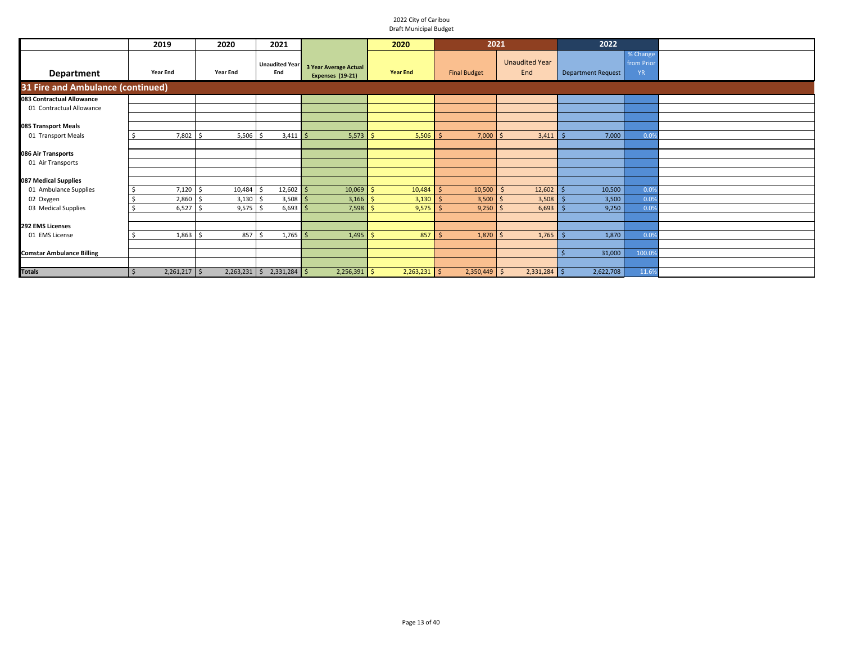|                                   | 2019                      | 2020            | 2021                         |                                                  | 2020              | 2021                |                              | 2022                      |                                     |  |
|-----------------------------------|---------------------------|-----------------|------------------------------|--------------------------------------------------|-------------------|---------------------|------------------------------|---------------------------|-------------------------------------|--|
| Department                        | <b>Year End</b>           | <b>Year End</b> | <b>Unaudited Year</b><br>End | 3 Year Average Actual<br><b>Expenses (19-21)</b> | <b>Year End</b>   | <b>Final Budget</b> | <b>Unaudited Year</b><br>End | <b>Department Request</b> | % Change<br>from Prior<br><b>YR</b> |  |
| 31 Fire and Ambulance (continued) |                           |                 |                              |                                                  |                   |                     |                              |                           |                                     |  |
| 083 Contractual Allowance         |                           |                 |                              |                                                  |                   |                     |                              |                           |                                     |  |
| 01 Contractual Allowance          |                           |                 |                              |                                                  |                   |                     |                              |                           |                                     |  |
|                                   |                           |                 |                              |                                                  |                   |                     |                              |                           |                                     |  |
| 085 Transport Meals               |                           |                 |                              |                                                  |                   |                     |                              |                           |                                     |  |
| 01 Transport Meals                | $7,802$ \$                | 5,506           | $3,411$ \$                   | 5,573                                            | 5,506             | 7,000               | 3,411                        | 7,000                     | 0.0%                                |  |
|                                   |                           |                 |                              |                                                  |                   |                     |                              |                           |                                     |  |
| 086 Air Transports                |                           |                 |                              |                                                  |                   |                     |                              |                           |                                     |  |
| 01 Air Transports                 |                           |                 |                              |                                                  |                   |                     |                              |                           |                                     |  |
|                                   |                           |                 |                              |                                                  |                   |                     |                              |                           |                                     |  |
| 087 Medical Supplies              |                           |                 |                              |                                                  |                   |                     |                              |                           |                                     |  |
| 01 Ambulance Supplies             | 7,120                     | 10,484<br>ı \$  | $12,602$ \$                  | 10,069                                           | 10,484<br>$\zeta$ | $10,500$ \$         | 12,602                       | 10,500                    | 0.0%                                |  |
| 02 Oxygen                         | $2,860$ \$                | 3,130           | $3,508$ \$                   | 3,166                                            | 3,130             | $3,500$ \$          | 3,508                        | 3,500                     | 0.0%                                |  |
| 03 Medical Supplies               | $6,527$ \$                | 9,575           | $6,693$ \$                   | 7,598                                            | 9,575             | $9,250$ \$          | 6,693                        | 9,250                     | 0.0%                                |  |
|                                   |                           |                 |                              |                                                  |                   |                     |                              |                           |                                     |  |
| 292 EMS Licenses                  |                           |                 |                              |                                                  |                   |                     |                              |                           |                                     |  |
| 01 EMS License                    | $1,863$ \$                | 857             | $1,765$ \$                   | 1,495                                            | 857               | $1,870$ \$          | 1,765                        | 1,870                     | 0.0%                                |  |
|                                   |                           |                 |                              |                                                  |                   |                     |                              |                           |                                     |  |
| <b>Comstar Ambulance Billing</b>  |                           |                 |                              |                                                  |                   |                     |                              | 31,000                    | 100.0%                              |  |
|                                   |                           |                 |                              |                                                  |                   |                     |                              |                           |                                     |  |
| <b>Totals</b>                     | $2,261,217$ \$<br>$\zeta$ | $2,263,231$ \$  | $2,331,284$ \$               | $2,256,391$ \$                                   | $2,263,231$ \$    | $2,350,449$ \$      | $2,331,284$ \$               | 2,622,708                 | 11.6%                               |  |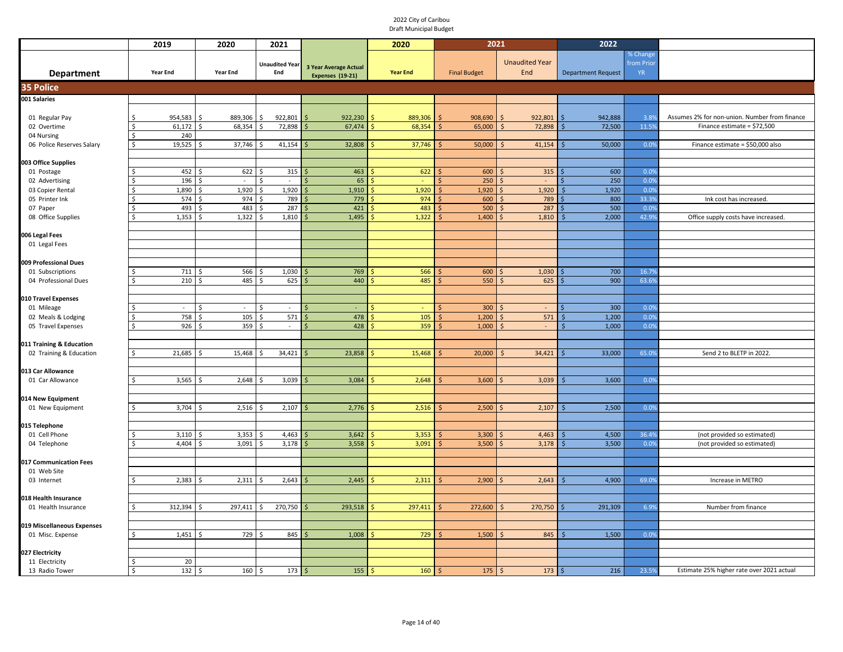|                               | 2019                | 2020                    | 2021                         |                              | 2020            | 2021                        |                              | 2022                      |                                     |                                                                              |
|-------------------------------|---------------------|-------------------------|------------------------------|------------------------------|-----------------|-----------------------------|------------------------------|---------------------------|-------------------------------------|------------------------------------------------------------------------------|
| <b>Department</b>             | <b>Year End</b>     | <b>Year End</b>         | <b>Unaudited Year</b><br>End | <b>3 Year Average Actual</b> | <b>Year End</b> | <b>Final Budget</b>         | <b>Unaudited Year</b><br>End | <b>Department Request</b> | % Change<br>from Prior<br><b>YR</b> |                                                                              |
|                               |                     |                         |                              | Expenses (19-21)             |                 |                             |                              |                           |                                     |                                                                              |
| <b>35 Police</b>              |                     |                         |                              |                              |                 |                             |                              |                           |                                     |                                                                              |
| 001 Salaries                  |                     |                         |                              |                              |                 |                             |                              |                           |                                     |                                                                              |
|                               | 954,583<br>Š.       | 889,306                 | 922,801                      | 922,230                      | 889,306         | 908,690                     | 922,801<br>$\zeta$           | 942,888<br>Ŝ              | 3.8%                                |                                                                              |
| 01 Regular Pay<br>02 Overtime | 61,172              | 68,354                  | 72,898                       | 67,474                       | 68,354          | 65,000<br>Ś                 | 72,898<br>.\$                | 72,500                    | 11.5%                               | Assumes 2% for non-union. Number from finance<br>Finance estimate = \$72,500 |
| 04 Nursing                    | 240                 |                         |                              |                              |                 |                             |                              |                           |                                     |                                                                              |
| 06 Police Reserves Salary     | 19,525<br>Ś         | 37,746 \$               | $41,154$ \$                  | 32,808                       | 37,746          | 50,000                      | 41,154                       | 50,000                    | 0.0%                                | Finance estimate = \$50,000 also                                             |
|                               |                     |                         |                              |                              |                 |                             |                              |                           |                                     |                                                                              |
| 003 Office Supplies           |                     |                         |                              |                              |                 |                             |                              |                           |                                     |                                                                              |
| 01 Postage                    | 452                 | 622<br><sup>\$</sup>    | 315<br>-Ś                    | 463                          | 622             | 600<br>-Ś                   | 315                          | 600                       | 0.0%                                |                                                                              |
| 02 Advertising                | 196                 | $\sim$                  | Ŝ.<br>$\sim$                 | 65                           |                 | 250<br>-Ś                   | $\sim$                       | 250                       | 0.0%                                |                                                                              |
| 03 Copier Rental              | 1,890               | 1,920                   | 1,920<br>Ś.                  | 1,910                        | 1,920           | 1,920<br>$\mathsf{\dot{S}}$ | 1,920                        | 1,920                     | 0.0%                                |                                                                              |
| 05 Printer Ink                | 574                 | 974<br>\$               | 789<br>\$                    | 779                          | 974             | 600<br>-S                   | 789                          | 800                       | 33.3%                               | Ink cost has increased.                                                      |
| 07 Paper                      | 493                 | 483                     | 287<br>-Ś                    | 421                          | 483             | 500                         | 287                          | 500                       | 0.0%                                |                                                                              |
| 08 Office Supplies            | $1,353$ \$<br>Ś     | $1,322$ \$              | 1,810                        | 1,495                        | 1,322           | 1,400<br>Ś                  | 1,810                        | 2,000<br>Ŝ                | 42.9%                               | Office supply costs have increased.                                          |
|                               |                     |                         |                              |                              |                 |                             |                              |                           |                                     |                                                                              |
| 006 Legal Fees                |                     |                         |                              |                              |                 |                             |                              |                           |                                     |                                                                              |
| 01 Legal Fees                 |                     |                         |                              |                              |                 |                             |                              |                           |                                     |                                                                              |
| 009 Professional Dues         |                     |                         |                              |                              |                 |                             |                              |                           |                                     |                                                                              |
| 01 Subscriptions              | 711                 | 566                     | 1,030                        | 769                          | 566             | 600                         | 1,030                        | 700                       | 16.79                               |                                                                              |
| 04 Professional Dues          | $210 \pm$<br>S      | 485                     | 625<br>$\zeta$               | 440                          | 485             | $\mathsf{S}$<br>550         | 625<br>$\breve{\varsigma}$   | 900                       | 63.6%                               |                                                                              |
|                               |                     |                         |                              |                              |                 |                             |                              |                           |                                     |                                                                              |
| 010 Travel Expenses           |                     |                         |                              |                              |                 |                             |                              |                           |                                     |                                                                              |
| 01 Mileage                    | $\sim$              | ¢.<br>$\sim$            | $\sim$<br>Ŝ.                 |                              |                 | 300                         | $\sim$                       | 300                       | 0.0%                                |                                                                              |
| 02 Meals & Lodging            | 758                 | $105 \frac{1}{5}$       | 571                          | 478                          | 105             | 1,200<br>-Ś                 | 571                          | 1,200<br>Ś                | 0.0%                                |                                                                              |
| 05 Travel Expenses            | $\zeta$<br>$926$ \$ | 359                     | Ŝ.<br>$\mathcal{L}^{\pm}$    | 428<br>$\zeta$               | 359             | 1,000<br>$\leq$             | $\sim$                       | 1,000                     | 0.0%                                |                                                                              |
|                               |                     |                         |                              |                              |                 |                             |                              |                           |                                     |                                                                              |
| 011 Training & Education      |                     |                         |                              |                              |                 |                             |                              |                           |                                     |                                                                              |
| 02 Training & Education       | 21,685<br>Ŝ         | 15,468<br>Ŝ.            | 34,421<br>-Ś                 | 23,858                       | 15,468          | 20,000                      | 34,421                       | 33,000                    | 65.0%                               | Send 2 to BLETP in 2022.                                                     |
|                               |                     |                         |                              |                              |                 |                             |                              |                           |                                     |                                                                              |
| 013 Car Allowance             |                     |                         |                              |                              |                 |                             |                              |                           |                                     |                                                                              |
| 01 Car Allowance              | 3,565               | 2,648<br>Ŝ.             | 3,039                        | 3,084                        | 2,648           | 3,600                       | 3,039                        | 3,600                     | 0.0%                                |                                                                              |
|                               |                     |                         |                              |                              |                 |                             |                              |                           |                                     |                                                                              |
| 014 New Equipment             | 3,704               | 2,516                   | 2,107                        | 2,776                        | 2,516           | 2,500                       | 2,107                        | 2,500                     | 0.0%                                |                                                                              |
| 01 New Equipment              |                     |                         |                              |                              |                 |                             |                              |                           |                                     |                                                                              |
| 015 Telephone                 |                     |                         |                              |                              |                 |                             |                              |                           |                                     |                                                                              |
| 01 Cell Phone                 | 3,110               | 3,353                   | 4,463                        | 3,642                        | 3,353           | 3,300<br>-Ś                 | 4,463                        | 4,500                     | 36.49                               | (not provided so estimated)                                                  |
| 04 Telephone                  | 4,404               | 3,091                   | 3,178                        | 3,558                        | 3,091           | 3,500<br>Ŝ                  | 3,178                        | 3,500<br>Ŝ.               | 0.0%                                | (not provided so estimated)                                                  |
|                               |                     |                         |                              |                              |                 |                             |                              |                           |                                     |                                                                              |
| 017 Communication Fees        |                     |                         |                              |                              |                 |                             |                              |                           |                                     |                                                                              |
| 01 Web Site                   |                     |                         |                              |                              |                 |                             |                              |                           |                                     |                                                                              |
| 03 Internet                   | 2,383<br>ς.         | 2,311<br>I \$           | 2,643<br>Ŝ.                  | 2,445                        | 2,311           | 2,900<br>-Ś                 | 2,643<br>$\zeta$             | 4,900<br>Ŝ.               | 69.0%                               | Increase in METRO                                                            |
|                               |                     |                         |                              |                              |                 |                             |                              |                           |                                     |                                                                              |
| 018 Health Insurance          |                     |                         |                              |                              |                 |                             |                              |                           |                                     |                                                                              |
| 01 Health Insurance           | 312,394             | $297,411$ \$<br>$\zeta$ | $270,750$ \$                 | 293,518                      | 297,411         | 272,600<br>-S               | 270,750                      | 291,309                   | 6.9%                                | Number from finance                                                          |
|                               |                     |                         |                              |                              |                 |                             |                              |                           |                                     |                                                                              |
| 019 Miscellaneous Expenses    |                     |                         |                              |                              |                 |                             |                              |                           |                                     |                                                                              |
| 01 Misc. Expense              | $1,451$ \$<br>Ś.    | 729 \$                  | 845                          | 1,008                        | 729             | 1,500<br>-Ś                 | 845                          | 1,500                     | 0.0%                                |                                                                              |
| 027 Electricity               |                     |                         |                              |                              |                 |                             |                              |                           |                                     |                                                                              |
| 11 Electricity                | 20                  |                         |                              |                              |                 |                             |                              |                           |                                     |                                                                              |
| 13 Radio Tower                | $132 \,$ \$<br>\$   | $160 \,$ \$             | $173 \mid 5$                 | 155                          | 160<br>Ŝ.       | 175                         | $173 \,$ \$<br>Ŝ             | 216                       | 23.5%                               | Estimate 25% higher rate over 2021 actual                                    |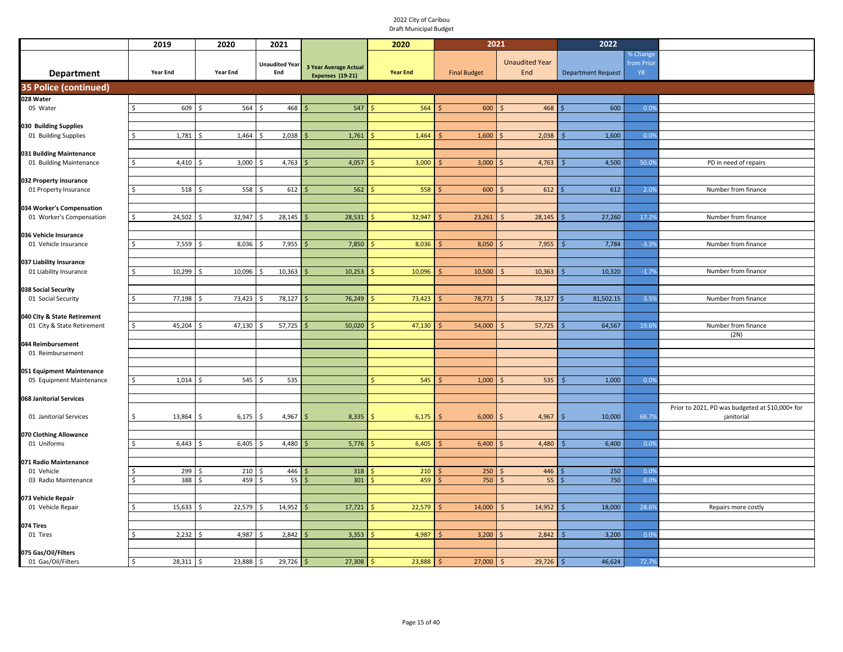|                                                   | 2019             | 2020            | 2021                         |                                                  | 2020            | 2021                |                              | 2022                      |                                     |                                                 |
|---------------------------------------------------|------------------|-----------------|------------------------------|--------------------------------------------------|-----------------|---------------------|------------------------------|---------------------------|-------------------------------------|-------------------------------------------------|
| <b>Department</b>                                 | <b>Year End</b>  | <b>Year End</b> | <b>Unaudited Year</b><br>End | <b>3 Year Average Actual</b><br>Expenses (19-21) | <b>Year End</b> | <b>Final Budget</b> | <b>Unaudited Year</b><br>End | <b>Department Request</b> | % Change<br>from Prior<br><b>YR</b> |                                                 |
| 35 Police (continued)                             |                  |                 |                              |                                                  |                 |                     |                              |                           |                                     |                                                 |
| 028 Water                                         |                  |                 |                              |                                                  |                 |                     |                              |                           |                                     |                                                 |
| 05 Water                                          | Š.<br>609 \$     | 564             | 468<br>Ŝ                     | 547                                              | 564             | 600                 | 468<br>Ś                     | 600                       | 0.09                                |                                                 |
| 030 Building Supplies                             |                  |                 |                              |                                                  |                 |                     |                              |                           |                                     |                                                 |
| 01 Building Supplies                              | 1,781            | 1,464<br>-Ŝ     | 2,038                        | 1,761<br>$\zeta$                                 | 1,464           | 1,600               | 2,038                        | 1,600                     | 0.09                                |                                                 |
|                                                   |                  |                 |                              |                                                  |                 |                     |                              |                           |                                     |                                                 |
| 031 Building Maintenance                          |                  |                 |                              |                                                  |                 |                     |                              |                           |                                     |                                                 |
| 01 Building Maintenance                           | 4,410<br>S       | 3,000           | 4,763                        | 4,057                                            | 3,000           | 3,000               | 4,763                        | 4,500                     | 50.09                               | PD in need of repairs                           |
| 032 Property Insurance                            |                  |                 |                              |                                                  |                 |                     |                              |                           |                                     |                                                 |
| 01 Property Insurance                             | $518$ \$<br>\$.  | 558             | 612<br>-Ś                    | 562                                              | 558             | 600                 | 612                          | 612                       | 2.0%                                | Number from finance                             |
|                                                   |                  |                 |                              |                                                  |                 |                     |                              |                           |                                     |                                                 |
| 034 Worker's Compensation                         | Ś.               |                 | 28,145                       |                                                  |                 |                     |                              |                           | 17.29                               | Number from finance                             |
| 01 Worker's Compensation                          | 24,502           | 32,947          |                              | 28,531                                           | 32,947          | 23,261              | 28,145                       | 27,260                    |                                     |                                                 |
| 036 Vehicle Insurance                             |                  |                 |                              |                                                  |                 |                     |                              |                           |                                     |                                                 |
| 01 Vehicle Insurance                              | $7,559$ \$<br>Ŝ. | 8,036           | 7,955<br>Ŝ.                  | 7,850                                            | 8,036           | 8,050               | 7,955                        | 7,784                     | $-3.39$                             | Number from finance                             |
|                                                   |                  |                 |                              |                                                  |                 |                     |                              |                           |                                     |                                                 |
| 037 Liability Insurance<br>01 Liability Insurance | $10,299$ \$<br>Ś | 10,096          | 10,363<br>Ŝ.                 | 10,253                                           | 10,096          | 10,500              | 10,363                       | 10,320                    | $-1.79$                             | Number from finance                             |
|                                                   |                  |                 |                              |                                                  |                 |                     |                              |                           |                                     |                                                 |
| 038 Social Security                               |                  |                 |                              |                                                  |                 |                     |                              |                           |                                     |                                                 |
| 01 Social Security                                | 77,198           | 73,423          | 78,127<br>-S                 | 76,249                                           | 73,423          | 78,771              | 78,127<br>$\mathsf{S}$       | 81,502.15                 | 3.59                                | Number from finance                             |
| 040 City & State Retirement                       |                  |                 |                              |                                                  |                 |                     |                              |                           |                                     |                                                 |
| 01 City & State Retirement                        | 45,204           | 47,130          | 57,725                       | 50,020                                           | 47,130          | 54,000              | 57,725                       | 64,567                    | 19.69                               | Number from finance                             |
|                                                   |                  |                 |                              |                                                  |                 |                     |                              |                           |                                     | (2N)                                            |
| 044 Reimbursement                                 |                  |                 |                              |                                                  |                 |                     |                              |                           |                                     |                                                 |
| 01 Reimbursement                                  |                  |                 |                              |                                                  |                 |                     |                              |                           |                                     |                                                 |
| 051 Equipment Maintenance                         |                  |                 |                              |                                                  |                 |                     |                              |                           |                                     |                                                 |
| 05 Equipment Maintenance                          | 1,014            | 545             | 535                          |                                                  | 545             | 1,000               | 535                          | 1,000                     | 0.09                                |                                                 |
|                                                   |                  |                 |                              |                                                  |                 |                     |                              |                           |                                     |                                                 |
| 068 Janitorial Services                           |                  |                 |                              |                                                  |                 |                     |                              |                           |                                     | Prior to 2021, PD was budgeted at \$10,000+ for |
| 01 Janitorial Services                            | 13,864<br>ς.     | 6,175<br>-S     | $4,967$ \$<br>Ŝ.             | 8,335                                            | 6,175           | 6,000               | 4,967                        | 10,000                    | 66.7%                               | janitorial                                      |
|                                                   |                  |                 |                              |                                                  |                 |                     |                              |                           |                                     |                                                 |
| 070 Clothing Allowance                            |                  |                 |                              |                                                  |                 |                     |                              |                           |                                     |                                                 |
| 01 Uniforms                                       | 6,443            | 6,405           | 4,480                        | 5,776                                            | 6,405           | 6,400               | 4,480                        | 6,400                     | 0.09                                |                                                 |
| 071 Radio Maintenance                             |                  |                 |                              |                                                  |                 |                     |                              |                           |                                     |                                                 |
| 01 Vehicle                                        | 299              | 210             | 446<br>-S                    | 318                                              | 210             | 250                 | 446                          | 250                       | 0.09                                |                                                 |
| 03 Radio Maintenance                              | 388<br>S         | 459<br>- \$     | 55<br>$\zeta$                | 301                                              | 459             | 750                 | 55                           | 750                       | 0.0%                                |                                                 |
|                                                   |                  |                 |                              |                                                  |                 |                     |                              |                           |                                     |                                                 |
| 073 Vehicle Repair<br>01 Vehicle Repair           | 15,633           | 22,579          | 14,952                       | 17,721                                           | 22,579          | 14,000              | 14,952                       | 18,000                    | 28.69                               | Repairs more costly                             |
|                                                   |                  |                 |                              |                                                  |                 |                     |                              |                           |                                     |                                                 |
| 074 Tires                                         |                  |                 |                              |                                                  |                 |                     |                              |                           |                                     |                                                 |
| 01 Tires                                          | $2,232$ \$       | 4,987           | 2,842<br>Ŝ.                  | 3,353                                            | 4,987           | 3,200               | 2,842                        | 3,200                     | 0.09                                |                                                 |
| 075 Gas/Oil/Filters                               |                  |                 |                              |                                                  |                 |                     |                              |                           |                                     |                                                 |
| 01 Gas/Oil/Filters                                | $28,311$ \$      | 23,888          | $29,726$ \$<br>\$            | 27,308                                           | 23,888          | 27,000              | 29,726<br>$\zeta$            | 46,624<br>\$              | 72.79                               |                                                 |
|                                                   |                  |                 |                              |                                                  |                 |                     |                              |                           |                                     |                                                 |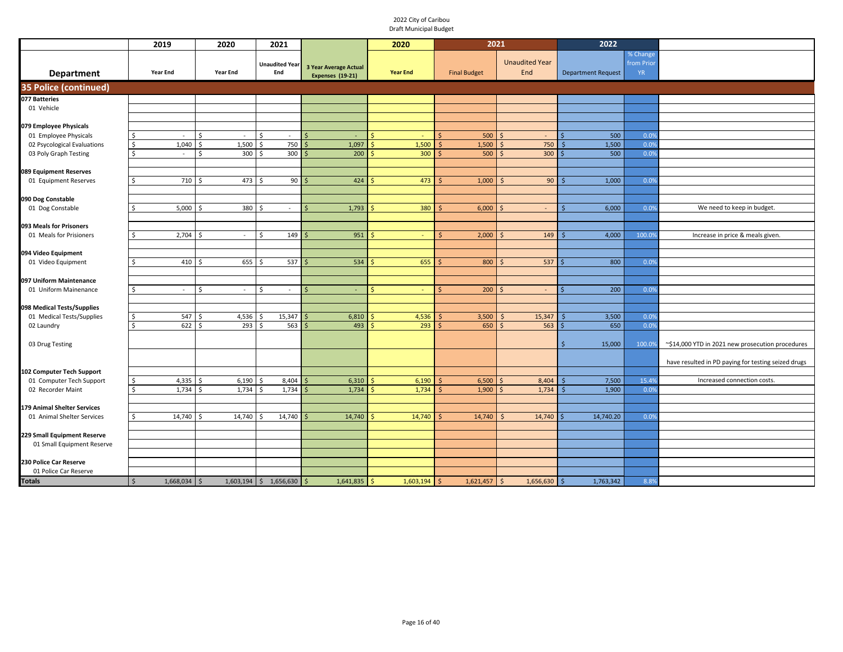|                                                           | 2019                    | 2020            | 2021                         |                                                  | 2020            |                     | 2021                         | 2022                      |                                     |                                                     |
|-----------------------------------------------------------|-------------------------|-----------------|------------------------------|--------------------------------------------------|-----------------|---------------------|------------------------------|---------------------------|-------------------------------------|-----------------------------------------------------|
| <b>Department</b>                                         | <b>Year End</b>         | <b>Year End</b> | <b>Unaudited Year</b><br>End | <b>3 Year Average Actual</b><br>Expenses (19-21) | <b>Year End</b> | <b>Final Budget</b> | <b>Unaudited Year</b><br>End | <b>Department Request</b> | % Change<br>from Prior<br><b>YR</b> |                                                     |
| <b>35 Police (continued)</b>                              |                         |                 |                              |                                                  |                 |                     |                              |                           |                                     |                                                     |
| 077 Batteries                                             |                         |                 |                              |                                                  |                 |                     |                              |                           |                                     |                                                     |
| 01 Vehicle                                                |                         |                 |                              |                                                  |                 |                     |                              |                           |                                     |                                                     |
|                                                           |                         |                 |                              |                                                  |                 |                     |                              |                           |                                     |                                                     |
| 079 Employee Physicals<br>01 Employee Physicals           | .s<br>$\sim$            | $\sim$          | Ŝ<br>$\sim$                  | $\sim$                                           |                 | 500                 | $\sim$                       | 500                       | 0.0%                                |                                                     |
| 02 Psycological Evaluations                               | 1,040<br>$\frac{1}{2}$  | 1,500<br>Ś      | 750<br>Ŝ.                    | 1,097                                            | 1,500           | 1,500<br>Ś          | 750<br>Ŝ                     | 1,500<br>Ś                | 0.0%                                |                                                     |
| 03 Poly Graph Testing                                     | $\mathsf{S}$<br>$\sim$  | 300<br>Ś        | 300<br>Ŝ.                    | 200                                              | 300             | 500                 | 300<br>Ŝ                     | 500                       | 0.0%                                |                                                     |
|                                                           |                         |                 |                              |                                                  |                 |                     |                              |                           |                                     |                                                     |
| 089 Equipment Reserves                                    |                         |                 |                              |                                                  |                 |                     |                              |                           |                                     |                                                     |
| 01 Equipment Reserves                                     | 710<br>\$               | 473<br>\$       | 90<br>S.                     | 424                                              | 473             | 1,000               | 90<br><sup>5</sup>           | 1,000<br>Ś                | 0.0%                                |                                                     |
|                                                           |                         |                 |                              |                                                  |                 |                     |                              |                           |                                     |                                                     |
| 090 Dog Constable<br>01 Dog Constable                     | 5,000<br>ς.             | 380             | $\sim$                       | 1,793                                            | 380             | 6,000               | $\sim$                       | 6,000<br>ς                | 0.09                                | We need to keep in budget.                          |
|                                                           |                         |                 |                              |                                                  |                 |                     |                              |                           |                                     |                                                     |
| 093 Meals for Prisoners                                   |                         |                 |                              |                                                  |                 |                     |                              |                           |                                     |                                                     |
| 01 Meals for Prisioners                                   | 2,704<br>Ŝ.             | $\sim$          | 149<br>Ŝ.                    | 951                                              | $\sim$          | 2,000               | 149                          | 4,000                     | 100.09                              | Increase in price & meals given.                    |
|                                                           |                         |                 |                              |                                                  |                 |                     |                              |                           |                                     |                                                     |
| 094 Video Equipment                                       |                         |                 |                              |                                                  |                 |                     |                              |                           |                                     |                                                     |
| 01 Video Equipment                                        | 410                     | 655             | 537                          | 534                                              | 655             | 800                 | 537                          | 800                       | 0.09                                |                                                     |
|                                                           |                         |                 |                              |                                                  |                 |                     |                              |                           |                                     |                                                     |
| 097 Uniform Maintenance<br>01 Uniform Mainenance          | Ŝ.<br>$\sim$            | ς<br>$\sim$     | Ŝ<br>$\sim$                  | $\sim$                                           | $\sim$          | 200                 | $\sim$                       | 200                       | 0.09                                |                                                     |
|                                                           |                         |                 |                              |                                                  |                 |                     |                              |                           |                                     |                                                     |
| 098 Medical Tests/Supplies                                |                         |                 |                              |                                                  |                 |                     |                              |                           |                                     |                                                     |
| 01 Medical Tests/Supplies                                 | 547<br>\$               | 4,536           | 15,347                       | 6,810                                            | 4,536           | 3,500               | 15,347                       | 3,500                     | 0.09                                |                                                     |
| 02 Laundry                                                | 622<br>Ŝ.               | 293             | 563                          | 493                                              | 293             | 650                 | 563                          | 650                       | 0.0%                                |                                                     |
|                                                           |                         |                 |                              |                                                  |                 |                     |                              |                           |                                     |                                                     |
| 03 Drug Testing                                           |                         |                 |                              |                                                  |                 |                     |                              | 15,000<br>Ŝ               | 100.0%                              | ~\$14,000 YTD in 2021 new prosecution procedures    |
|                                                           |                         |                 |                              |                                                  |                 |                     |                              |                           |                                     | have resulted in PD paying for testing seized drugs |
| 102 Computer Tech Support                                 |                         |                 |                              |                                                  |                 |                     |                              |                           |                                     |                                                     |
| 01 Computer Tech Support                                  | 4,335<br><sup>\$</sup>  | 6,190           | 8,404                        | 6,310                                            | 6,190           | 6,500               | 8,404                        | 7,500                     | 15.49                               | Increased connection costs.                         |
| 02 Recorder Maint                                         | 1,734<br><sup>\$</sup>  | 1,734           | 1,734                        | 1,734                                            | 1,734           | 1,900               | 1,734                        | 1,900                     | 0.0%                                |                                                     |
|                                                           |                         |                 |                              |                                                  |                 |                     |                              |                           |                                     |                                                     |
| 179 Animal Shelter Services                               |                         |                 |                              |                                                  |                 |                     |                              |                           |                                     |                                                     |
| 01 Animal Shelter Services                                | 14,740                  | 14,740          | 14,740                       | 14,740                                           | 14,740          | 14,740              | 14,740                       | 14,740.20                 | 0.0%                                |                                                     |
|                                                           |                         |                 |                              |                                                  |                 |                     |                              |                           |                                     |                                                     |
| 229 Small Equipment Reserve<br>01 Small Equipment Reserve |                         |                 |                              |                                                  |                 |                     |                              |                           |                                     |                                                     |
|                                                           |                         |                 |                              |                                                  |                 |                     |                              |                           |                                     |                                                     |
| 230 Police Car Reserve                                    |                         |                 |                              |                                                  |                 |                     |                              |                           |                                     |                                                     |
| 01 Police Car Reserve                                     |                         |                 |                              |                                                  |                 |                     |                              |                           |                                     |                                                     |
| <b>Totals</b>                                             | $\zeta$<br>1,668,034 \$ |                 | $1,603,194$ \$ 1,656,630 \$  | $1,641,835$ \$                                   | $1,603,194$ \$  | $1,621,457$ \$      | $1,656,630$ \$               | 1,763,342                 | 8.8%                                |                                                     |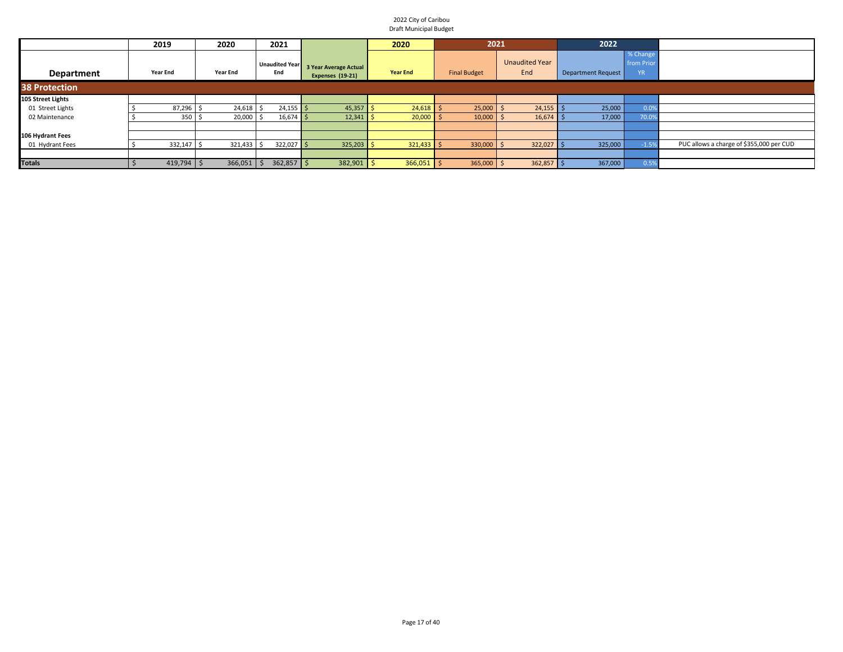|                      | 2019            | 2020            | 2021                  |                                           | 2020            | 2021                |                              | 2022                      |                                     |                                          |
|----------------------|-----------------|-----------------|-----------------------|-------------------------------------------|-----------------|---------------------|------------------------------|---------------------------|-------------------------------------|------------------------------------------|
| Department           | <b>Year End</b> | <b>Year End</b> | Unaudited Year<br>End | 3 Year Average Actual<br>Expenses (19-21) | <b>Year End</b> | <b>Final Budget</b> | <b>Unaudited Year</b><br>End | <b>Department Request</b> | % Change<br>from Prior<br><b>YR</b> |                                          |
| <b>38 Protection</b> |                 |                 |                       |                                           |                 |                     |                              |                           |                                     |                                          |
| 105 Street Lights    |                 |                 |                       |                                           |                 |                     |                              |                           |                                     |                                          |
| 01 Street Lights     | 87,296          | 24,618          | $24,155$ \$           | 45,357                                    | 24,618          | 25,000              | $24,155$ \$                  | 25,000                    |                                     |                                          |
| 02 Maintenance       | 350             | 20,000          | $16,674$ \$           | 12,341                                    | 20,000          | 10,000              | $16,674$ \$                  | 17,000                    | 70.0                                |                                          |
|                      |                 |                 |                       |                                           |                 |                     |                              |                           |                                     |                                          |
| 106 Hydrant Fees     |                 |                 |                       |                                           |                 |                     |                              |                           |                                     |                                          |
| 01 Hydrant Fees      | 332,147         | 321,433         | $322,027$ \$          | 325,203                                   | 321,433         | 330,000             | 322,027                      | 325,000                   |                                     | PUC allows a charge of \$355,000 per CUD |
|                      |                 |                 |                       |                                           |                 |                     |                              |                           |                                     |                                          |
| <b>Totals</b>        | $419,794$ \$    | 366,051         | $362,857$ \$          | 382,901                                   | $366,051$ \$    | 365,000             | $362,857$ \$                 | 367,000                   |                                     |                                          |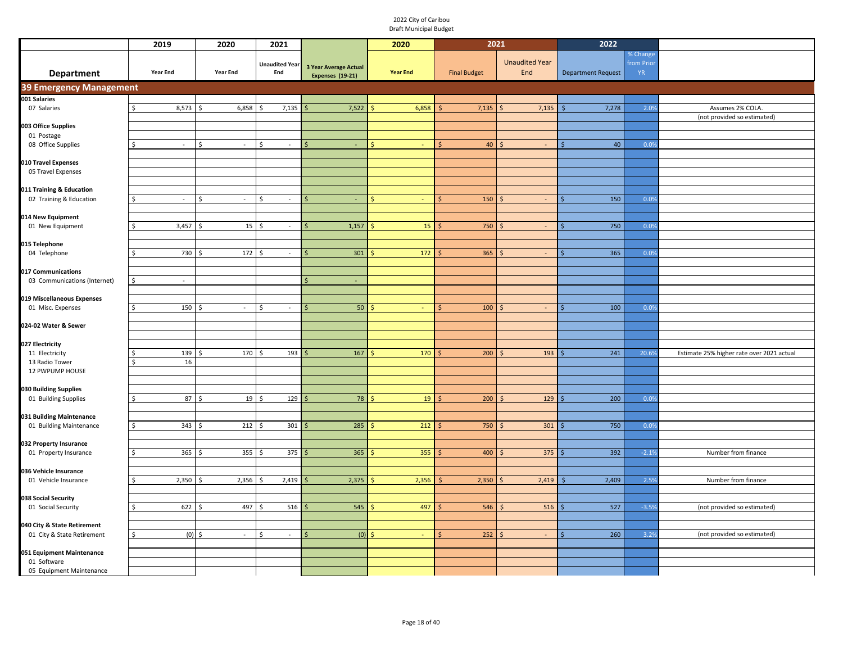|                                                    | 2019           | 2020         | 2021                         |                                           | 2020            | 2021                |                              | 2022                      |                                     |                                           |
|----------------------------------------------------|----------------|--------------|------------------------------|-------------------------------------------|-----------------|---------------------|------------------------------|---------------------------|-------------------------------------|-------------------------------------------|
| Department                                         | Year End       | Year End     | <b>Unaudited Year</b><br>End | 3 Year Average Actual<br>Expenses (19-21) | <b>Year End</b> | <b>Final Budget</b> | <b>Unaudited Year</b><br>End | <b>Department Request</b> | % Change<br>from Prior<br><b>YR</b> |                                           |
| <b>39 Emergency Management</b>                     |                |              |                              |                                           |                 |                     |                              |                           |                                     |                                           |
| 001 Salaries                                       |                |              |                              |                                           |                 |                     |                              |                           |                                     |                                           |
| 07 Salaries                                        | 8,573          | 6,858<br>-\$ | 7,135                        | 7,522<br><sup>5</sup>                     | 6,858           | 7,135               | $\mathsf{S}$<br>7,135        | 7,278<br>Ŝ.               | 2.0%                                | Assumes 2% COLA.                          |
|                                                    |                |              |                              |                                           |                 |                     |                              |                           |                                     | (not provided so estimated)               |
| 003 Office Supplies<br>01 Postage                  |                |              |                              |                                           |                 |                     |                              |                           |                                     |                                           |
| 08 Office Supplies                                 | $\sim$         | $\omega$     | Ŝ.<br>$\sim$                 | ς.                                        | $\sim$          | 40<br>Ś             | S.                           | 40                        | 0.0%                                |                                           |
|                                                    |                |              |                              |                                           |                 |                     |                              |                           |                                     |                                           |
| 010 Travel Expenses                                |                |              |                              |                                           |                 |                     |                              |                           |                                     |                                           |
| 05 Travel Expenses                                 |                |              |                              |                                           |                 |                     |                              |                           |                                     |                                           |
| 011 Training & Education                           |                |              |                              |                                           |                 |                     |                              |                           |                                     |                                           |
| 02 Training & Education                            | $\omega$       | \$<br>$\sim$ | \$<br>$\sim$                 | $\blacksquare$                            |                 | 150                 | -Ś<br>$\omega$               | 150                       | 0.0%                                |                                           |
|                                                    |                |              |                              |                                           |                 |                     |                              |                           |                                     |                                           |
| 014 New Equipment<br>01 New Equipment              | 3,457          | 15<br>Š.     | \$<br>$\sim$                 | 1,157                                     | 15              | 750                 | $\omega$<br>$\zeta$          | 750                       | 0.0%                                |                                           |
|                                                    |                |              |                              |                                           |                 |                     |                              |                           |                                     |                                           |
| 015 Telephone                                      |                |              |                              |                                           |                 |                     |                              |                           |                                     |                                           |
| 04 Telephone                                       | 730            | 172<br>\$    | \$<br>$\sim$                 | 301                                       | 172             | 365                 | -\$<br>$\sim$                | 365<br>Ś                  | 0.0%                                |                                           |
|                                                    |                |              |                              |                                           |                 |                     |                              |                           |                                     |                                           |
| 017 Communications<br>03 Communications (Internet) | $\omega$       |              |                              | $\mathsf{S}$<br>÷.                        |                 |                     |                              |                           |                                     |                                           |
|                                                    |                |              |                              |                                           |                 |                     |                              |                           |                                     |                                           |
| 019 Miscellaneous Expenses                         |                |              |                              |                                           |                 |                     |                              |                           |                                     |                                           |
| 01 Misc. Expenses                                  | \$<br>150      | $\omega$     | Ŝ.<br>$\sim$                 | 50<br>Ś                                   |                 | 100                 | $\sim$                       | 100                       | 0.0%                                |                                           |
| 024-02 Water & Sewer                               |                |              |                              |                                           |                 |                     |                              |                           |                                     |                                           |
|                                                    |                |              |                              |                                           |                 |                     |                              |                           |                                     |                                           |
| 027 Electricity                                    |                |              |                              |                                           |                 |                     |                              |                           |                                     |                                           |
| 11 Electricity                                     | 139<br>ς.      | 170          | 193                          | 167                                       | 170             | 200                 | 193<br>Ŝ                     | 241                       | 20.6%                               | Estimate 25% higher rate over 2021 actual |
| 13 Radio Tower<br>12 PWPUMP HOUSE                  | 16             |              |                              |                                           |                 |                     |                              |                           |                                     |                                           |
|                                                    |                |              |                              |                                           |                 |                     |                              |                           |                                     |                                           |
| 030 Building Supplies                              |                |              |                              |                                           |                 |                     |                              |                           |                                     |                                           |
| 01 Building Supplies                               | 87             | 19<br>-S     | 129<br>-S                    | 78                                        | 19              | 200                 | 129<br>-Ś                    | 200                       | 0.0%                                |                                           |
| 031 Building Maintenance                           |                |              |                              |                                           |                 |                     |                              |                           |                                     |                                           |
| 01 Building Maintenance                            | $343 \quad $5$ | 212          | 301<br>\$.                   | 285<br>Ŝ.                                 | 212             | 750<br>Ś            | 301<br>$\sim$                | 750<br>Ś                  | 0.0%                                |                                           |
|                                                    |                |              |                              |                                           |                 |                     |                              |                           |                                     |                                           |
| 032 Property Insurance                             |                | Š.           |                              |                                           | 355             | 400                 | 375<br>-Ś                    | 392                       | $-2.1%$                             |                                           |
| 01 Property Insurance                              | 365            | 355          | 375                          | 365                                       |                 |                     |                              |                           |                                     | Number from finance                       |
| 036 Vehicle Insurance                              |                |              |                              |                                           |                 |                     |                              |                           |                                     |                                           |
| 01 Vehicle Insurance                               | 2,350          | 2,356        | 2,419                        | 2,375                                     | 2,356           | 2,350               | 2,419<br>l \$                | 2,409                     | 2.5%                                | Number from finance                       |
|                                                    |                |              |                              |                                           |                 |                     |                              |                           |                                     |                                           |
| 038 Social Security<br>01 Social Security          | 622<br>S.      | 497          | 516                          | 545                                       | 497             | 546                 | 516                          | 527                       | $-3.59$                             | (not provided so estimated)               |
|                                                    |                |              |                              |                                           |                 |                     |                              |                           |                                     |                                           |
| 040 City & State Retirement                        |                |              |                              |                                           |                 |                     |                              |                           |                                     |                                           |
| 01 City & State Retirement                         | $(0)$ \$       | $\sim$       | Ŝ.<br>$\sim$                 | (0)                                       |                 | 252                 | -S                           | 260                       | 3.2%                                | (not provided so estimated)               |
| 051 Equipment Maintenance                          |                |              |                              |                                           |                 |                     |                              |                           |                                     |                                           |
| 01 Software                                        |                |              |                              |                                           |                 |                     |                              |                           |                                     |                                           |
| 05 Equipment Maintenance                           |                |              |                              |                                           |                 |                     |                              |                           |                                     |                                           |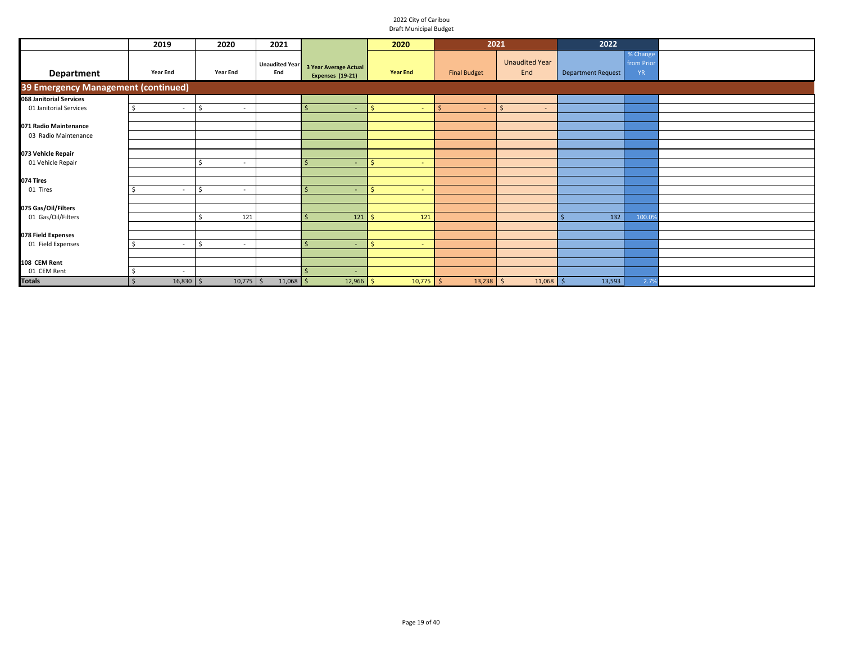|                                         | 2019                              | 2020                    | 2021                         |                                                  | 2020                 | 2021                   |                              | 2022               |                                    |  |
|-----------------------------------------|-----------------------------------|-------------------------|------------------------------|--------------------------------------------------|----------------------|------------------------|------------------------------|--------------------|------------------------------------|--|
| <b>Department</b>                       | <b>Year End</b>                   | <b>Year End</b>         | <b>Unaudited Year</b><br>End | 3 Year Average Actual<br><b>Expenses (19-21)</b> | <b>Year End</b>      | <b>Final Budget</b>    | <b>Unaudited Year</b><br>End | Department Request | % Change<br>from Prio<br><b>YR</b> |  |
| 39 Emergency Management (continued)     |                                   |                         |                              |                                                  |                      |                        |                              |                    |                                    |  |
| 068 Janitorial Services                 |                                   |                         |                              |                                                  |                      |                        |                              |                    |                                    |  |
| 01 Janitorial Services                  | $\sim$                            | \$<br>$\sim$            |                              | $\sim$                                           | Ŝ.<br><b>College</b> | $\mathsf{S}$<br>$\sim$ | $\mathsf{\hat{S}}$<br>$\sim$ |                    |                                    |  |
|                                         |                                   |                         |                              |                                                  |                      |                        |                              |                    |                                    |  |
| 071 Radio Maintenance                   |                                   |                         |                              |                                                  |                      |                        |                              |                    |                                    |  |
| 03 Radio Maintenance                    |                                   |                         |                              |                                                  |                      |                        |                              |                    |                                    |  |
|                                         |                                   |                         |                              |                                                  |                      |                        |                              |                    |                                    |  |
| 073 Vehicle Repair<br>01 Vehicle Repair |                                   | Ś                       |                              | $\sim$                                           | Š.<br>$\sim$         |                        |                              |                    |                                    |  |
|                                         |                                   |                         |                              |                                                  |                      |                        |                              |                    |                                    |  |
| 074 Tires                               |                                   |                         |                              |                                                  |                      |                        |                              |                    |                                    |  |
| 01 Tires                                | $\sim$                            | $\mathsf{S}$<br>$\sim$  |                              | $\sim$                                           | Ŝ.<br>control        |                        |                              |                    |                                    |  |
|                                         |                                   |                         |                              |                                                  |                      |                        |                              |                    |                                    |  |
| 075 Gas/Oil/Filters                     |                                   |                         |                              |                                                  |                      |                        |                              |                    |                                    |  |
| 01 Gas/Oil/Filters                      |                                   | 121                     |                              | 121                                              | 121                  |                        |                              | 132                | 100.0%                             |  |
|                                         |                                   |                         |                              |                                                  |                      |                        |                              |                    |                                    |  |
| 078 Field Expenses                      |                                   |                         |                              |                                                  |                      |                        |                              |                    |                                    |  |
| 01 Field Expenses                       | $\sim$                            | <sup>\$</sup><br>$\sim$ |                              | $\sim$                                           | ς.<br>$\sim$         |                        |                              |                    |                                    |  |
|                                         |                                   |                         |                              |                                                  |                      |                        |                              |                    |                                    |  |
| 108 CEM Rent                            |                                   |                         |                              |                                                  |                      |                        |                              |                    |                                    |  |
| 01 CEM Rent                             | $\sim$                            |                         |                              | $\overline{\phantom{a}}$                         |                      |                        |                              |                    |                                    |  |
| <b>Totals</b>                           | $16,830$ \$<br>$\mathsf{\hat{S}}$ | $10,775$ \$             | $11,068$ \$                  | 12,966                                           | $10,775$ \$<br>.s    | $13,238$ \$            | $11,068$ \$                  | 13,593             | 2.7%                               |  |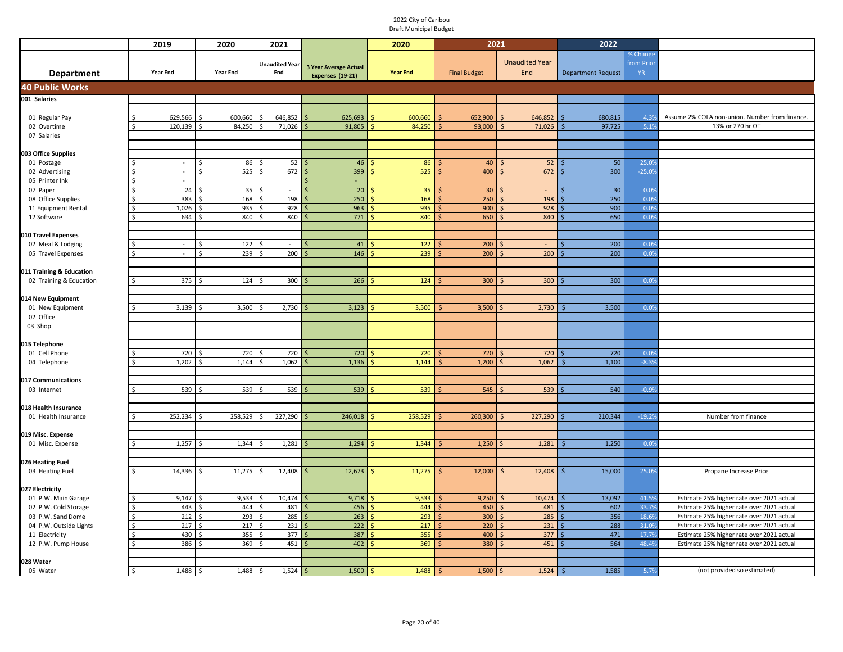|                          | 2019                             | 2020            | 2021                  |                              | 2020                       | 2021                |                                       | 2022                      |                 |                                                |
|--------------------------|----------------------------------|-----------------|-----------------------|------------------------------|----------------------------|---------------------|---------------------------------------|---------------------------|-----------------|------------------------------------------------|
|                          |                                  |                 |                       |                              |                            |                     |                                       |                           | % Change        |                                                |
|                          |                                  |                 | <b>Unaudited Year</b> | <b>3 Year Average Actual</b> |                            |                     | <b>Unaudited Year</b>                 |                           | from Prior      |                                                |
| <b>Department</b>        | <b>Year End</b>                  | <b>Year End</b> | End                   | Expenses (19-21)             | <b>Year End</b>            | <b>Final Budget</b> | End                                   | <b>Department Request</b> | <b>YR</b>       |                                                |
| <b>40 Public Works</b>   |                                  |                 |                       |                              |                            |                     |                                       |                           |                 |                                                |
| 001 Salaries             |                                  |                 |                       |                              |                            |                     |                                       |                           |                 |                                                |
|                          |                                  |                 |                       |                              |                            |                     |                                       |                           |                 |                                                |
| 01 Regular Pay           | 629,566<br>Ŝ.                    | 600,660<br>Ŝ.   | 646,852               | 625,693                      | 600,660                    | 652,900             | 646,852                               | 680,815                   | 4.3%            | Assume 2% COLA non-union. Number from finance. |
| 02 Overtime              | 120,139<br>$\breve{\phantom{a}}$ | 84,250          | 71,026                | 91,805                       | 84,250                     | 93,000              | 71,026                                | 97,725                    | 5.1%            | 13% or 270 hr OT                               |
| 07 Salaries              |                                  |                 |                       |                              |                            |                     |                                       |                           |                 |                                                |
|                          |                                  |                 |                       |                              |                            |                     |                                       |                           |                 |                                                |
| 003 Office Supplies      |                                  |                 |                       |                              |                            |                     |                                       |                           |                 |                                                |
| 01 Postage               | $\sim$                           | Ś<br>86         | 52                    | 46                           | 86                         | 40                  | 52                                    | 50                        | 25.09           |                                                |
| 02 Advertising           | $\sim$                           | $\zeta$<br>525  | 672                   | 399                          | 525                        | 400                 | 672                                   | 300                       | $-25.09$        |                                                |
| 05 Printer Ink           | $\sim$                           |                 |                       | $\overline{\phantom{a}}$     |                            |                     |                                       |                           |                 |                                                |
| 07 Paper                 | 24                               | 35              |                       | 20<br>$\ddot{\varsigma}$     | 35                         | 30                  |                                       | 30 <sub>o</sub>           | 0.09            |                                                |
| 08 Office Supplies       | 383                              | 168             | 198                   | 250                          | 168                        | 250                 | 198                                   | 250                       | 0.0%            |                                                |
| 11 Equipment Rental      | 1,026                            | 935             | 928                   | 963                          | 935                        | 900                 | 928                                   | 900                       | 0.0%            |                                                |
| 12 Software              | 634<br>Ŝ.                        | 840<br>.\$      | 840<br>Ŝ              | 771                          | 840                        | 650                 | 840                                   | 650                       | 0.0%            |                                                |
|                          |                                  |                 |                       |                              |                            |                     |                                       |                           |                 |                                                |
| 010 Travel Expenses      |                                  |                 |                       |                              |                            |                     |                                       |                           |                 |                                                |
| 02 Meal & Lodging        | $\sim$                           | 122<br>\$       | $\sim$                | 41                           | 122                        | 200                 |                                       | 200                       | 0.09            |                                                |
| 05 Travel Expenses       | $\zeta$<br>$\omega$              | 239<br>Ŝ.       | 200<br>Ŝ.             | 146<br>$\breve{\varsigma}$   | 239                        | 200                 | 200                                   | 200                       | 0.09            |                                                |
|                          |                                  |                 |                       |                              |                            |                     |                                       |                           |                 |                                                |
| 011 Training & Education |                                  |                 |                       |                              |                            |                     |                                       |                           |                 |                                                |
| 02 Training & Education  | 375                              | 124<br>Ŝ.       | 300                   | 266                          | 124                        | 300                 | 300<br>Ś                              | 300                       | 0.0%            |                                                |
|                          |                                  |                 |                       |                              |                            |                     |                                       |                           |                 |                                                |
| 014 New Equipment        |                                  |                 |                       |                              |                            |                     |                                       |                           |                 |                                                |
| 01 New Equipment         | 3,139                            | 3,500           | 2,730                 | 3,123                        | 3,500                      | 3,500               | 2,730                                 | 3,500                     | 0.0%            |                                                |
| 02 Office                |                                  |                 |                       |                              |                            |                     |                                       |                           |                 |                                                |
| 03 Shop                  |                                  |                 |                       |                              |                            |                     |                                       |                           |                 |                                                |
|                          |                                  |                 |                       |                              |                            |                     |                                       |                           |                 |                                                |
| 015 Telephone            |                                  |                 |                       |                              |                            |                     |                                       |                           |                 |                                                |
| 01 Cell Phone            | 720<br>1,202                     | 720<br>1,144    | 720<br>1,062          | 720<br>1,136                 | 720<br>1,144               | 720                 | 720<br>1,062                          | 720<br>1,100              | 0.09<br>$-8.3%$ |                                                |
| 04 Telephone             |                                  |                 |                       |                              |                            | 1,200               |                                       |                           |                 |                                                |
| 017 Communications       |                                  |                 |                       |                              |                            |                     |                                       |                           |                 |                                                |
| 03 Internet              | 539                              | 539<br>.\$      | 539<br>Ŝ.             | 539                          | 539                        | 545                 | 539                                   | 540                       | $-0.99$         |                                                |
|                          |                                  |                 |                       |                              |                            |                     |                                       |                           |                 |                                                |
| 018 Health Insurance     |                                  |                 |                       |                              |                            |                     |                                       |                           |                 |                                                |
| 01 Health Insurance      | 252,234<br>Ŝ.                    | 258,529         | 227,290<br>.s         | 246,018                      | 258,529                    | 260,300             | 227,290<br>Ŝ                          | 210,344                   | $-19.29$        | Number from finance                            |
|                          |                                  |                 |                       |                              |                            |                     |                                       |                           |                 |                                                |
| 019 Misc. Expense        |                                  |                 |                       |                              |                            |                     |                                       |                           |                 |                                                |
| 01 Misc. Expense         | 1,257<br>Š.                      | 1,344<br>ς.     | 1,281                 | 1,294                        | 1,344                      | 1,250               | 1,281<br>$\varsigma$                  | 1,250                     | 0.09            |                                                |
|                          |                                  |                 |                       |                              |                            |                     |                                       |                           |                 |                                                |
| 026 Heating Fuel         |                                  |                 |                       |                              |                            |                     |                                       |                           |                 |                                                |
| 03 Heating Fuel          | 14,336                           | 11,275          | 12,408                | 12,673                       | 11,275                     | 12,000              | 12,408                                | 15,000                    | 25.0%           | Propane Increase Price                         |
|                          |                                  |                 |                       |                              |                            |                     |                                       |                           |                 |                                                |
| 027 Electricity          |                                  |                 |                       |                              |                            |                     |                                       |                           |                 |                                                |
| 01 P.W. Main Garage      | 9,147                            | 9,533<br>Ś,     | 10,474<br>Š.          | 9,718                        | 9,533                      | 9,250               | 10,474                                | 13,092                    | 41.5%           | Estimate 25% higher rate over 2021 actual      |
| 02 P.W. Cold Storage     | 443                              | 444             | 481<br>Ś              | 456                          | 444                        | 450                 | 481                                   | 602                       | 33.7%           | Estimate 25% higher rate over 2021 actual      |
| 03 P.W. Sand Dome        | 212<br><sup>\$</sup>             | 293<br>$\zeta$  | 285<br>Ś              | 263                          | 293                        | 300                 | 285                                   | 356                       | 18.6%           | Estimate 25% higher rate over 2021 actual      |
| 04 P.W. Outside Lights   | \$<br>217                        | 217             | 231<br>\$             | 222                          | 217                        | 220                 | 231                                   | 288                       | 31.0%           | Estimate 25% higher rate over 2021 actual      |
| 11 Electricity           | 430<br><sup>\$</sup>             | 355             | 377<br>Ś              | 387                          | 355                        | 400                 | 377                                   | 471                       | 17.79           | Estimate 25% higher rate over 2021 actual      |
| 12 P.W. Pump House       | 386<br>Ś                         | 369<br>¢        | 451<br>Ś              | 402                          | 369                        | 380                 | 451                                   | 564                       | 48.4%           | Estimate 25% higher rate over 2021 actual      |
|                          |                                  |                 |                       |                              |                            |                     |                                       |                           |                 |                                                |
| 028 Water                |                                  |                 |                       |                              |                            |                     |                                       |                           |                 |                                                |
| 05 Water                 | $\mathsf{\hat{S}}$<br>$1,488$ \$ | 1,488           | Ś<br>$1,524$ \$       | 1,500                        | $\mathsf{S}$<br>$1,488$ \$ | 1,500               | $1,524$ \$<br>$\overline{\mathsf{S}}$ | 1,585                     | 5.79            | (not provided so estimated)                    |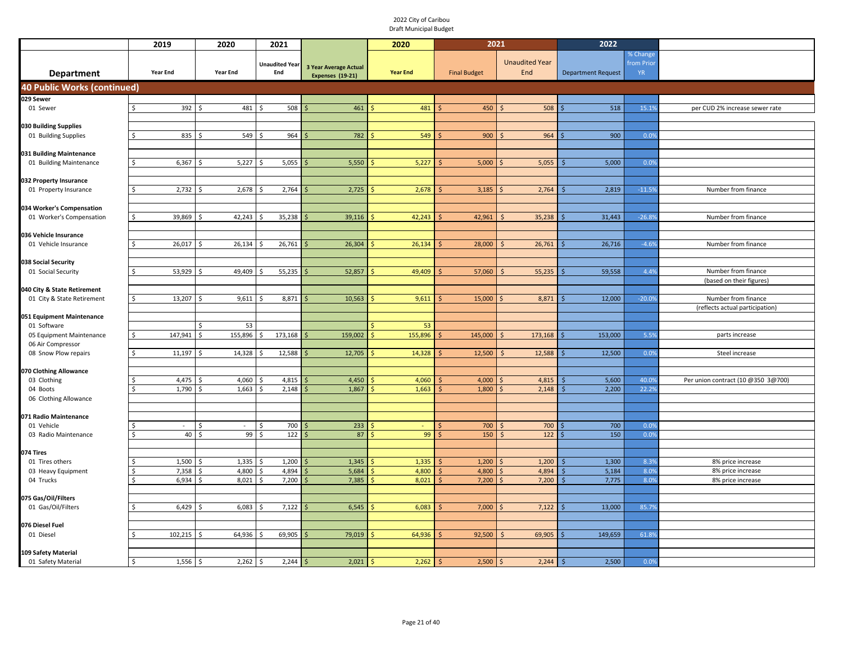|                                                 | 2019                | 2020                   | 2021                         |                                                  | 2020            | 2021                   |                              | 2022                      |                                     |                                                        |
|-------------------------------------------------|---------------------|------------------------|------------------------------|--------------------------------------------------|-----------------|------------------------|------------------------------|---------------------------|-------------------------------------|--------------------------------------------------------|
| <b>Department</b>                               | <b>Year End</b>     | <b>Year End</b>        | <b>Unaudited Year</b><br>End | 3 Year Average Actual<br><b>Expenses (19-21)</b> | <b>Year End</b> | <b>Final Budget</b>    | <b>Unaudited Year</b><br>End | <b>Department Request</b> | % Change<br>from Prior<br><b>YR</b> |                                                        |
| <b>40 Public Works (continued)</b>              |                     |                        |                              |                                                  |                 |                        |                              |                           |                                     |                                                        |
| 029 Sewer                                       |                     |                        |                              |                                                  |                 |                        |                              |                           |                                     |                                                        |
| 01 Sewer                                        | 392                 | Ŝ.<br>481              | 508<br>Ś                     | 461                                              | 481             | 450                    | 508<br>-Ś                    | 518                       | 15.19                               | per CUD 2% increase sewer rate                         |
|                                                 |                     |                        |                              |                                                  |                 |                        |                              |                           |                                     |                                                        |
| 030 Building Supplies<br>01 Building Supplies   | 835                 | 549<br>-Ś              | 964                          | 782                                              | 549             | 900                    | 964                          | 900                       | 0.0%                                |                                                        |
|                                                 |                     |                        |                              |                                                  |                 |                        |                              |                           |                                     |                                                        |
| 031 Building Maintenance                        |                     |                        |                              |                                                  |                 |                        |                              |                           |                                     |                                                        |
| 01 Building Maintenance                         | 6,367               | 5,227                  | 5,055                        | 5,550                                            | 5,227           | 5,000                  | 5,055                        | 5,000                     | 0.0%                                |                                                        |
|                                                 |                     |                        |                              |                                                  |                 |                        |                              |                           |                                     |                                                        |
| 032 Property Insurance<br>01 Property Insurance | 2,732<br>Ś          | 2,678                  | 2,764                        | 2,725                                            | 2,678           | 3,185                  | 2,764                        | 2,819                     | $-11.5%$                            | Number from finance                                    |
|                                                 |                     |                        |                              |                                                  |                 |                        |                              |                           |                                     |                                                        |
| 034 Worker's Compensation                       |                     |                        |                              |                                                  |                 |                        |                              |                           |                                     |                                                        |
| 01 Worker's Compensation                        | Ś<br>39,869         | 42,243                 | 35,238                       | 39,116                                           | 42,243          | 42,961                 | 35,238                       | 31,443                    | $-26.8%$                            | Number from finance                                    |
|                                                 |                     |                        |                              |                                                  |                 |                        |                              |                           |                                     |                                                        |
| 036 Vehicle Insurance                           | Ś                   |                        |                              |                                                  |                 |                        |                              |                           | $-4.6%$                             | Number from finance                                    |
| 01 Vehicle Insurance                            | 26,017              | 26,134                 | 26,761                       | 26,304                                           | 26,134          | 28,000                 | 26,761                       | 26,716                    |                                     |                                                        |
| 038 Social Security                             |                     |                        |                              |                                                  |                 |                        |                              |                           |                                     |                                                        |
| 01 Social Security                              | 53,929              | 49,409<br>- \$         | 55,235<br>S,                 | 52,857                                           | 49,409          | 57,060                 | 55,235                       | 59,558<br>Ś               | 4.4%                                | Number from finance                                    |
|                                                 |                     |                        |                              |                                                  |                 |                        |                              |                           |                                     | (based on their figures)                               |
| 040 City & State Retirement                     |                     |                        |                              |                                                  |                 |                        |                              |                           |                                     |                                                        |
| 01 City & State Retirement                      | 13,207              | 9,611<br>S.            | 8,871                        | 10,563                                           | 9,611           | 15,000                 | 8,871                        | 12,000                    | $-20.09$                            | Number from finance<br>(reflects actual participation) |
| 051 Equipment Maintenance                       |                     |                        |                              |                                                  |                 |                        |                              |                           |                                     |                                                        |
| 01 Software                                     |                     | 53                     |                              |                                                  | 53              |                        |                              |                           |                                     |                                                        |
| 05 Equipment Maintenance                        | 147,941<br>Ś        | 155,896<br>Ŝ.          | 173,168<br>\$                | 159,002                                          | 155,896         | 145,000                | 173,168<br>$\mathsf{S}$      | 153,000                   | 5.5%                                | parts increase                                         |
| 06 Air Compressor                               |                     |                        |                              |                                                  |                 |                        |                              |                           |                                     |                                                        |
| 08 Snow Plow repairs                            | Ś<br>11,197         | 14,328                 | 12,588                       | 12,705                                           | 14,328          | 12,500                 | 12,588                       | 12,500                    | 0.0%                                | Steel increase                                         |
| 070 Clothing Allowance                          |                     |                        |                              |                                                  |                 |                        |                              |                           |                                     |                                                        |
| 03 Clothing                                     | 4,475               | 4,060                  | 4,815                        | 4,450                                            | 4,060           | 4,000                  | 4,815                        | 5,600                     | 40.09                               | Per union contract (10 @350 3@700)                     |
| 04 Boots                                        | 1,790<br>Ś.         | 1,663                  | 2,148                        | 1,867                                            | 1,663           | 1,800                  | 2,148                        | 2,200<br>Ś.               | 22.2%                               |                                                        |
| 06 Clothing Allowance                           |                     |                        |                              |                                                  |                 |                        |                              |                           |                                     |                                                        |
| 071 Radio Maintenance                           |                     |                        |                              |                                                  |                 |                        |                              |                           |                                     |                                                        |
| 01 Vehicle                                      | \$                  | Ŝ.                     | Ŝ.<br>700                    | 233                                              |                 | 700                    | 700                          | 700                       | 0.09                                |                                                        |
| 03 Radio Maintenance                            | $40 \,$ \$<br>Ś     | 99                     | 122<br>Ś                     | 87                                               | 99              | 150                    | 122<br>Ś                     | 150                       | 0.0%                                |                                                        |
|                                                 |                     |                        |                              |                                                  |                 |                        |                              |                           |                                     |                                                        |
| 074 Tires                                       |                     |                        |                              |                                                  |                 |                        |                              |                           |                                     |                                                        |
| 01 Tires others<br>03 Heavy Equipment           | 1,500<br>7,358<br>Ś | 1,335<br>4,800         | 1,200<br>4,894<br>Ŝ.         | 1,345<br>5,684                                   | 1,335<br>4,800  | 1,200<br>4,800         | 1,200<br>4,894               | 1,300<br>5,184<br>\$      | 8.39<br>8.0%                        | 8% price increase<br>8% price increase                 |
| 04 Trucks                                       | Ś<br>6,934          | 8,021                  | 7,200                        | 7,385                                            | 8,021           | 7,200<br>Ŝ             | 7,200                        | 7,775                     | 8.0%                                | 8% price increase                                      |
|                                                 |                     |                        |                              |                                                  |                 |                        |                              |                           |                                     |                                                        |
| 075 Gas/Oil/Filters                             |                     |                        |                              |                                                  |                 |                        |                              |                           |                                     |                                                        |
| 01 Gas/Oil/Filters                              | 6,429<br>¢          | 6,083<br>$\prec$       | 7,122<br><b>&lt;</b>         | 6,545                                            | 6,083           | 7,000                  | 7,122                        | 13,000                    | 85.79                               |                                                        |
| 076 Diesel Fuel                                 |                     |                        |                              |                                                  |                 |                        |                              |                           |                                     |                                                        |
| 01 Diesel                                       | 102,215             | 64,936                 | 69,905                       | 79,019                                           | 64,936          | 92,500                 | 69,905                       | 149,659                   | 61.89                               |                                                        |
|                                                 |                     |                        |                              |                                                  |                 |                        |                              |                           |                                     |                                                        |
| 109 Safety Material                             |                     |                        |                              |                                                  |                 |                        |                              |                           |                                     |                                                        |
| 01 Safety Material                              | 1,556<br>Ś          | <sup>\$</sup><br>2,262 | 2,244<br>Ŝ                   | 2,021<br>Ŝ.                                      | 2,262<br>\$     | 2,500<br><sup>\$</sup> | 2,244                        | 2,500<br>Ś                | 0.0%                                |                                                        |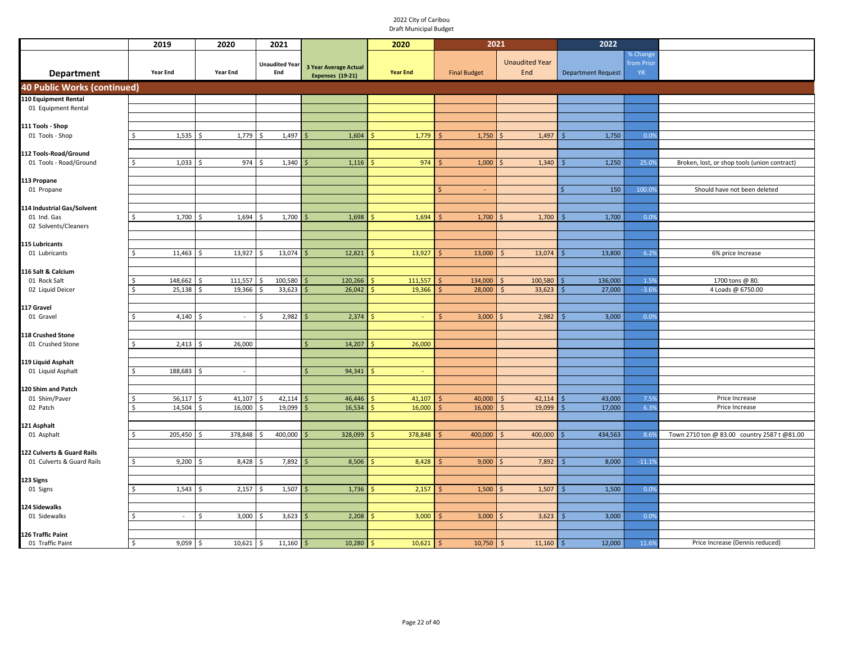|                                    | 2019            | 2020             | 2021                         |                                                  | 2020            | 2021                |                              | 2022                      |                                    |                                              |
|------------------------------------|-----------------|------------------|------------------------------|--------------------------------------------------|-----------------|---------------------|------------------------------|---------------------------|------------------------------------|----------------------------------------------|
| Department                         | <b>Year End</b> | <b>Year End</b>  | <b>Unaudited Year</b><br>End | 3 Year Average Actual<br><b>Expenses (19-21)</b> | <b>Year End</b> | <b>Final Budget</b> | <b>Unaudited Year</b><br>End | <b>Department Request</b> | % Change<br>from Prio<br><b>YR</b> |                                              |
| <b>40 Public Works (continued)</b> |                 |                  |                              |                                                  |                 |                     |                              |                           |                                    |                                              |
| 110 Equipment Rental               |                 |                  |                              |                                                  |                 |                     |                              |                           |                                    |                                              |
| 01 Equipment Rental                |                 |                  |                              |                                                  |                 |                     |                              |                           |                                    |                                              |
|                                    |                 |                  |                              |                                                  |                 |                     |                              |                           |                                    |                                              |
| 111 Tools - Shop                   | 1,535           | 1,779            | 1,497                        | 1,604                                            | 1,779           | 1,750               | 1,497                        | 1,750                     |                                    |                                              |
| 01 Tools - Shop                    |                 |                  |                              |                                                  |                 |                     |                              |                           | 0.09                               |                                              |
| 112 Tools-Road/Ground              |                 |                  |                              |                                                  |                 |                     |                              |                           |                                    |                                              |
| 01 Tools - Road/Ground             | 1,033           | 974<br>Ŝ.        | 1,340                        | 1,116                                            | 974             | 1,000               | 1,340                        | 1,250                     | 25.09                              | Broken, lost, or shop tools (union contract) |
|                                    |                 |                  |                              |                                                  |                 |                     |                              |                           |                                    |                                              |
| 113 Propane                        |                 |                  |                              |                                                  |                 |                     |                              |                           |                                    |                                              |
| 01 Propane                         |                 |                  |                              |                                                  |                 | Ś                   |                              | 150                       | 100.09                             | Should have not been deleted                 |
| 114 Industrial Gas/Solvent         |                 |                  |                              |                                                  |                 |                     |                              |                           |                                    |                                              |
| 01 Ind. Gas                        | 1,700           | 1,694<br>$\zeta$ | 1,700                        | 1,698                                            | 1,694           | 1,700               | 1,700                        | 1,700                     | 0.0%                               |                                              |
| 02 Solvents/Cleaners               |                 |                  |                              |                                                  |                 |                     |                              |                           |                                    |                                              |
|                                    |                 |                  |                              |                                                  |                 |                     |                              |                           |                                    |                                              |
| 115 Lubricants                     |                 |                  |                              |                                                  |                 |                     |                              |                           |                                    |                                              |
| 01 Lubricants                      | 11,463          | 13,927<br>Ŝ.     | 13,074                       | 12,821                                           | 13,927          | 13,000              | 13,074<br>S                  | 13,800                    | 6.2%                               | 6% price Increase                            |
| 116 Salt & Calcium                 |                 |                  |                              |                                                  |                 |                     |                              |                           |                                    |                                              |
| 01 Rock Salt                       | 148,662         | 111,557<br>Ś     | 100,580                      | 120,266                                          | 111,557         | 134,000             | 100,580                      | 136,000                   | 1.59                               | 1700 tons @ 80.                              |
| 02 Liquid Deicer                   | 25,138          | 19,366           | 33,623                       | 26,042                                           | 19,366          | 28,000              | 33,623                       | 27,000                    | $-3.69$                            | 4 Loads @ 6750.00                            |
|                                    |                 |                  |                              |                                                  |                 |                     |                              |                           |                                    |                                              |
| 117 Gravel                         |                 |                  |                              |                                                  |                 |                     |                              |                           |                                    |                                              |
| 01 Gravel                          | 4,140           | $\blacksquare$   | 2,982<br>Ŝ.                  | 2,374                                            |                 | 3,000<br>Ś          | 2,982                        | 3,000                     | 0.0%                               |                                              |
| 118 Crushed Stone                  |                 |                  |                              |                                                  |                 |                     |                              |                           |                                    |                                              |
| 01 Crushed Stone                   | 2,413           | 26,000<br>Ŝ.     |                              | 14,207<br>$\zeta$                                | 26,000          |                     |                              |                           |                                    |                                              |
|                                    |                 |                  |                              |                                                  |                 |                     |                              |                           |                                    |                                              |
| 119 Liquid Asphalt                 |                 |                  |                              |                                                  |                 |                     |                              |                           |                                    |                                              |
| 01 Liquid Asphalt                  | 188,683         | Ŝ.<br>$\sim$     |                              | 94,341                                           | $\sim$          |                     |                              |                           |                                    |                                              |
| 120 Shim and Patch                 |                 |                  |                              |                                                  |                 |                     |                              |                           |                                    |                                              |
| 01 Shim/Paver                      | 56,117          | 41,107<br>Ś      | 42,114                       | 46,446                                           | 41,107          | 40,000              | 42,114                       | 43,000                    | 7.5%                               | Price Increase                               |
| 02 Patch                           | 14,504<br>Ŝ.    | 16,000<br>\$.    | 19,099<br>Ŝ.                 | 16,534                                           | 16,000          | 16,000              | 19,099<br><sup>5</sup>       | 17,000                    | 6.3%                               | Price Increase                               |
|                                    |                 |                  |                              |                                                  |                 |                     |                              |                           |                                    |                                              |
| 121 Asphalt                        |                 |                  |                              |                                                  |                 |                     |                              |                           |                                    |                                              |
| 01 Asphalt                         | 205,450<br>Ŝ.   | 378,848<br>S.    | 400,000<br>Ŝ.                | 328,099                                          | 378,848         | 400,000             | 400,000<br>Ś                 | 434,563                   | 8.69                               | Town 2710 ton @ 83.00 country 2587 t @81.00  |
| 122 Culverts & Guard Rails         |                 |                  |                              |                                                  |                 |                     |                              |                           |                                    |                                              |
| 01 Culverts & Guard Rails          | 9,200<br>Ŝ.     | 8,428<br>\$      | 7,892<br>Ŝ.                  | 8,506                                            | 8,428           | 9,000<br>Ś          | 7,892                        | 8,000                     | $-11.19$                           |                                              |
|                                    |                 |                  |                              |                                                  |                 |                     |                              |                           |                                    |                                              |
| 123 Signs                          |                 |                  |                              |                                                  |                 |                     |                              |                           |                                    |                                              |
| 01 Signs                           | 1,543           | 2,157<br>\$      | 1,507<br>Ŝ                   | 1,736                                            | 2,157           | 1,500<br>Ŝ          | 1,507<br>Ŝ                   | 1,500<br>Ś                | 0.0%                               |                                              |
|                                    |                 |                  |                              |                                                  |                 |                     |                              |                           |                                    |                                              |
| 124 Sidewalks<br>01 Sidewalks      |                 | Ś.               | Š.                           |                                                  |                 |                     |                              | Ś                         |                                    |                                              |
|                                    | $\sim$          | 3,000            | 3,623                        | 2,208                                            | 3,000<br>ς      | 3,000               | 3,623                        | 3,000                     | 0.0%                               |                                              |
| 126 Traffic Paint                  |                 |                  |                              |                                                  |                 |                     |                              |                           |                                    |                                              |
| 01 Traffic Paint                   | 9,059<br>Ŝ.     | \$<br>10,621     | 11,160<br>\$                 | 10,280                                           | 10,621<br>-\$   | 10,750<br>-\$       | $\zeta$<br>11,160            | 12,000<br>\$              | 11.69                              | Price Increase (Dennis reduced)              |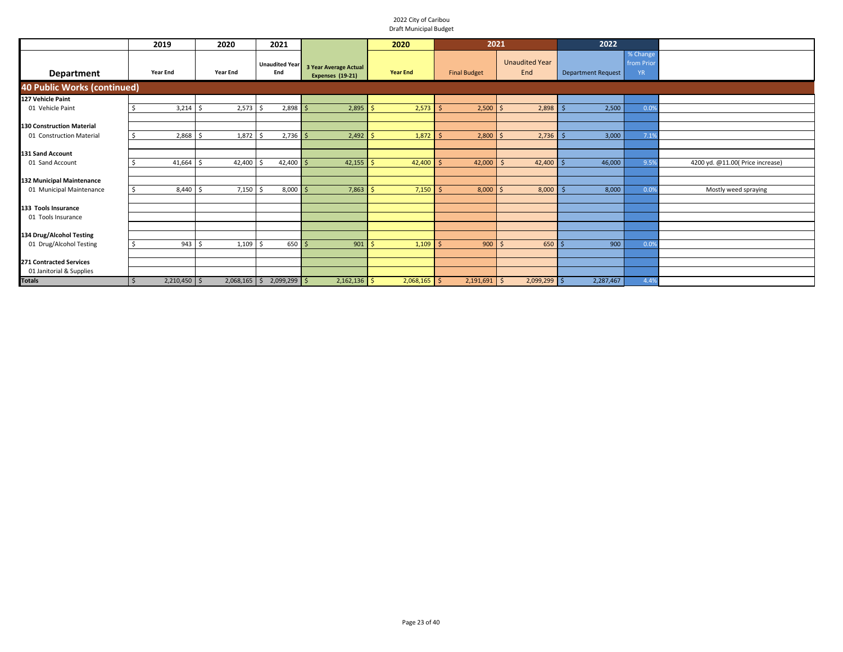|                                    | 2019            | 2020            | 2021                         |                                                  | 2020            | 2021                |                                      | 2022                      |                                    |                                  |
|------------------------------------|-----------------|-----------------|------------------------------|--------------------------------------------------|-----------------|---------------------|--------------------------------------|---------------------------|------------------------------------|----------------------------------|
| <b>Department</b>                  | <b>Year End</b> | <b>Year End</b> | <b>Unaudited Year</b><br>End | <b>3 Year Average Actual</b><br>Expenses (19-21) | <b>Year End</b> | <b>Final Budget</b> | <b>Unaudited Year</b><br>End         | <b>Department Request</b> | % Change<br>from Prio<br><b>YR</b> |                                  |
| <b>40 Public Works (continued)</b> |                 |                 |                              |                                                  |                 |                     |                                      |                           |                                    |                                  |
| 127 Vehicle Paint                  |                 |                 |                              |                                                  |                 |                     |                                      |                           |                                    |                                  |
| 01 Vehicle Paint                   | 3,214           | 2,573           | $2,898$ \$                   | 2,895                                            | Š.<br>2,573     | 2,500               | 2,898                                | 2,500                     | 0.0%                               |                                  |
|                                    |                 |                 |                              |                                                  |                 |                     |                                      |                           |                                    |                                  |
| <b>130 Construction Material</b>   |                 |                 |                              |                                                  |                 |                     |                                      |                           |                                    |                                  |
| 01 Construction Material           | $2,868$ \$      | 1,872           | $2,736$ \$<br>- S            | 2,492                                            | 1,872           | 2,800               | 2,736                                | 3,000                     | 7.1%                               |                                  |
|                                    |                 |                 |                              |                                                  |                 |                     |                                      |                           |                                    |                                  |
| 131 Sand Account                   |                 |                 |                              |                                                  |                 |                     |                                      |                           |                                    |                                  |
| 01 Sand Account                    | 41,664          | 42,400          | $42,400$ \$                  | 42,155                                           | $42,400$ \$     | 42,000              | $42,400$ \$<br>$\ddot{\phantom{1}}$  | 46,000                    | 9.5%                               | 4200 yd. @11.00( Price increase) |
|                                    |                 |                 |                              |                                                  |                 |                     |                                      |                           |                                    |                                  |
| 132 Municipal Maintenance          |                 |                 |                              |                                                  |                 |                     |                                      |                           |                                    |                                  |
| 01 Municipal Maintenance           | 8,440<br>S.     | $7,150$ \$      | $8,000$ \$                   | 7,863                                            | 7,150<br>Ŝ      | 8,000               | 8,000                                | 8,000                     | 0.0%                               | Mostly weed spraying             |
|                                    |                 |                 |                              |                                                  |                 |                     |                                      |                           |                                    |                                  |
| 133 Tools Insurance                |                 |                 |                              |                                                  |                 |                     |                                      |                           |                                    |                                  |
| 01 Tools Insurance                 |                 |                 |                              |                                                  |                 |                     |                                      |                           |                                    |                                  |
|                                    |                 |                 |                              |                                                  |                 |                     |                                      |                           |                                    |                                  |
| 134 Drug/Alcohol Testing           |                 |                 |                              |                                                  |                 |                     |                                      |                           |                                    |                                  |
| 01 Drug/Alcohol Testing            | $943 \quad $5$  | 1,109           | $650 \, \text{S}$<br>-S      | 901                                              | 1,109<br>S      | 900                 | $650$ \$                             | 900                       | 0.0%                               |                                  |
|                                    |                 |                 |                              |                                                  |                 |                     |                                      |                           |                                    |                                  |
| <b>271 Contracted Services</b>     |                 |                 |                              |                                                  |                 |                     |                                      |                           |                                    |                                  |
| 01 Janitorial & Supplies           |                 |                 |                              |                                                  |                 |                     |                                      |                           |                                    |                                  |
| <b>Totals</b>                      | $2,210,450$ \$  |                 | $2,068,165$ \$ 2,099,299 \$  | $2,162,136$ \$                                   | $2,068,165$ \$  | 2,191,691           | $\ddot{\varsigma}$<br>$2,099,299$ \$ | 2,287,467                 | 4.4%                               |                                  |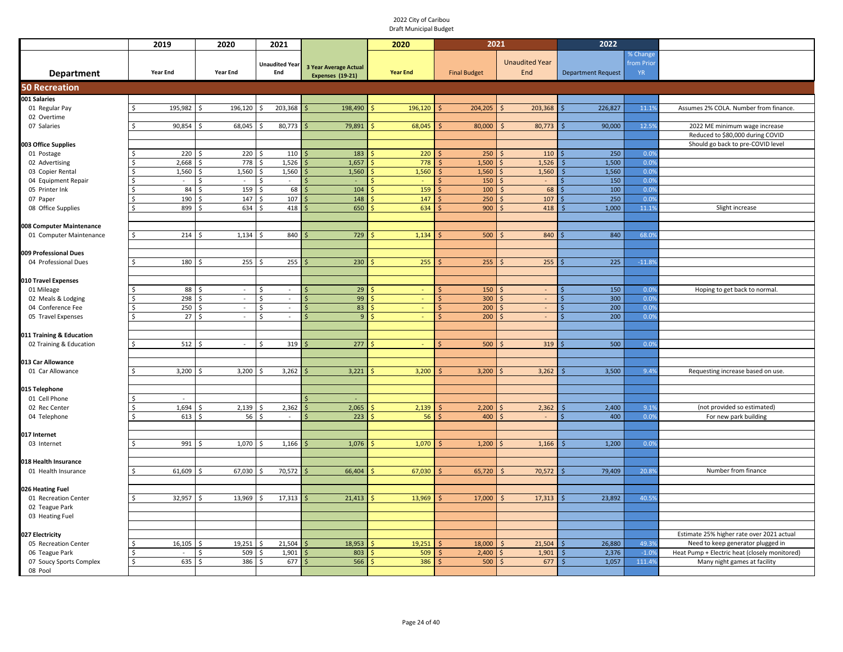|                                         | 2019                          | 2020               |                      | 2021                  |                       | 2020            |      | 2021                |                          | 2022                      |               |                                               |
|-----------------------------------------|-------------------------------|--------------------|----------------------|-----------------------|-----------------------|-----------------|------|---------------------|--------------------------|---------------------------|---------------|-----------------------------------------------|
|                                         |                               |                    |                      |                       |                       |                 |      |                     |                          |                           | % Change      |                                               |
|                                         |                               |                    |                      | <b>Unaudited Year</b> | 3 Year Average Actual |                 |      |                     | <b>Unaudited Year</b>    |                           | from Prio     |                                               |
| <b>Department</b>                       | Year End                      | <b>Year End</b>    |                      | End                   | Expenses (19-21)      | <b>Year End</b> |      | <b>Final Budget</b> | End                      | <b>Department Request</b> | YR.           |                                               |
| <b>50 Recreation</b>                    |                               |                    |                      |                       |                       |                 |      |                     |                          |                           |               |                                               |
| 001 Salaries                            |                               |                    |                      |                       |                       |                 |      |                     |                          |                           |               |                                               |
| 01 Regular Pay                          | 195,982<br>\$                 | 196,120<br>-Ś      | $\hat{\zeta}$        | 203,368               | 198,490               | 196,120         |      | 204,205             | 203,368<br>$\zeta$       | 226,827                   | 11.19         | Assumes 2% COLA. Number from finance.         |
| 02 Overtime                             |                               |                    |                      |                       |                       |                 |      |                     |                          |                           |               |                                               |
| 07 Salaries                             | Ś<br>90,854                   | 68,045             |                      | 80,773                | 79,891                | 68,045          |      | 80,000              | 80,773                   | 90,000                    | 12.5%         | 2022 ME minimum wage increase                 |
|                                         |                               |                    |                      |                       |                       |                 |      |                     |                          |                           |               | Reduced to \$80,000 during COVID              |
| 003 Office Supplies                     |                               |                    |                      |                       |                       |                 |      |                     |                          |                           |               | Should go back to pre-COVID level             |
| 01 Postage                              | Š.                            | 220                | 220                  | 110                   | 183                   | 220             |      | 250                 | 110<br>¢                 | 250                       | 0.09          |                                               |
| 02 Advertising                          | Ś<br>2,668                    |                    | 778<br>$\hat{\zeta}$ | 1,526                 | 1,657                 | 778             |      | 1,500               | 1,526                    | 1,500                     | 0.0%          |                                               |
| 03 Copier Rental                        | 1,560<br><sub>S</sub>         | 1,560              | Š                    | 1,560                 | 1,560                 | 1,560           |      | 1,560               | 1,560                    | 1,560                     | 0.09          |                                               |
| 04 Equipment Repair                     | $\mathsf{\hat{S}}$<br>$\sim$  | $\sim$             | Ś                    | $\sim$                | ٠                     |                 |      | 150                 | \$<br>$\sim$             | 150                       | 0.0%          |                                               |
| 05 Printer Ink                          | Ŝ.<br>Ś                       | 84                 | 159<br>Ś             | 68<br>107             | 104<br>148            | 159<br>147      |      | 100                 | 68<br>$\varsigma$<br>107 | 100<br>250                | 0.09          |                                               |
| 07 Paper                                | Ś                             | 190<br>899<br>634  | 147                  | 418                   | 650                   | 634             |      | 250<br>900          | 418                      | 1,000                     | 0.0%<br>11.19 | Slight increase                               |
| 08 Office Supplies                      |                               |                    |                      |                       |                       |                 |      |                     |                          |                           |               |                                               |
| 008 Computer Maintenance                |                               |                    |                      |                       |                       |                 |      |                     |                          |                           |               |                                               |
| 01 Computer Maintenance                 | Ś                             | 214<br>1,134       |                      | 840                   | 729                   | 1,134           |      | 500                 | 840                      | 840                       | 68.09         |                                               |
|                                         |                               |                    |                      |                       |                       |                 |      |                     |                          |                           |               |                                               |
| 009 Professional Dues                   |                               |                    |                      |                       |                       |                 |      |                     |                          |                           |               |                                               |
| 04 Professional Dues                    | Ś                             | 180                | 255                  | 255                   | 230                   | 255             |      | 255                 | 255                      | 225                       | $-11.89$      |                                               |
|                                         |                               |                    |                      |                       |                       |                 |      |                     |                          |                           |               |                                               |
| 010 Travel Expenses                     |                               |                    |                      |                       |                       |                 |      |                     |                          |                           |               |                                               |
| 01 Mileage                              |                               | 88<br>$\sim$       | Ś                    | $\sim$                | 29                    |                 |      | 150                 | $\sim$                   | 150                       | 0.09          | Hoping to get back to normal.                 |
| 02 Meals & Lodging                      |                               | 298<br>$\omega$    | Ś                    | $\sim$                | 99                    |                 |      | 300                 | $\sim$                   | 300                       | 0.09          |                                               |
| 04 Conference Fee                       | Ś                             | 250<br>$\omega$    | \$                   | $\omega$              | 83<br>S               |                 |      | 200                 | $\omega$                 | 200                       | 0.0%          |                                               |
| 05 Travel Expenses                      | Ś                             | 27<br>$\omega$     |                      | $\sim$                | 9 <sup>°</sup>        |                 |      | 200                 | $\sim$                   | 200                       | 0.0%          |                                               |
|                                         |                               |                    |                      |                       |                       |                 |      |                     |                          |                           |               |                                               |
| 011 Training & Education                |                               |                    |                      |                       |                       |                 |      |                     |                          |                           |               |                                               |
| 02 Training & Education                 | Ŝ.                            | 512<br>$\sim$      |                      | 319                   | 277                   | $\blacksquare$  |      | 500                 | 319                      | 500                       | 0.09          |                                               |
|                                         |                               |                    |                      |                       |                       |                 |      |                     |                          |                           |               |                                               |
| 013 Car Allowance                       | Ś<br>3,200                    | 3,200              |                      | 3,262                 | 3,221                 | 3,200           |      | 3,200               | 3,262                    | 3,500                     | 9.49          |                                               |
| 01 Car Allowance                        |                               |                    |                      |                       |                       |                 |      |                     |                          |                           |               | Requesting increase based on use.             |
| 015 Telephone                           |                               |                    |                      |                       |                       |                 |      |                     |                          |                           |               |                                               |
| 01 Cell Phone                           | $\sim$<br>S                   |                    |                      |                       |                       |                 |      |                     |                          |                           |               |                                               |
| 02 Rec Center                           | Ś<br>1,694                    | 2,139              |                      | 2,362                 | 2,065                 | 2,139           | l \$ | 2,200               | 2,362                    | 2,400                     | 9.19          | (not provided so estimated)                   |
| 04 Telephone                            | \$                            | 613                | 56<br>Ŝ.             | $\sim$                | 223<br>Ŝ.             | 56              |      | 400                 | $\sim$<br>ς              | 400<br>ς                  | 0.0%          | For new park building                         |
|                                         |                               |                    |                      |                       |                       |                 |      |                     |                          |                           |               |                                               |
| 017 Internet                            |                               |                    |                      |                       |                       |                 |      |                     |                          |                           |               |                                               |
| 03 Internet                             | $\zeta$                       | 991<br>1,070<br>S, |                      | 1,166                 | 1,076                 | 1,070           |      | 1,200               | 1,166                    | 1,200                     | 0.09          |                                               |
|                                         |                               |                    |                      |                       |                       |                 |      |                     |                          |                           |               |                                               |
| 018 Health Insurance                    |                               |                    |                      |                       |                       |                 |      |                     |                          |                           |               |                                               |
| 01 Health Insurance                     | 61,609<br>Ŝ.                  | 67,030<br>- \$     | Ŝ.                   | 70,572                | 66,404                | 67,030          |      | 65,720              | 70,572<br>$\zeta$        | 79,409                    | 20.89         | Number from finance                           |
|                                         |                               |                    |                      |                       |                       |                 |      |                     |                          |                           |               |                                               |
| 026 Heating Fuel                        |                               |                    |                      |                       |                       |                 |      |                     |                          |                           |               |                                               |
| 01 Recreation Center                    | 32,957<br>\$                  | 13,969<br>l \$     | Ŝ.                   | 17,313                | 21,413                | 13,969<br>Š.    |      | 17,000              | 17,313<br><sup>5</sup>   | 23,892                    | 40.5%         |                                               |
| 02 Teague Park                          |                               |                    |                      |                       |                       |                 |      |                     |                          |                           |               |                                               |
| 03 Heating Fuel                         |                               |                    |                      |                       |                       |                 |      |                     |                          |                           |               |                                               |
|                                         |                               |                    |                      |                       |                       |                 |      |                     |                          |                           |               | Estimate 25% higher rate over 2021 actual     |
| 027 Electricity<br>05 Recreation Center | 16,105<br>Ŝ.                  | 19,251             |                      | 21,504                | 18,953                | 19,251          |      | 18,000              | 21,504                   | 26,880                    | 49.39         | Need to keep generator plugged in             |
| 06 Teague Park                          | Ś<br>$\overline{\phantom{a}}$ |                    | 509                  | 1,901                 | 803                   | 509             |      | 2,400               | 1,901                    | 2,376                     | $-1.0%$       | Heat Pump + Electric heat (closely monitored) |
| 07 Soucy Sports Complex                 | \$                            | 635                | 386<br>ς             | 677                   | 566                   | 386             |      | 500                 | 677<br>ς                 | 1,057                     | 111.4%        | Many night games at facility                  |
| 08 Pool                                 |                               |                    |                      |                       |                       |                 |      |                     |                          |                           |               |                                               |
|                                         |                               |                    |                      |                       |                       |                 |      |                     |                          |                           |               |                                               |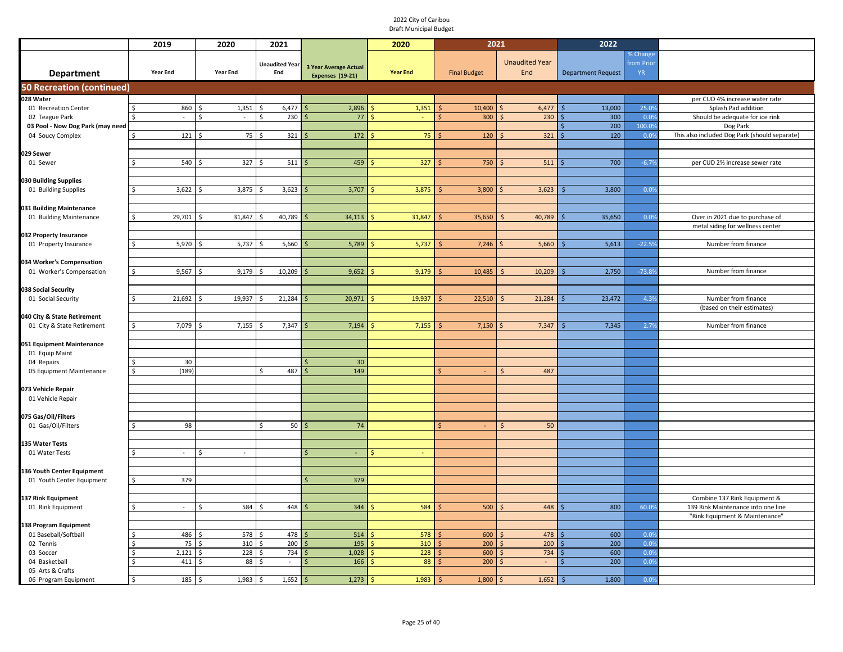|                                  | 2019                   | 2020          | 2021                         |                                           | 2020            | 2021                |                              | 2022                        |                                     |                                               |
|----------------------------------|------------------------|---------------|------------------------------|-------------------------------------------|-----------------|---------------------|------------------------------|-----------------------------|-------------------------------------|-----------------------------------------------|
| <b>Department</b>                | <b>Year End</b>        | Year End      | <b>Unaudited Year</b><br>End | 3 Year Average Actual<br>Expenses (19-21) | <b>Year End</b> | <b>Final Budget</b> | <b>Unaudited Year</b><br>End | <b>Department Request</b>   | % Change<br>from Prior<br><b>YR</b> |                                               |
| <b>50 Recreation (continued)</b> |                        |               |                              |                                           |                 |                     |                              |                             |                                     |                                               |
| 028 Water                        |                        |               |                              |                                           |                 |                     |                              |                             |                                     | per CUD 4% increase water rate                |
| 01 Recreation Center             | 860                    | 1,351<br>Ś    | 6,477<br>Ŝ.                  | 2,896                                     | 1,351           | 10,400              | 6,477                        | 13,000                      | 25.0%                               | Splash Pad addition                           |
| 02 Teague Park                   | $\sim$                 | Ś.<br>$\sim$  | 230<br>Ŝ.                    | 77                                        |                 | 300                 | 230                          | 300                         | 0.0%                                | Should be adequate for ice rink               |
| 03 Pool - Now Dog Park (may need |                        |               |                              |                                           |                 |                     |                              | 200                         | 100.0%                              | Dog Park                                      |
| 04 Soucy Complex                 | 121<br>\$              | 75            | 321                          | 172                                       | 75              | 120                 | 321                          | 120                         | 0.0%                                | This also included Dog Park (should separate) |
|                                  |                        |               |                              |                                           |                 |                     |                              |                             |                                     |                                               |
| 029 Sewer<br>01 Sewer            | 540                    | 327           | 511                          | 459                                       | 327             | 750                 | 511                          | 700                         | $-6.7%$                             | per CUD 2% increase sewer rate                |
|                                  |                        |               |                              |                                           |                 |                     |                              |                             |                                     |                                               |
| 030 Building Supplies            |                        |               |                              |                                           |                 |                     |                              |                             |                                     |                                               |
| 01 Building Supplies             | 3,622                  | 3,875<br>Ś    | 3,623                        | 3,707                                     | 3,875           | 3,800               | 3,623                        | 3,800                       | 0.0%                                |                                               |
|                                  |                        |               |                              |                                           |                 |                     |                              |                             |                                     |                                               |
| 031 Building Maintenance         |                        |               |                              |                                           |                 |                     |                              |                             |                                     |                                               |
| 01 Building Maintenance          | 29,701                 | 31,847        | 40,789                       | 34,113                                    | 31,847          | 35,650              | 40,789                       | 35,650                      | 0.0%                                | Over in 2021 due to purchase of               |
|                                  |                        |               |                              |                                           |                 |                     |                              |                             |                                     | metal siding for wellness center              |
| 032 Property Insurance           |                        |               |                              |                                           |                 |                     |                              |                             |                                     |                                               |
| 01 Property Insurance            | 5,970                  | 5,737         | 5,660                        | 5,789                                     | 5,737           | 7,246               | 5,660                        | 5,613                       | $-22.5%$                            | Number from finance                           |
| 034 Worker's Compensation        |                        |               |                              |                                           |                 |                     |                              |                             |                                     |                                               |
| 01 Worker's Compensation         | 9,567<br><sup>\$</sup> | 9,179<br>Ś    | 10,209<br>Ŝ.                 | 9,652                                     | 9,179           | 10,485              | 10,209                       | 2,750                       | $-73.8%$                            | Number from finance                           |
|                                  |                        |               |                              |                                           |                 |                     |                              |                             |                                     |                                               |
| 038 Social Security              |                        |               |                              |                                           |                 |                     |                              |                             |                                     |                                               |
| 01 Social Security               | 21,692<br>Ŝ.           | 19,937<br>\$. | 21,284                       | 20,971                                    | 19,937          | 22,510              | 21,284                       | 23,472                      | 4.3%                                | Number from finance                           |
|                                  |                        |               |                              |                                           |                 |                     |                              |                             |                                     | (based on their estimates)                    |
| 040 City & State Retirement      |                        |               |                              |                                           |                 |                     |                              |                             |                                     |                                               |
| 01 City & State Retirement       | 7,079<br>$\zeta$       | 7,155         | 7,347                        | 7,194                                     | 7,155           | 7,150               | 7,347                        | 7,345                       | 2.7%                                | Number from finance                           |
|                                  |                        |               |                              |                                           |                 |                     |                              |                             |                                     |                                               |
| 051 Equipment Maintenance        |                        |               |                              |                                           |                 |                     |                              |                             |                                     |                                               |
| 01 Equip Maint                   |                        |               |                              |                                           |                 |                     |                              |                             |                                     |                                               |
| 04 Repairs                       | 30<br>(189)            |               | 487<br>Ŝ.                    | 30<br>149                                 |                 |                     | 487                          |                             |                                     |                                               |
| 05 Equipment Maintenance         |                        |               |                              |                                           |                 |                     |                              |                             |                                     |                                               |
| 073 Vehicle Repair               |                        |               |                              |                                           |                 |                     |                              |                             |                                     |                                               |
| 01 Vehicle Repair                |                        |               |                              |                                           |                 |                     |                              |                             |                                     |                                               |
|                                  |                        |               |                              |                                           |                 |                     |                              |                             |                                     |                                               |
| 075 Gas/Oil/Filters              |                        |               |                              |                                           |                 |                     |                              |                             |                                     |                                               |
| 01 Gas/Oil/Filters               | 98                     |               | \$<br>50 <sub>1</sub>        | 74                                        |                 |                     | 50                           |                             |                                     |                                               |
|                                  |                        |               |                              |                                           |                 |                     |                              |                             |                                     |                                               |
| 135 Water Tests                  |                        |               |                              |                                           |                 |                     |                              |                             |                                     |                                               |
| 01 Water Tests                   | $\sim$                 | Ś             |                              | $\sim$                                    | \$<br>i.        |                     |                              |                             |                                     |                                               |
| 136 Youth Center Equipment       |                        |               |                              |                                           |                 |                     |                              |                             |                                     |                                               |
| 01 Youth Center Equipment        | 379                    |               |                              | 379                                       |                 |                     |                              |                             |                                     |                                               |
|                                  |                        |               |                              |                                           |                 |                     |                              |                             |                                     |                                               |
| 137 Rink Equipment               |                        |               |                              |                                           |                 |                     |                              |                             |                                     | Combine 137 Rink Equipment &                  |
| 01 Rink Equipment                | $\sim$                 | 584<br>ς      | 448                          | 344                                       | 584             | 500                 | 448                          | 800                         | 60.0%                               | 139 Rink Maintenance into one line            |
|                                  |                        |               |                              |                                           |                 |                     |                              |                             |                                     | "Rink Equipment & Maintenance'                |
| <b>138 Program Equipment</b>     |                        |               |                              |                                           |                 |                     |                              |                             |                                     |                                               |
| 01 Baseball/Softball             | 486                    | 578           | 478                          | 514                                       | 578             | 600                 | 478                          | 600                         | 0.0%                                |                                               |
| 02 Tennis                        | 75                     | 310           | 200                          | 195                                       | 310             | 200                 | 200                          | 200                         | 0.0%                                |                                               |
| 03 Soccer                        | 2,121                  | 228           | 734                          | 1,028                                     | 228             | 600                 | 734                          | 600                         | 0.0%                                |                                               |
| 04 Basketball                    | 411                    | 88            | $\sim$                       | 166                                       | 88              | 200                 | l S<br>$\sim$                | 200                         | 0.0%                                |                                               |
| 05 Arts & Crafts                 | 185<br>\$              | 1,983<br>Ś    | 1,652<br>Ŝ                   | 1,273                                     | 1,983           | 1,800               | 1,652<br>-S                  | 1,800<br>$\mathsf{\hat{S}}$ | 0.0%                                |                                               |
| 06 Program Equipment             |                        |               |                              |                                           |                 |                     |                              |                             |                                     |                                               |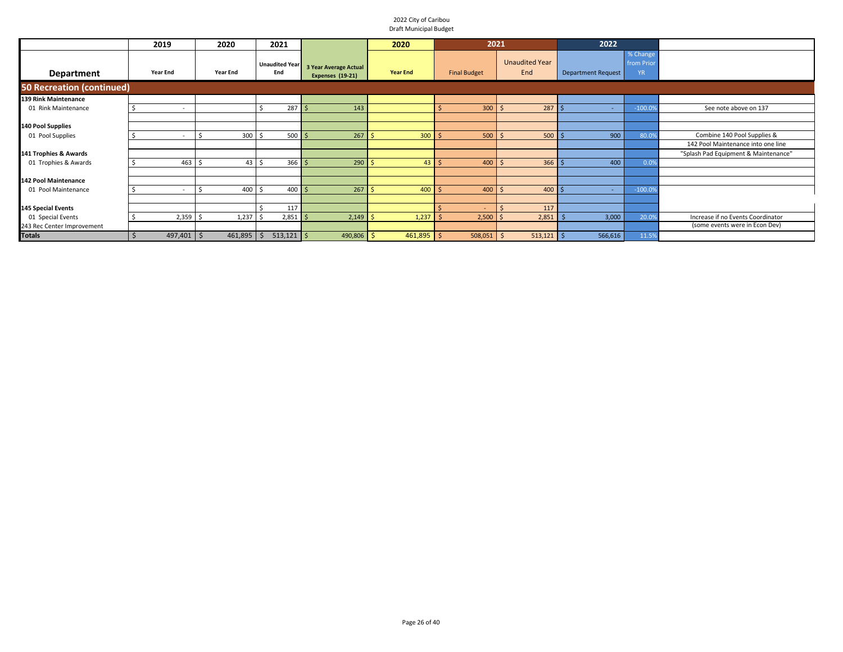|                                  | 2019                     | 2020            | 2021                         |                                                         | 2020            | 2021                |                              | 2022                      |                                     |                                      |
|----------------------------------|--------------------------|-----------------|------------------------------|---------------------------------------------------------|-----------------|---------------------|------------------------------|---------------------------|-------------------------------------|--------------------------------------|
| <b>Department</b>                | <b>Year End</b>          | <b>Year End</b> | <b>Unaudited Year</b><br>End | <b>3 Year Average Actual</b><br><b>Expenses (19-21)</b> | <b>Year End</b> | <b>Final Budget</b> | <b>Unaudited Year</b><br>End | <b>Department Request</b> | % Change<br>from Prior<br><b>YR</b> |                                      |
| <b>50 Recreation (continued)</b> |                          |                 |                              |                                                         |                 |                     |                              |                           |                                     |                                      |
| 139 Rink Maintenance             |                          |                 |                              |                                                         |                 |                     |                              |                           |                                     |                                      |
| 01 Rink Maintenance              | $\overline{\phantom{a}}$ |                 | 287S<br>Ś                    | 143                                                     |                 | $300$ \$            | 287S                         | $\sim$                    | $-100.09$                           | See note above on 137                |
|                                  |                          |                 |                              |                                                         |                 |                     |                              |                           |                                     |                                      |
| 140 Pool Supplies                |                          |                 |                              |                                                         |                 |                     |                              |                           |                                     |                                      |
| 01 Pool Supplies                 |                          | 300             | $500 \, \text{S}$<br>\$      | 267                                                     | 300<br>-Ś       | $500$ \$            | $500$ \$                     | 900                       | 80.0                                | Combine 140 Pool Supplies &          |
|                                  |                          |                 |                              |                                                         |                 |                     |                              |                           |                                     | 142 Pool Maintenance into one line   |
| 141 Trophies & Awards            |                          |                 |                              |                                                         |                 |                     |                              |                           |                                     | "Splash Pad Equipment & Maintenance" |
| 01 Trophies & Awards             | $463 \quad $5$           | 43 <sup>1</sup> | 3665<br>\$                   | $290$ \$                                                | $43 \mid 5$     | $400 \, \text{S}$   | $366$ \$                     | 400                       | 0.0%                                |                                      |
|                                  |                          |                 |                              |                                                         |                 |                     |                              |                           |                                     |                                      |
| <b>142 Pool Maintenance</b>      |                          |                 |                              |                                                         |                 |                     |                              |                           |                                     |                                      |
| 01 Pool Maintenance              | $\sim$                   | 400             | $400 \,$ \$<br>Ś             | $267$ \$                                                | 400             | $400 \, \text{S}$   | $400 \,$ $\uparrow$          | $\sim$                    | $-100.09$                           |                                      |
|                                  |                          |                 |                              |                                                         |                 |                     |                              |                           |                                     |                                      |
| <b>145 Special Events</b>        |                          |                 | 117                          |                                                         |                 |                     | 117                          |                           |                                     |                                      |
| 01 Special Events                | $2,359$ \$               | 1,237           | $2,851$ \$<br>Ś              | $2,149$ \$                                              | 1,237           | $2,500$ \$          | 2,851                        | 3,000                     | 20.09                               | Increase if no Events Coordinator    |
| 243 Rec Center Improvement       |                          |                 |                              |                                                         |                 |                     |                              |                           |                                     | (some events were in Econ Dev)       |
| <b>Totals</b>                    | 497,401                  | 461,895<br>l S  | $513,121$ \$<br>\$           | $490,806$ \$                                            | 461,895 \$      | 508,051             | $513,121$ \$<br>ΙS           | 566,616                   | 11.5%                               |                                      |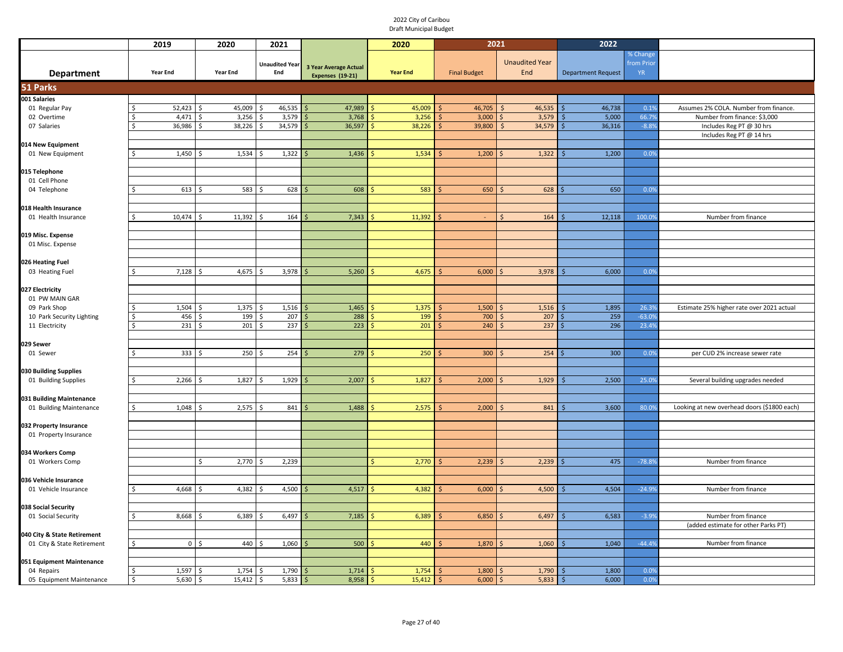|                                                 | 2019            | 2020                   | 2021                         |                                                         | 2020            | 2021                |                              | 2022                         |                                     |                                                            |
|-------------------------------------------------|-----------------|------------------------|------------------------------|---------------------------------------------------------|-----------------|---------------------|------------------------------|------------------------------|-------------------------------------|------------------------------------------------------------|
| <b>Department</b>                               | <b>Year End</b> | <b>Year End</b>        | <b>Unaudited Year</b><br>End | <b>3 Year Average Actual</b><br><b>Expenses (19-21)</b> | <b>Year End</b> | <b>Final Budget</b> | <b>Unaudited Year</b><br>End | <b>Department Request</b>    | % Change<br>from Prior<br><b>YR</b> |                                                            |
| 51 Parks                                        |                 |                        |                              |                                                         |                 |                     |                              |                              |                                     |                                                            |
| 001 Salaries                                    |                 |                        |                              |                                                         |                 |                     |                              |                              |                                     |                                                            |
| 01 Regular Pay                                  | 52,423<br>Ŝ.    | 45,009<br>Ś            | 46,535                       | 47,989                                                  | 45,009<br>Ŝ.    | 46,705              | 46,535<br>S.                 | 46,738                       | 0.1%                                | Assumes 2% COLA. Number from finance.                      |
| 02 Overtime                                     | 4,471           | 3,256<br><sup>\$</sup> | 3,579<br><sup>\$</sup>       | 3,768                                                   | 3,256           | 3,000<br>Ś          | 3,579<br>l\$                 | 5,000                        | 66.7%                               | Number from finance: \$3,000                               |
| 07 Salaries                                     | 36,986<br>Ŝ.    | 38,226<br>Ŝ.           | 34,579<br>Ŝ.                 | 36,597                                                  | 38,226          | 39,800              | 34,579                       | 36,316                       | $-8.8%$                             | Includes Reg PT @ 30 hrs                                   |
|                                                 |                 |                        |                              |                                                         |                 |                     |                              |                              |                                     | Includes Reg PT @ 14 hrs                                   |
| 014 New Equipment<br>01 New Equipment           | 1,450           | 1,534<br>-Ś            | 1,322<br>\$.                 | 1,436<br>Ŝ.                                             | 1,534           | 1,200<br>Ŝ          | 1,322<br>l \$                | 1,200                        | 0.0%                                |                                                            |
|                                                 |                 |                        |                              |                                                         |                 |                     |                              |                              |                                     |                                                            |
| 015 Telephone                                   |                 |                        |                              |                                                         |                 |                     |                              |                              |                                     |                                                            |
| 01 Cell Phone                                   |                 |                        |                              |                                                         |                 |                     |                              |                              |                                     |                                                            |
| 04 Telephone                                    | 613             | 583<br>Ŝ               | 628                          | 608                                                     | 583             | 650                 | 628                          | 650                          | 0.0%                                |                                                            |
|                                                 |                 |                        |                              |                                                         |                 |                     |                              |                              |                                     |                                                            |
| 018 Health Insurance                            |                 |                        |                              |                                                         |                 |                     |                              |                              |                                     |                                                            |
| 01 Health Insurance                             | 10,474          | 11,392                 | 164                          | 7,343                                                   | 11,392          |                     | 164                          | 12,118                       | 100.0%                              | Number from finance                                        |
|                                                 |                 |                        |                              |                                                         |                 |                     |                              |                              |                                     |                                                            |
| 019 Misc. Expense<br>01 Misc. Expense           |                 |                        |                              |                                                         |                 |                     |                              |                              |                                     |                                                            |
|                                                 |                 |                        |                              |                                                         |                 |                     |                              |                              |                                     |                                                            |
| 026 Heating Fuel                                |                 |                        |                              |                                                         |                 |                     |                              |                              |                                     |                                                            |
| 03 Heating Fuel                                 | 7,128           | 4,675<br>-Ś            | 3,978<br>-S                  | 5,260                                                   | 4,675           | 6,000               | 3,978                        | 6,000                        | 0.0%                                |                                                            |
|                                                 |                 |                        |                              |                                                         |                 |                     |                              |                              |                                     |                                                            |
| 027 Electricity                                 |                 |                        |                              |                                                         |                 |                     |                              |                              |                                     |                                                            |
| 01 PW MAIN GAR                                  |                 |                        |                              |                                                         |                 |                     |                              |                              |                                     |                                                            |
| 09 Park Shop                                    | 1,504           | 1,375                  | 1,516<br>Ŝ.                  | 1,465                                                   | 1,375           | 1,500               | 1,516<br>l\$                 | 1,895                        | 26.3%                               | Estimate 25% higher rate over 2021 actual                  |
| 10 Park Security Lighting                       | 456<br>S.       | 199                    | 207                          | 288                                                     | 199             | 700                 | 207<br>$\prec$               | 259                          | $-63.0%$                            |                                                            |
| 11 Electricity                                  | $\zeta$<br>231  | 201<br>Š.              | 237                          | 223                                                     | 201             | 240                 | 237<br>I۰                    | 296                          | 23.4%                               |                                                            |
|                                                 |                 |                        |                              |                                                         |                 |                     |                              |                              |                                     |                                                            |
| 029 Sewer<br>01 Sewer                           | 333             | 250<br>Ś               | 254                          | 279                                                     | 250             | 300                 | 254                          | 300                          | 0.0%                                | per CUD 2% increase sewer rate                             |
|                                                 |                 |                        |                              |                                                         |                 |                     |                              |                              |                                     |                                                            |
| 030 Building Supplies                           |                 |                        |                              |                                                         |                 |                     |                              |                              |                                     |                                                            |
| 01 Building Supplies                            | 2,266<br>Ŝ.     | 1,827                  | 1,929                        | 2,007                                                   | 1,827           | 2,000               | 1,929                        | 2,500                        | 25.0%                               | Several building upgrades needed                           |
|                                                 |                 |                        |                              |                                                         |                 |                     |                              |                              |                                     |                                                            |
| 031 Building Maintenance                        |                 |                        |                              |                                                         |                 |                     |                              |                              |                                     |                                                            |
| 01 Building Maintenance                         | 1,048           | 2,575                  | 841                          | 1,488                                                   | 2,575           | 2,000               | 841                          | 3,600                        | 80.0%                               | Looking at new overhead doors (\$1800 each)                |
|                                                 |                 |                        |                              |                                                         |                 |                     |                              |                              |                                     |                                                            |
| 032 Property Insurance<br>01 Property Insurance |                 |                        |                              |                                                         |                 |                     |                              |                              |                                     |                                                            |
|                                                 |                 |                        |                              |                                                         |                 |                     |                              |                              |                                     |                                                            |
| 034 Workers Comp                                |                 |                        |                              |                                                         |                 |                     |                              |                              |                                     |                                                            |
| 01 Workers Comp                                 |                 | 2,770<br>\$            | 2,239                        |                                                         | 2,770           | 2,239               | 2,239                        | 475                          | $-78.8%$                            | Number from finance                                        |
|                                                 |                 |                        |                              |                                                         |                 |                     |                              |                              |                                     |                                                            |
| 036 Vehicle Insurance                           |                 |                        |                              |                                                         |                 |                     |                              |                              |                                     |                                                            |
| 01 Vehicle Insurance                            | 4,668<br>≺      | 4,382<br>Ŝ.            | 4,500<br>$\zeta$             | 4,517                                                   | 4,382           | 6,000               | 4,500                        | 4,504                        | $-24.9%$                            | Number from finance                                        |
|                                                 |                 |                        |                              |                                                         |                 |                     |                              |                              |                                     |                                                            |
| 038 Social Security                             |                 |                        |                              |                                                         |                 |                     |                              |                              |                                     |                                                            |
| 01 Social Security                              | 8,668           | 6,389                  | 6,497                        | 7,185                                                   | 6,389           | 6,850               | 6,497                        | 6,583                        | $-3.9%$                             | Number from finance<br>(added estimate for other Parks PT) |
| 040 City & State Retirement                     |                 |                        |                              |                                                         |                 |                     |                              |                              |                                     |                                                            |
| 01 City & State Retirement                      | $\circ$<br>Ŝ.   | 440<br>Ŝ.              | 1,060                        | 500                                                     | 440             | 1,870               | 1,060                        | 1,040                        | $-44.4%$                            | Number from finance                                        |
|                                                 |                 |                        |                              |                                                         |                 |                     |                              |                              |                                     |                                                            |
| 051 Equipment Maintenance                       |                 |                        |                              |                                                         |                 |                     |                              |                              |                                     |                                                            |
| 04 Repairs                                      | 1,597           | 1,754<br>Ś             | 1,790                        | 1,714                                                   | 1,754           | 1,800<br>Ś          | 1,790<br>-Ś                  | 1,800                        | 0.0%                                |                                                            |
| 05 Equipment Maintenance                        | \$<br>5,630     | 15,412<br>\$           | 5,833<br>\$                  | 8,958<br>Ŝ.                                             | 15,412<br>-Ŝ    | 6,000<br>Š.         | 5,833<br>۱\$                 | 6,000<br>$\ddot{\mathsf{S}}$ | 0.0%                                |                                                            |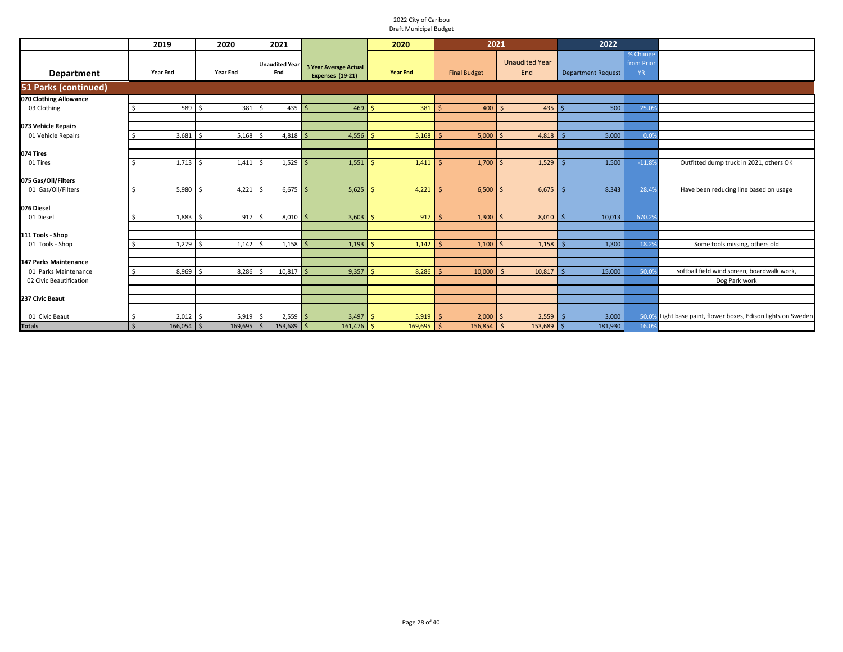|                                           | 2019                         | 2020            | 2021                         |                                                  | 2020             | 2021                |                              | 2022                      |                               |                                                               |
|-------------------------------------------|------------------------------|-----------------|------------------------------|--------------------------------------------------|------------------|---------------------|------------------------------|---------------------------|-------------------------------|---------------------------------------------------------------|
| <b>Department</b>                         | <b>Year End</b>              | <b>Year End</b> | <b>Unaudited Year</b><br>End | <b>3 Year Average Actual</b><br>Expenses (19-21) | <b>Year End</b>  | <b>Final Budget</b> | <b>Unaudited Year</b><br>End | <b>Department Request</b> | % Change<br>from Prior<br>YR. |                                                               |
| <b>51 Parks (continued)</b>               |                              |                 |                              |                                                  |                  |                     |                              |                           |                               |                                                               |
| 070 Clothing Allowance                    |                              |                 |                              |                                                  |                  |                     |                              |                           |                               |                                                               |
| 03 Clothing                               | 589 \$                       | 381             | \$.<br>$435$ \$              | 469                                              | Ŝ.<br>$381$ \$   | $400 \, \text{S}$   | $435$ \$                     | 500                       | 25.09                         |                                                               |
|                                           |                              |                 |                              |                                                  |                  |                     |                              |                           |                               |                                                               |
| 073 Vehicle Repairs                       |                              |                 |                              |                                                  |                  |                     |                              |                           |                               |                                                               |
| 01 Vehicle Repairs                        | 3,681                        | 5,168<br>-S     | $4,818$ \$<br>Ś              | 4,556                                            | -Ś.<br>5,168     | 5,000               | 4,818<br>l S                 | 5,000                     | 0.0%                          |                                                               |
|                                           |                              |                 |                              |                                                  |                  |                     |                              |                           |                               |                                                               |
| 074 Tires                                 |                              |                 |                              |                                                  |                  |                     |                              |                           |                               |                                                               |
| 01 Tires                                  | $1,713$ \$<br>Ŝ              | 1,411           | $1,529$ \$<br>S,             | 1,551                                            | S,<br>1,411      | 1,700               | 1,529                        | 1,500                     | $-11.8%$                      | Outfitted dump truck in 2021, others OK                       |
|                                           |                              |                 |                              |                                                  |                  |                     |                              |                           |                               |                                                               |
| 075 Gas/Oil/Filters<br>01 Gas/Oil/Filters | 5,980                        | 4,221           | $6,675$ \$                   | 5,625                                            | 4,221            | 6,500               | 6,675                        | 8,343                     | 28.4%                         | Have been reducing line based on usage                        |
|                                           |                              |                 |                              |                                                  |                  |                     |                              |                           |                               |                                                               |
| 076 Diesel                                |                              |                 |                              |                                                  |                  |                     |                              |                           |                               |                                                               |
| 01 Diesel                                 | 1,883                        | 917             | $8,010$ \$<br>Ś              | 3,603                                            | 917              | 1,300               | 8,010<br>$\zeta$             | 10,013                    | 670.29                        |                                                               |
|                                           |                              |                 |                              |                                                  |                  |                     |                              |                           |                               |                                                               |
| 111 Tools - Shop                          |                              |                 |                              |                                                  |                  |                     |                              |                           |                               |                                                               |
| 01 Tools - Shop                           | $1,279$ \$                   | 1,142           | $1,158$ \$<br><sup>5</sup>   | 1,193                                            | $1,142$ \$<br>Ŝ. | 1,100               | $\leq$<br>1,158              | 1,300                     | 18.2%                         | Some tools missing, others old                                |
|                                           |                              |                 |                              |                                                  |                  |                     |                              |                           |                               |                                                               |
| <b>147 Parks Maintenance</b>              |                              |                 |                              |                                                  |                  |                     |                              |                           |                               |                                                               |
| 01 Parks Maintenance                      | $8,969$ \$                   | 8,286           | $10,817$ \$<br>Ŝ             | 9,357                                            | 8,286<br>Ŝ       | 10,000              | 10,817<br>$\prec$            | 15,000                    | 50.09                         | softball field wind screen, boardwalk work,                   |
| 02 Civic Beautification                   |                              |                 |                              |                                                  |                  |                     |                              |                           |                               | Dog Park work                                                 |
|                                           |                              |                 |                              |                                                  |                  |                     |                              |                           |                               |                                                               |
| 237 Civic Beaut                           |                              |                 |                              |                                                  |                  |                     |                              |                           |                               |                                                               |
| 01 Civic Beaut                            | $2,012$ \$<br>-S             | 5,919           | $2,559$ \$<br>Ŝ.             | 3,497                                            | 5,919<br>l S     | 2,000               | 2,559                        | 3,000                     |                               | 50.0% Light base paint, flower boxes, Edison lights on Sweden |
| <b>Totals</b>                             | $\mathsf{S}$<br>$166,054$ \$ | $169,695$ \$    | $153,689$ \$                 | $161,476$ \$                                     | $169,695$ \$     | $156,854$ \$        | 153,689 \$                   | 181,930                   | 16.0%                         |                                                               |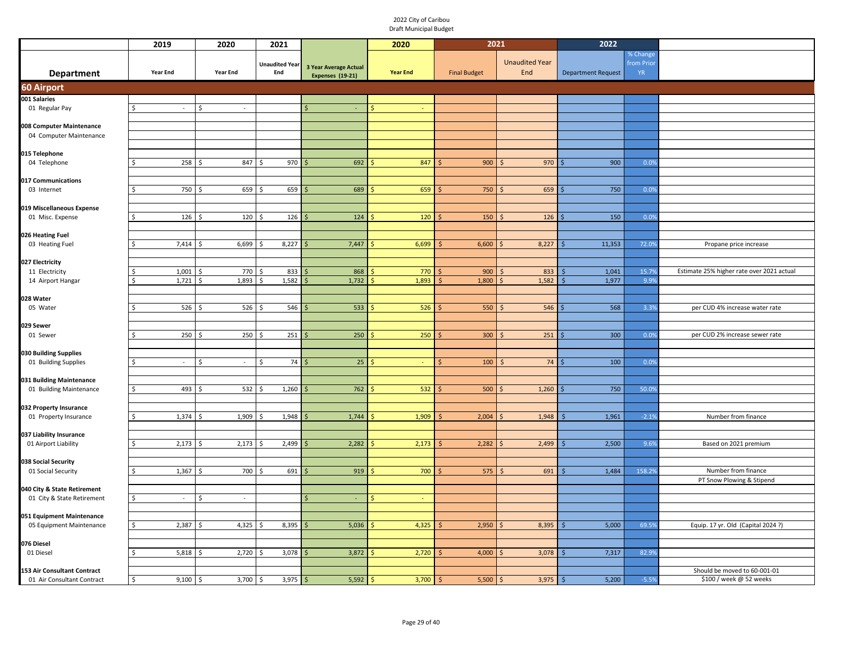|                                                     | 2019                    | 2020                            | 2021                         |                                           | 2020            | 2021                |                              | 2022                      |                                     |                                                  |
|-----------------------------------------------------|-------------------------|---------------------------------|------------------------------|-------------------------------------------|-----------------|---------------------|------------------------------|---------------------------|-------------------------------------|--------------------------------------------------|
| <b>Department</b>                                   | Year End                | Year End                        | <b>Unaudited Year</b><br>End | 3 Year Average Actual<br>Expenses (19-21) | <b>Year End</b> | <b>Final Budget</b> | <b>Unaudited Year</b><br>End | <b>Department Request</b> | % Change<br>from Prior<br><b>YR</b> |                                                  |
| <b>60 Airport</b>                                   |                         |                                 |                              |                                           |                 |                     |                              |                           |                                     |                                                  |
| 001 Salaries                                        |                         |                                 |                              |                                           |                 |                     |                              |                           |                                     |                                                  |
| 01 Regular Pay                                      | \$<br>$\sim$            | $\zeta$<br>$\sim$               |                              |                                           |                 |                     |                              |                           |                                     |                                                  |
|                                                     |                         |                                 |                              |                                           |                 |                     |                              |                           |                                     |                                                  |
| 008 Computer Maintenance<br>04 Computer Maintenance |                         |                                 |                              |                                           |                 |                     |                              |                           |                                     |                                                  |
|                                                     |                         |                                 |                              |                                           |                 |                     |                              |                           |                                     |                                                  |
| 015 Telephone                                       |                         |                                 |                              |                                           |                 |                     |                              |                           |                                     |                                                  |
| 04 Telephone                                        | 258<br>S.               | 847 \$                          | 970                          | 692                                       | 847             | 900                 | 970<br><sup>5</sup>          | 900                       | 0.0%                                |                                                  |
|                                                     |                         |                                 |                              |                                           |                 |                     |                              |                           |                                     |                                                  |
| 017 Communications<br>03 Internet                   | 750<br>Š.               | 659                             | 659<br>Ś,                    | 689                                       | 659             | 750                 | 659                          | 750                       | 0.0%                                |                                                  |
|                                                     |                         |                                 |                              |                                           |                 |                     |                              |                           |                                     |                                                  |
| 019 Miscellaneous Expense                           |                         |                                 |                              |                                           |                 |                     |                              |                           |                                     |                                                  |
| 01 Misc. Expense                                    | 126<br>Ŝ.               | 120                             | 126                          | 124                                       | 120             | 150                 | 126<br>-Ś                    | 150                       | 0.0%                                |                                                  |
|                                                     |                         |                                 |                              |                                           |                 |                     |                              |                           |                                     |                                                  |
| 026 Heating Fuel                                    |                         |                                 |                              |                                           |                 |                     |                              |                           |                                     |                                                  |
| 03 Heating Fuel                                     | 7,414                   | 6,699                           | 8,227                        | 7,447                                     | 6,699           | 6,600               | 8,227                        | 11,353                    | 72.09                               | Propane price increase                           |
| 027 Electricity                                     |                         |                                 |                              |                                           |                 |                     |                              |                           |                                     |                                                  |
| 11 Electricity                                      | 1,001                   | 770                             | 833                          | 868                                       | 770             | 900                 | 833                          | 1,041                     | 15.7%                               | Estimate 25% higher rate over 2021 actual        |
| 14 Airport Hangar                                   | 1,721                   | 1,893                           | 1,582                        | 1,732                                     | 1,893           | 1,800               | 1,582                        | 1,977                     | 9.9%                                |                                                  |
|                                                     |                         |                                 |                              |                                           |                 |                     |                              |                           |                                     |                                                  |
| 028 Water                                           | 526                     | 526                             | 546                          | 533                                       | 526             | 550                 | 546                          | 568                       | 3.3%                                | per CUD 4% increase water rate                   |
| 05 Water                                            |                         |                                 |                              |                                           |                 |                     |                              |                           |                                     |                                                  |
| 029 Sewer                                           |                         |                                 |                              |                                           |                 |                     |                              |                           |                                     |                                                  |
| 01 Sewer                                            | 250<br>\$               | 250                             | 251                          | 250                                       | 250             | 300                 | 251                          | 300                       | 0.0%                                | per CUD 2% increase sewer rate                   |
|                                                     |                         |                                 |                              |                                           |                 |                     |                              |                           |                                     |                                                  |
| 030 Building Supplies<br>01 Building Supplies       | <sup>\$</sup><br>$\sim$ | <sup>\$</sup><br>ä,             | 74<br>Ś.                     | 25                                        | $\omega$        | 100                 | 74                           | 100                       | 0.0%                                |                                                  |
|                                                     |                         |                                 |                              |                                           |                 |                     |                              |                           |                                     |                                                  |
| 031 Building Maintenance                            |                         |                                 |                              |                                           |                 |                     |                              |                           |                                     |                                                  |
| 01 Building Maintenance                             | 493<br>-Ś               | 532                             | 1,260<br>Ś,                  | 762                                       | 532             | 500                 | 1,260                        | 750                       | 50.09                               |                                                  |
|                                                     |                         |                                 |                              |                                           |                 |                     |                              |                           |                                     |                                                  |
| 032 Property Insurance                              | 1,374<br>-Ś             |                                 | 1,948                        | 1,744                                     |                 | 2,004               | 1,948                        |                           | $-2.1%$                             |                                                  |
| 01 Property Insurance                               |                         | 1,909                           | -S                           |                                           | 1,909           |                     | <sub>S</sub>                 | 1,961<br>Š.               |                                     | Number from finance                              |
| 037 Liability Insurance                             |                         |                                 |                              |                                           |                 |                     |                              |                           |                                     |                                                  |
| 01 Airport Liability                                | 2,173<br><sup>\$</sup>  | 2,173                           | 2,499                        | 2,282                                     | 2,173           | 2,282               | 2,499                        | 2,500<br>Ś                | 9.6%                                | Based on 2021 premium                            |
|                                                     |                         |                                 |                              |                                           |                 |                     |                              |                           |                                     |                                                  |
| 038 Social Security                                 | 1,367<br>\$             | 700                             |                              | 919                                       | 700             | 575                 |                              | 1,484                     | 158.2%                              |                                                  |
| 01 Social Security                                  |                         |                                 | 691                          |                                           |                 |                     | 691                          |                           |                                     | Number from finance<br>PT Snow Plowing & Stipend |
| 040 City & State Retirement                         |                         |                                 |                              |                                           |                 |                     |                              |                           |                                     |                                                  |
| 01 City & State Retirement                          | $\frac{1}{2}$<br>$\sim$ | $\breve{\phantom{1}}$<br>$\sim$ |                              | $\omega$                                  |                 |                     |                              |                           |                                     |                                                  |
|                                                     |                         |                                 |                              |                                           |                 |                     |                              |                           |                                     |                                                  |
| 051 Equipment Maintenance                           |                         |                                 |                              |                                           |                 |                     |                              |                           |                                     |                                                  |
| 05 Equipment Maintenance                            | 2,387<br>$\frac{1}{2}$  | 4,325                           | 8,395                        | 5,036                                     | 4,325           | 2,950               | 8,395                        | 5,000                     | 69.5%                               | Equip. 17 yr. Old (Capital 2024?)                |
| 076 Diesel                                          |                         |                                 |                              |                                           |                 |                     |                              |                           |                                     |                                                  |
| 01 Diesel                                           | 5,818                   | 2,720                           | 3,078                        | 3,872                                     | 2,720           | 4,000               | 3,078                        | 7,317                     | 82.9%                               |                                                  |
|                                                     |                         |                                 |                              |                                           |                 |                     |                              |                           |                                     |                                                  |
| 153 Air Consultant Contract                         |                         |                                 |                              |                                           |                 |                     |                              |                           |                                     | Should be moved to 60-001-01                     |
| 01 Air Consultant Contract                          | 9,100<br>\$             | 3,700<br>l \$                   | 3,975<br>I\$                 | 5,592                                     | 3,700           | 5,500               | 3,975<br>$\varsigma$         | 5,200<br>l \$             | $-5.5%$                             | \$100 / week @ 52 weeks                          |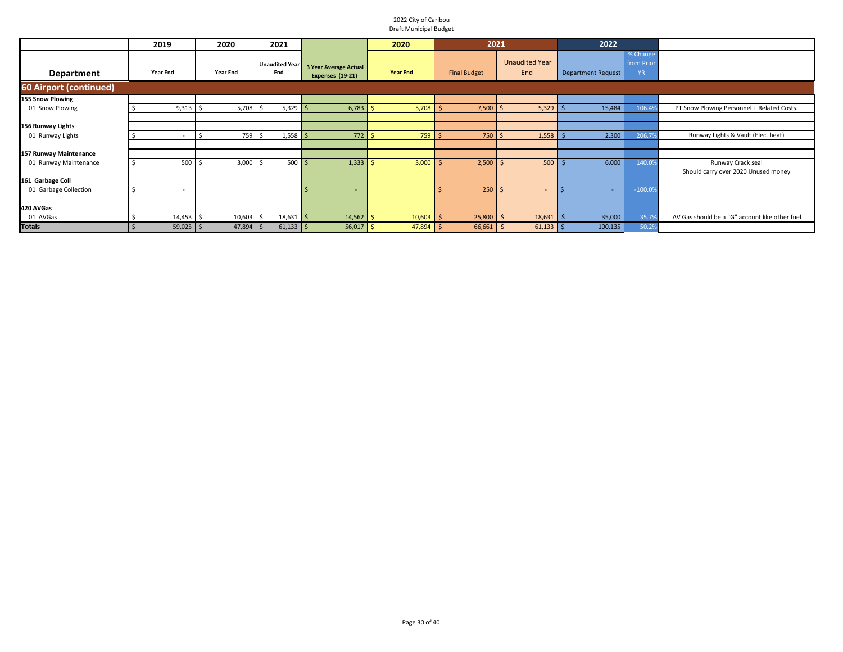|                        | 2019            | 2020            | 2021                         |                                                         | 2020            | 2021                |                              | 2022                      |                                    |                                                |
|------------------------|-----------------|-----------------|------------------------------|---------------------------------------------------------|-----------------|---------------------|------------------------------|---------------------------|------------------------------------|------------------------------------------------|
| <b>Department</b>      | <b>Year End</b> | <b>Year End</b> | <b>Unaudited Year</b><br>End | <b>3 Year Average Actual</b><br><b>Expenses (19-21)</b> | <b>Year End</b> | <b>Final Budget</b> | <b>Unaudited Year</b><br>End | <b>Department Request</b> | % Change<br>from Prio<br><b>YR</b> |                                                |
| 60 Airport (continued) |                 |                 |                              |                                                         |                 |                     |                              |                           |                                    |                                                |
| 155 Snow Plowing       |                 |                 |                              |                                                         |                 |                     |                              |                           |                                    |                                                |
| 01 Snow Plowing        | $9,313$ \$      | 5,708           | 5,329                        | 6,783                                                   | 5,708           | 7,500               | $5,329$ \$                   | 15,484                    | 106.4                              | PT Snow Plowing Personnel + Related Costs.     |
|                        |                 |                 |                              |                                                         |                 |                     |                              |                           |                                    |                                                |
| 156 Runway Lights      |                 |                 |                              |                                                         |                 |                     |                              |                           |                                    |                                                |
| 01 Runway Lights       | $\sim$          | 759             | 1,558                        | $772 \,$ \$                                             | 759             | 750                 | 1,558                        | 2,300                     | 206.79                             | Runway Lights & Vault (Elec. heat)             |
|                        |                 |                 |                              |                                                         |                 |                     |                              |                           |                                    |                                                |
| 157 Runway Maintenance |                 |                 |                              |                                                         |                 |                     |                              |                           |                                    |                                                |
| 01 Runway Maintenance  | 500             | 3,000           | 500                          | 1,333                                                   | 3,000           | 2,500               | 500                          | 6,000                     | 140.0%                             | Runway Crack seal                              |
|                        |                 |                 |                              |                                                         |                 |                     |                              |                           |                                    | Should carry over 2020 Unused money            |
| 161 Garbage Coll       |                 |                 |                              |                                                         |                 |                     |                              |                           |                                    |                                                |
| 01 Garbage Collection  | $\sim$          |                 |                              | $\overline{\phantom{a}}$                                |                 | 250                 | $\overline{a}$               |                           | $-100.09$                          |                                                |
|                        |                 |                 |                              |                                                         |                 |                     |                              |                           |                                    |                                                |
| 420 AVGas              |                 |                 |                              |                                                         |                 |                     |                              |                           |                                    |                                                |
| 01 AVGas               | 14,453          | 10,603          | 18,631                       | 14,562<br>-5                                            | 10,603          | 25,800              | $18,631$ \$                  | 35,000                    | 35.7                               | AV Gas should be a "G" account like other fuel |
| <b>Totals</b>          | $59,025$ \$     | $47,894$ \$     | $61,133$ \$                  | $56,017$ \$                                             | $47,894$ \$     | 66,661              | $61,133$ \$<br>l \$          | 100, 135                  | 50.29                              |                                                |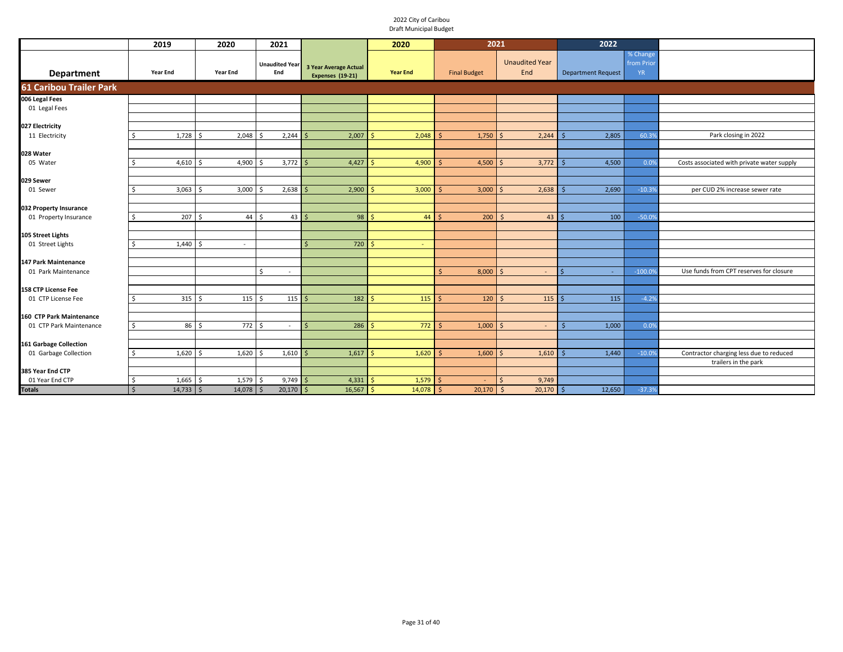|                                     | 2019                                       | 2020                       | 2021                           |                                                  | 2020                 | 2021                |                              | 2022                      |                                     |                                            |
|-------------------------------------|--------------------------------------------|----------------------------|--------------------------------|--------------------------------------------------|----------------------|---------------------|------------------------------|---------------------------|-------------------------------------|--------------------------------------------|
| Department                          | <b>Year End</b>                            | <b>Year End</b>            | <b>Unaudited Year</b><br>End   | <b>3 Year Average Actual</b><br>Expenses (19-21) | <b>Year End</b>      | <b>Final Budget</b> | <b>Unaudited Year</b><br>End | <b>Department Request</b> | % Change<br>from Prior<br><b>YR</b> |                                            |
| <b>61 Caribou Trailer Park</b>      |                                            |                            |                                |                                                  |                      |                     |                              |                           |                                     |                                            |
| 006 Legal Fees                      |                                            |                            |                                |                                                  |                      |                     |                              |                           |                                     |                                            |
| 01 Legal Fees                       |                                            |                            |                                |                                                  |                      |                     |                              |                           |                                     |                                            |
|                                     |                                            |                            |                                |                                                  |                      |                     |                              |                           |                                     |                                            |
| 027 Electricity                     |                                            |                            |                                |                                                  |                      |                     |                              |                           |                                     |                                            |
| 11 Electricity                      | $1,728$ \$<br>Ś                            | 2,048                      | 2,244<br>Ŝ                     | 2,007<br>-S                                      | 2,048                | 1,750               | 2,244<br><sup>5</sup>        | 2,805<br>Ŝ                | 60.39                               | Park closing in 2022                       |
| 028 Water                           |                                            |                            |                                |                                                  |                      |                     |                              |                           |                                     |                                            |
| 05 Water                            | 4,610                                      | 4,900                      | $3,772$ \$                     | 4,427                                            | 4,900<br>Š.          | 4,500               | 3,772                        | 4,500                     | 0.09                                | Costs associated with private water supply |
|                                     |                                            |                            |                                |                                                  |                      |                     |                              |                           |                                     |                                            |
| 029 Sewer                           |                                            |                            |                                |                                                  |                      |                     |                              |                           |                                     |                                            |
| 01 Sewer                            | 3,063<br>Ś                                 | 3,000                      | $2,638$ \$                     | 2,900                                            | 3,000<br><b>&lt;</b> | 3,000               | 2,638<br>$\zeta$             | 2,690<br>$\varsigma$      | $-10.3%$                            | per CUD 2% increase sewer rate             |
|                                     |                                            |                            |                                |                                                  |                      |                     |                              |                           |                                     |                                            |
| 032 Property Insurance              |                                            |                            |                                |                                                  | ¢                    |                     |                              |                           |                                     |                                            |
| 01 Property Insurance               | 207<br>Ś                                   | 44<br>Š.                   | Ś<br>43                        | 98<br>$\breve{\varsigma}$                        | 44                   | 200                 | 43                           | 100                       | $-50.09$                            |                                            |
| 105 Street Lights                   |                                            |                            |                                |                                                  |                      |                     |                              |                           |                                     |                                            |
| 01 Street Lights                    | $1,440$ \$                                 | $\sim$                     |                                | 720                                              | <b>S</b><br>$\sim$   |                     |                              |                           |                                     |                                            |
|                                     |                                            |                            |                                |                                                  |                      |                     |                              |                           |                                     |                                            |
| 147 Park Maintenance                |                                            |                            |                                |                                                  |                      |                     |                              |                           |                                     |                                            |
| 01 Park Maintenance                 |                                            |                            | Ś.<br>$\overline{\phantom{a}}$ |                                                  |                      | 8,000               | $\leq$<br>$\sim$             |                           | $-100.09$                           | Use funds from CPT reserves for closure    |
|                                     |                                            |                            |                                |                                                  |                      |                     |                              |                           |                                     |                                            |
| 158 CTP License Fee                 | 315                                        |                            | \$                             | 182                                              |                      |                     | $\zeta$                      |                           | $-4.2%$                             |                                            |
| 01 CTP License Fee                  |                                            | 115<br>-S                  | 115                            |                                                  | 115                  | 120                 | 115                          | 115                       |                                     |                                            |
| 160 CTP Park Maintenance            |                                            |                            |                                |                                                  |                      |                     |                              |                           |                                     |                                            |
| 01 CTP Park Maintenance             | 86 <sup>5</sup><br>Ś.                      | 772 \$                     | $\sim$                         | 286<br>l S                                       | $772 \quad$<br>-Ś    | 1,000               | $\zeta$<br>$\sim$            | 1,000<br>-Ś               | 0.0%                                |                                            |
|                                     |                                            |                            |                                |                                                  |                      |                     |                              |                           |                                     |                                            |
| <b>161 Garbage Collection</b>       |                                            |                            |                                |                                                  |                      |                     |                              |                           |                                     |                                            |
| 01 Garbage Collection               | $1,620$ \$<br>Ś                            | 1,620                      | 1,610<br>Ŝ                     | 1,617<br>l S                                     | 1,620<br>S,          | 1,600               | 1,610<br>$\varsigma$         | 1,440                     | $-10.09$                            | Contractor charging less due to reduced    |
|                                     |                                            |                            |                                |                                                  |                      |                     |                              |                           |                                     | trailers in the park                       |
| 385 Year End CTP<br>01 Year End CTP |                                            |                            | $9,749$ \$                     |                                                  | <b>S</b>             |                     | $\mathsf{S}$                 |                           |                                     |                                            |
| <b>Totals</b>                       | 1,665<br>\$<br>$\mathsf{S}$<br>$14,733$ \$ | 1,579<br>-Ś<br>$14,078$ \$ | Ŝ.<br>$20,170$ \$              | 4,331<br>$16,567$ \$                             | 1,579<br>$14,078$ \$ | $20,170$ \$         | 9,749<br>$20,170$ \$         | 12,650                    | $-37.3%$                            |                                            |
|                                     |                                            |                            |                                |                                                  |                      |                     |                              |                           |                                     |                                            |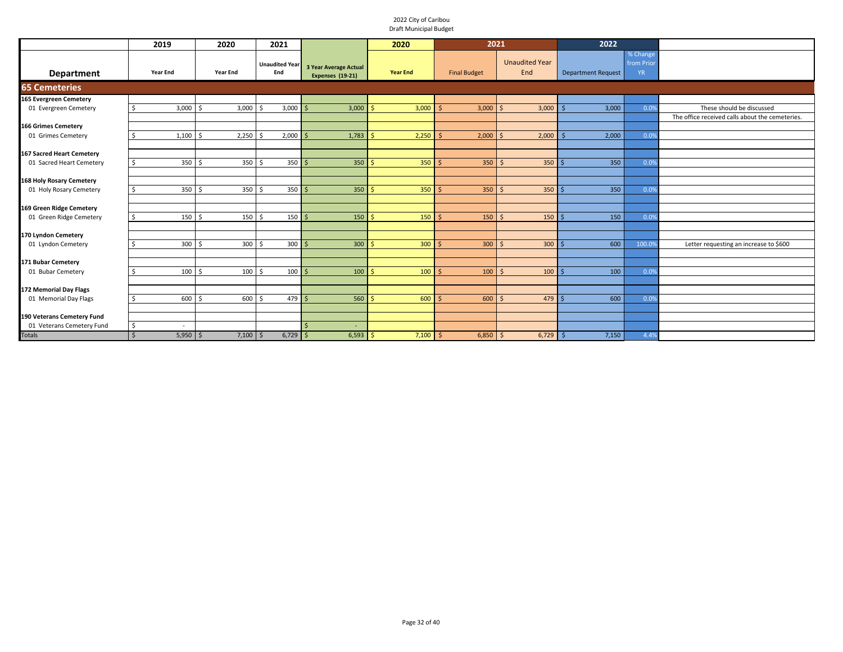|                                                       | 2019                   | 2020             | 2021                            |                                           | 2020                     | 2021                |                              | 2022                      |                                     |                                                 |
|-------------------------------------------------------|------------------------|------------------|---------------------------------|-------------------------------------------|--------------------------|---------------------|------------------------------|---------------------------|-------------------------------------|-------------------------------------------------|
| <b>Department</b>                                     | <b>Year End</b>        | <b>Year End</b>  | <b>Unaudited Year</b><br>End    | 3 Year Average Actual<br>Expenses (19-21) | <b>Year End</b>          | <b>Final Budget</b> | <b>Unaudited Year</b><br>End | <b>Department Request</b> | % Change<br>from Prior<br><b>YR</b> |                                                 |
| <b>65 Cemeteries</b>                                  |                        |                  |                                 |                                           |                          |                     |                              |                           |                                     |                                                 |
| 165 Evergreen Cemetery                                |                        |                  |                                 |                                           |                          |                     |                              |                           |                                     |                                                 |
| 01 Evergreen Cemetery                                 | $3,000$ \$<br>. \$     | 3,000            | 3,000                           | 3,000                                     | 3,000                    | 3,000               | 3,000<br>$\mathsf{S}$        | 3,000                     | 0.09                                | These should be discussed                       |
|                                                       |                        |                  |                                 |                                           |                          |                     |                              |                           |                                     | The office received calls about the cemeteries. |
| <b>166 Grimes Cemetery</b>                            |                        |                  |                                 |                                           |                          |                     |                              |                           |                                     |                                                 |
| 01 Grimes Cemetery                                    | 1,100<br>Ŝ.            | 2,250            | 2,000                           | 1,783<br>l S                              | 2,250<br>Š.              | 2,000               | 2,000<br>Ŝ.                  | 2,000                     | 0.0%                                |                                                 |
|                                                       |                        |                  |                                 |                                           |                          |                     |                              |                           |                                     |                                                 |
| 167 Sacred Heart Cemetery<br>01 Sacred Heart Cemetery | 350 <sup>5</sup><br>S. | 350 <sup>5</sup> | $350$ \$                        | $350$ \$                                  | $350$ \$                 | $350$ \$            | $350$ \$                     | 350                       | 0.0%                                |                                                 |
|                                                       |                        |                  |                                 |                                           |                          |                     |                              |                           |                                     |                                                 |
| 168 Holy Rosary Cemetery                              |                        |                  |                                 |                                           |                          |                     |                              |                           |                                     |                                                 |
| 01 Holy Rosary Cemetery                               | 350 <sup>5</sup><br>\$ | 350              | $350$ \$                        | 350                                       | $350$ $\frac{2}{3}$      | $350$ \$            | $350$ $\frac{1}{5}$          | 350                       | 0.09                                |                                                 |
|                                                       |                        |                  |                                 |                                           |                          |                     |                              |                           |                                     |                                                 |
| 169 Green Ridge Cemetery                              |                        |                  |                                 |                                           |                          |                     |                              |                           |                                     |                                                 |
| 01 Green Ridge Cemetery                               | Ŝ.<br>150S             | 150 <sup>5</sup> | $150 \overline{\smash{\big)} }$ | 150                                       | 150<br>$\hat{\varsigma}$ | 150                 | $150$ \$<br>-Ś               | 150                       | 0.0%                                |                                                 |
|                                                       |                        |                  |                                 |                                           |                          |                     |                              |                           |                                     |                                                 |
| 170 Lyndon Cemetery                                   |                        |                  |                                 |                                           |                          |                     |                              |                           |                                     |                                                 |
| 01 Lyndon Cemetery                                    | $300 \quad $5$<br>Ŝ.   | $300 \quad $5$   | $300 \overline{\smash{\big)}}$  | 300                                       | 300<br>Ŝ                 | 300                 | $300$ \$<br>∣ \$             | 600                       | 100.09                              | Letter requesting an increase to \$600          |
|                                                       |                        |                  |                                 |                                           |                          |                     |                              |                           |                                     |                                                 |
| 171 Bubar Cemetery                                    |                        |                  |                                 |                                           |                          |                     |                              |                           |                                     |                                                 |
| 01 Bubar Cemetery                                     | $100 \pm 5$<br>Ś       | $100 \pm 5$      | $100 \overline{\smash{\big)} }$ | 100                                       | $100 \,$ \$<br>Ŝ         | $100 \mid 5$        | 100                          | 100                       | 0.09                                |                                                 |
| 172 Memorial Day Flags                                |                        |                  |                                 |                                           |                          |                     |                              |                           |                                     |                                                 |
| 01 Memorial Day Flags                                 | 600<br>Ŝ.              | 600 \$<br>l \$   | $479$ \$                        | 560                                       | 600<br>Ŝ                 | 600                 | $479$ \$<br>-Ś               | 600                       | 0.09                                |                                                 |
|                                                       |                        |                  |                                 |                                           |                          |                     |                              |                           |                                     |                                                 |
| 190 Veterans Cemetery Fund                            |                        |                  |                                 |                                           |                          |                     |                              |                           |                                     |                                                 |
| 01 Veterans Cemetery Fund                             | $\sqrt{5}$             |                  |                                 | ٠                                         |                          |                     |                              |                           |                                     |                                                 |
| <b>Totals</b>                                         | $\zeta$<br>$5,950$ \$  | $7,100$ \$       | $6,729$ \$                      | $6,593$ \$                                | $7,100$ \$               | $6,850$ \$          | $6,729$ \$                   | 7,150                     | 4.4%                                |                                                 |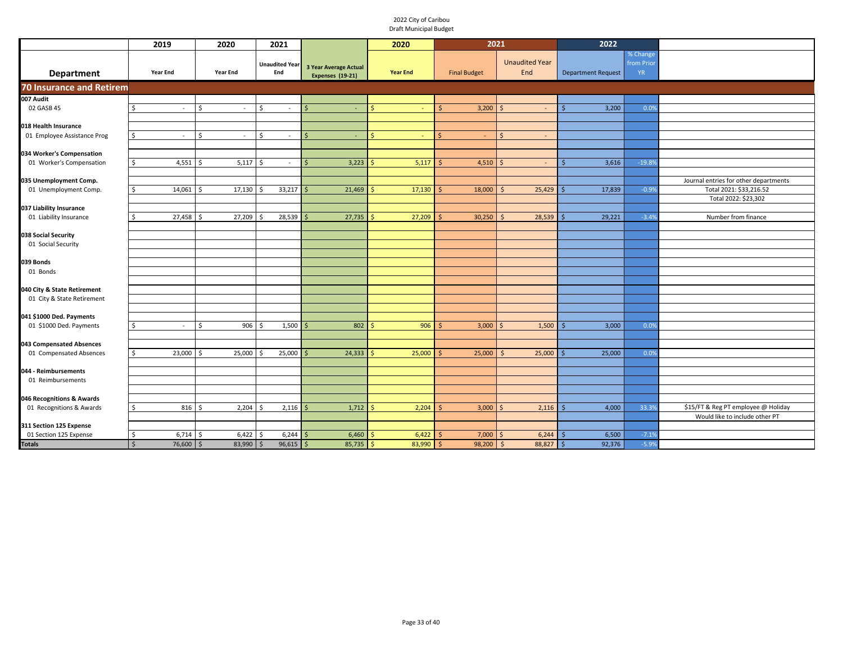|                                                     | 2019                    | 2020                 | 2021                         |                                                  | 2020              | 2021                |                              | 2022                      |                                     |                                                                       |
|-----------------------------------------------------|-------------------------|----------------------|------------------------------|--------------------------------------------------|-------------------|---------------------|------------------------------|---------------------------|-------------------------------------|-----------------------------------------------------------------------|
| <b>Department</b>                                   | <b>Year End</b>         | <b>Year End</b>      | <b>Unaudited Year</b><br>End | <b>3 Year Average Actual</b><br>Expenses (19-21) | <b>Year End</b>   | <b>Final Budget</b> | <b>Unaudited Year</b><br>End | <b>Department Request</b> | % Change<br>from Prior<br><b>YR</b> |                                                                       |
| <b>70 Insurance and Retirem</b>                     |                         |                      |                              |                                                  |                   |                     |                              |                           |                                     |                                                                       |
| 007 Audit                                           |                         |                      |                              |                                                  |                   |                     |                              |                           |                                     |                                                                       |
| 02 GASB 45                                          | Ŝ.<br>$\sim$            | Ŝ.                   | Ŝ.                           | -Ś                                               | Ŝ                 | Ś.<br>3,200         | -Ś<br>$\sim$                 | 3,200<br>Ś                | 0.0%                                |                                                                       |
|                                                     |                         |                      |                              |                                                  |                   |                     |                              |                           |                                     |                                                                       |
| 018 Health Insurance<br>01 Employee Assistance Prog | $\sim$                  | $\zeta$              | $\zeta$<br>$\omega$          | S,<br>$\sim$                                     |                   |                     | $\zeta$<br>$\sim$            |                           |                                     |                                                                       |
|                                                     |                         |                      |                              |                                                  |                   |                     |                              |                           |                                     |                                                                       |
| 034 Worker's Compensation                           |                         |                      |                              |                                                  |                   |                     |                              |                           |                                     |                                                                       |
| 01 Worker's Compensation                            | $4,551$ \$<br>\$        | $5,117$ \$           | $\sim$                       | 3,223<br>-Ś                                      | 5,117             | 4,510<br>∫ <        | $\sim$                       | 3,616                     | $-19.89$                            |                                                                       |
|                                                     |                         |                      |                              |                                                  |                   |                     |                              |                           |                                     |                                                                       |
| 035 Unemployment Comp.                              |                         |                      |                              |                                                  |                   |                     |                              |                           |                                     | Journal entries for other departments                                 |
| 01 Unemployment Comp.                               | $14,061$ \$<br>Ŝ.       | 17,130               | 33,217<br>l \$               | 21,469<br>l S                                    | $17,130$ \$<br>-Ś | 18,000              | 25,429<br>-S                 | 17,839<br>.S              | $-0.9%$                             | Total 2021: \$33,216.52<br>Total 2022: \$23,302                       |
| 037 Liability Insurance                             |                         |                      |                              |                                                  |                   |                     |                              |                           |                                     |                                                                       |
| 01 Liability Insurance                              | 27,458                  | 27,209<br>-Ś         | $28,539$ \$<br>Ŝ.            | 27,735                                           | 27,209<br>S.      | 30,250              | 28,539<br>$\leq$             | 29,221<br>.S              | $-3.4%$                             | Number from finance                                                   |
|                                                     |                         |                      |                              |                                                  |                   |                     |                              |                           |                                     |                                                                       |
| 038 Social Security                                 |                         |                      |                              |                                                  |                   |                     |                              |                           |                                     |                                                                       |
| 01 Social Security                                  |                         |                      |                              |                                                  |                   |                     |                              |                           |                                     |                                                                       |
|                                                     |                         |                      |                              |                                                  |                   |                     |                              |                           |                                     |                                                                       |
| 039 Bonds                                           |                         |                      |                              |                                                  |                   |                     |                              |                           |                                     |                                                                       |
| 01 Bonds                                            |                         |                      |                              |                                                  |                   |                     |                              |                           |                                     |                                                                       |
| 040 City & State Retirement                         |                         |                      |                              |                                                  |                   |                     |                              |                           |                                     |                                                                       |
| 01 City & State Retirement                          |                         |                      |                              |                                                  |                   |                     |                              |                           |                                     |                                                                       |
|                                                     |                         |                      |                              |                                                  |                   |                     |                              |                           |                                     |                                                                       |
| 041 \$1000 Ded. Payments                            |                         |                      |                              |                                                  |                   |                     |                              |                           |                                     |                                                                       |
| 01 \$1000 Ded. Payments                             | \$<br>$\sim$            | 906<br><sup>\$</sup> | 1,500                        | 802                                              | 906               | 3,000<br>-S         | 1,500                        | 3,000                     | 0.0%                                |                                                                       |
|                                                     |                         |                      |                              |                                                  |                   |                     |                              |                           |                                     |                                                                       |
| 043 Compensated Absences<br>01 Compensated Absences | 23,000 \$<br>\$         | 25,000               | $25,000$ \$<br>l \$          | 24,333                                           | 25,000<br>-Ś.     | 25,000              | $25,000$ \$<br>-S            | 25,000                    | 0.0%                                |                                                                       |
|                                                     |                         |                      |                              |                                                  |                   |                     |                              |                           |                                     |                                                                       |
| 044 - Reimbursements                                |                         |                      |                              |                                                  |                   |                     |                              |                           |                                     |                                                                       |
| 01 Reimbursements                                   |                         |                      |                              |                                                  |                   |                     |                              |                           |                                     |                                                                       |
|                                                     |                         |                      |                              |                                                  |                   |                     |                              |                           |                                     |                                                                       |
| 046 Recognitions & Awards                           |                         |                      |                              |                                                  |                   |                     |                              |                           |                                     |                                                                       |
| 01 Recognitions & Awards                            | $816$ \$<br>\$          | 2,204                | $2,116$ \$<br>-Ŝ             | 1,712                                            | 2,204<br>-Ś       | 3,000<br>Š,         | 2,116<br>$\zeta$             | 4,000                     | 33.3%                               | \$15/FT & Reg PT employee @ Holiday<br>Would like to include other PT |
| 311 Section 125 Expense                             |                         |                      |                              |                                                  |                   |                     |                              |                           |                                     |                                                                       |
| 01 Section 125 Expense                              | 6,714<br>S              | 6,422<br>-S          | 6,244                        | 6,460                                            | 6,422<br>S        | 7,000               | 6,244<br>-S                  | 6,500                     | $-7.19$                             |                                                                       |
| <b>Totals</b>                                       | 76,600<br>$\frac{1}{2}$ | 83,990               | $96,615$ \$<br>-S            | $85,735$ \$                                      | $83,990$ \$       | 98,200              | 88,827<br>$\mathsf{\hat{S}}$ | 92,376<br>Ŝ               | $-5.9%$                             |                                                                       |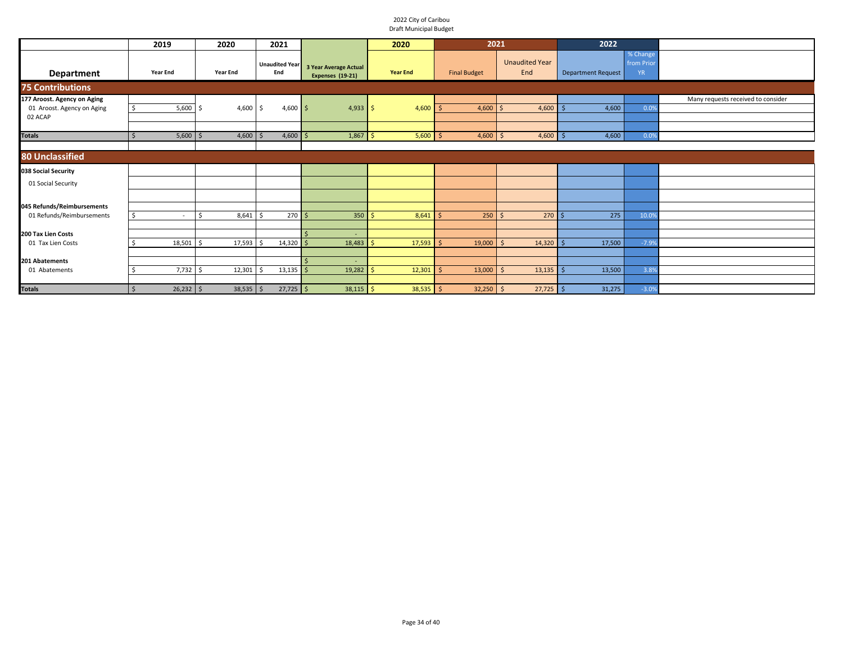|                                                                      | 2019                     | 2020             | 2021                         |                                                  | 2020            |                     | 2021                         | 2022               |                                     |                                    |
|----------------------------------------------------------------------|--------------------------|------------------|------------------------------|--------------------------------------------------|-----------------|---------------------|------------------------------|--------------------|-------------------------------------|------------------------------------|
| <b>Department</b>                                                    | <b>Year End</b>          | <b>Year End</b>  | <b>Unaudited Year</b><br>End | <b>3 Year Average Actual</b><br>Expenses (19-21) | <b>Year End</b> | <b>Final Budget</b> | <b>Unaudited Year</b><br>End | Department Request | % Change<br>from Prior<br><b>YR</b> |                                    |
| <b>75 Contributions</b>                                              |                          |                  |                              |                                                  |                 |                     |                              |                    |                                     |                                    |
| 177 Aroost. Agency on Aging<br>01 Aroost. Agency on Aging<br>02 ACAP | 5,600                    | 4,600            | $4,600$ \$<br>-S             | $4,933$ \$                                       | 4,600           | 4,600               | 4,600<br>l s                 | 4,600              | 0.0%                                | Many requests received to consider |
| <b>Totals</b>                                                        | $5,600$ \$               | $4,600$ \$       | $4,600$ \$                   | 1,867                                            | 5,600<br>l \$   | 4,600               | $4,600$ \$<br>l s            | 4,600              | 0.0%                                |                                    |
| <b>80 Unclassified</b>                                               |                          |                  |                              |                                                  |                 |                     |                              |                    |                                     |                                    |
| 038 Social Security                                                  |                          |                  |                              |                                                  |                 |                     |                              |                    |                                     |                                    |
| 01 Social Security                                                   |                          |                  |                              |                                                  |                 |                     |                              |                    |                                     |                                    |
| 045 Refunds/Reimbursements                                           |                          |                  |                              |                                                  |                 |                     |                              |                    |                                     |                                    |
| 01 Refunds/Reimbursements                                            | $\overline{\phantom{a}}$ | $8,641$ \$<br>Ŝ. | 270S                         | $350$ \$                                         | 8,641           | $250$ \$            | $270$ \$                     | 275                | 10.0%                               |                                    |
| 200 Tax Lien Costs                                                   |                          |                  |                              |                                                  |                 |                     |                              |                    |                                     |                                    |
| 01 Tax Lien Costs                                                    | 18,501                   | 17,593<br>Ś      | $14,320$ \$                  | 18,483                                           | 17,593          | 19,000              | 14,320                       | 17,500             | $-7.9%$                             |                                    |
| 201 Abatements<br>01 Abatements                                      | $7,732$ \$               | 12,301           | $13,135$ \$                  | 19,282                                           | 12,301          | 13,000              | 13,135                       | 13,500             | 3.8%                                |                                    |
| <b>Totals</b>                                                        | $26,232$ \$<br>. s       | $38,535$ \$      | $27,725$ \$                  | $38,115$ \$                                      | $38,535$ \$     | $32,250$ \$         | $27,725$ \$                  | 31,275             | $-3.0%$                             |                                    |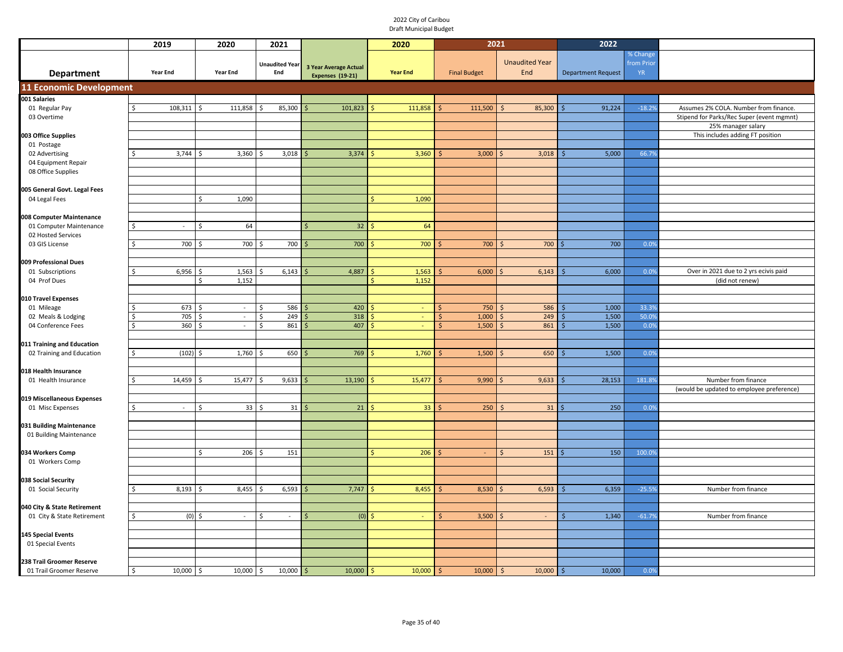|                                                | 2019              | 2020            | 2021                  |                       | 2020            | 2021                |                                | 2022                      |            |                                           |
|------------------------------------------------|-------------------|-----------------|-----------------------|-----------------------|-----------------|---------------------|--------------------------------|---------------------------|------------|-------------------------------------------|
|                                                |                   |                 |                       |                       |                 |                     |                                |                           | % Change   |                                           |
|                                                |                   |                 | <b>Unaudited Year</b> | 3 Year Average Actual |                 |                     | <b>Unaudited Year</b>          |                           | from Prior |                                           |
| <b>Department</b>                              | Year End          | <b>Year End</b> | End                   | Expenses (19-21)      | <b>Year End</b> | <b>Final Budget</b> | End                            | <b>Department Request</b> | <b>YR</b>  |                                           |
| <b>11 Economic Development</b>                 |                   |                 |                       |                       |                 |                     |                                |                           |            |                                           |
| 001 Salaries                                   |                   |                 |                       |                       |                 |                     |                                |                           |            |                                           |
| 01 Regular Pay                                 | 108,311 \$        | 111,858         | 85,300                | 101,823               | 111,858         | 111,500             | 85,300<br>$\mathsf{S}$         | 91,224                    | $-18.2%$   | Assumes 2% COLA. Number from finance.     |
| 03 Overtime                                    |                   |                 |                       |                       |                 |                     |                                |                           |            | Stipend for Parks/Rec Super (event mgmnt) |
|                                                |                   |                 |                       |                       |                 |                     |                                |                           |            | 25% manager salary                        |
| 003 Office Supplies                            |                   |                 |                       |                       |                 |                     |                                |                           |            | This includes adding FT position          |
| 01 Postage                                     |                   |                 |                       |                       |                 |                     |                                |                           |            |                                           |
| 02 Advertising                                 | $3,744$ \$        | 3,360           | 3,018<br>Š.           | 3,374                 | 3,360           | 3,000               | 3,018                          | 5,000                     | 66.7%      |                                           |
| 04 Equipment Repair                            |                   |                 |                       |                       |                 |                     |                                |                           |            |                                           |
| 08 Office Supplies                             |                   |                 |                       |                       |                 |                     |                                |                           |            |                                           |
| 005 General Govt. Legal Fees                   |                   |                 |                       |                       |                 |                     |                                |                           |            |                                           |
| 04 Legal Fees                                  |                   | 1,090<br>\$     |                       |                       | 1,090           |                     |                                |                           |            |                                           |
|                                                |                   |                 |                       |                       |                 |                     |                                |                           |            |                                           |
| 008 Computer Maintenance                       |                   |                 |                       |                       |                 |                     |                                |                           |            |                                           |
| 01 Computer Maintenance                        | Ś<br>$\sim$       | \$<br>64        |                       | 32                    | 64              |                     |                                |                           |            |                                           |
| 02 Hosted Services                             |                   |                 |                       |                       |                 |                     |                                |                           |            |                                           |
| 03 GIS License                                 | 700<br>Ŝ          | 700             | 700                   | 700                   | 700             | 700                 | 700<br>-Ś                      | 700                       | 0.0%       |                                           |
|                                                |                   |                 |                       |                       |                 |                     |                                |                           |            |                                           |
| 009 Professional Dues                          |                   |                 |                       |                       |                 |                     |                                |                           |            |                                           |
| 01 Subscriptions                               | 6,956<br>ς.       | 1,563           | 6,143                 | 4,887                 | 1,563           | 6,000               | 6,143<br>$\sim$                | 6,000                     | 0.0%       | Over in 2021 due to 2 yrs ecivis paid     |
| 04 Prof Dues                                   |                   | 1,152<br>\$     |                       |                       | 1,152           |                     |                                |                           |            | (did not renew)                           |
| 010 Travel Expenses                            |                   |                 |                       |                       |                 |                     |                                |                           |            |                                           |
| 01 Mileage                                     | 673               | Ŝ.<br>$\sim$    | 586<br>Ŝ.             | 420                   | $\sim$          | 750<br>Ś            | 586<br>$\overline{\mathsf{s}}$ | 1,000                     | 33.3%      |                                           |
| 02 Meals & Lodging                             | 705               | $\omega$<br>Ŝ.  | 249<br>Ŝ.             | 318                   |                 | 1,000<br>Ŝ          | 249<br>-Ś                      | 1,500                     | 50.0%      |                                           |
| 04 Conference Fees                             | 360<br>Ś          | $\sim$<br>Ŝ.    | Ŝ.<br>861             | 407                   | $\omega$        | 1,500               | 861<br>-Ś                      | 1,500                     | 0.0%       |                                           |
|                                                |                   |                 |                       |                       |                 |                     |                                |                           |            |                                           |
| 011 Training and Education                     |                   |                 |                       |                       |                 |                     |                                |                           |            |                                           |
| 02 Training and Education                      | (102)<br>Ŝ.       | 1,760<br>\$     | 650<br>\$             | 769                   | 1,760           | 1,500               | 650<br>۱\$                     | 1,500                     | 0.0%       |                                           |
|                                                |                   |                 |                       |                       |                 |                     |                                |                           |            |                                           |
| 018 Health Insurance                           |                   |                 |                       |                       |                 |                     |                                |                           |            |                                           |
| 01 Health Insurance                            | 14,459<br>\$      | 15,477<br>Ŝ.    | 9,633<br>Š.           | 13,190                | 15,477          | 9,990               | 9,633                          | 28,153                    | 181.8%     | Number from finance                       |
|                                                |                   |                 |                       |                       |                 |                     |                                |                           |            | (would be updated to employee preference) |
| 019 Miscellaneous Expenses<br>01 Misc Expenses | $\sim$            | 33<br>\$        | 31                    | 21                    | 33 <sup>°</sup> | 250                 | 31                             | 250                       | 0.0%       |                                           |
|                                                |                   |                 |                       |                       |                 |                     |                                |                           |            |                                           |
| 031 Building Maintenance                       |                   |                 |                       |                       |                 |                     |                                |                           |            |                                           |
| 01 Building Maintenance                        |                   |                 |                       |                       |                 |                     |                                |                           |            |                                           |
|                                                |                   |                 |                       |                       |                 |                     |                                |                           |            |                                           |
| 034 Workers Comp                               |                   | \$<br>206       | 151<br>Ŝ.             |                       | 206<br>$\zeta$  | $\sim$              | $\zeta$<br>151                 | 150<br>Ś                  | 100.0%     |                                           |
| 01 Workers Comp                                |                   |                 |                       |                       |                 |                     |                                |                           |            |                                           |
|                                                |                   |                 |                       |                       |                 |                     |                                |                           |            |                                           |
| 038 Social Security                            |                   |                 |                       |                       |                 |                     |                                |                           |            |                                           |
| 01 Social Security                             | 8,193             | 8,455           | 6,593                 | 7,747                 | 8,455           | 8,530               | 6,593<br>l S                   | 6,359<br>.S               | $-25.5%$   | Number from finance                       |
| 040 City & State Retirement                    |                   |                 |                       |                       |                 |                     |                                |                           |            |                                           |
| 01 City & State Retirement                     | (0)               | \$<br>$\sim$    | Ŝ.<br>$\sim$          | (0)                   | $\sim$          | 3,500               | $\sim$                         | 1,340                     | $-61.7%$   | Number from finance                       |
|                                                |                   |                 |                       |                       |                 |                     |                                |                           |            |                                           |
| <b>145 Special Events</b>                      |                   |                 |                       |                       |                 |                     |                                |                           |            |                                           |
| 01 Special Events                              |                   |                 |                       |                       |                 |                     |                                |                           |            |                                           |
|                                                |                   |                 |                       |                       |                 |                     |                                |                           |            |                                           |
| 238 Trail Groomer Reserve                      |                   |                 |                       |                       |                 |                     |                                |                           |            |                                           |
| 01 Trail Groomer Reserve                       | $10,000$ \$<br>\$ | 10,000          | 10,000<br>\$          | 10,000                | 10,000<br>-Ś    | 10,000<br>Ś         | 10,000<br>-Ś                   | 10,000<br>'\$             | 0.0%       |                                           |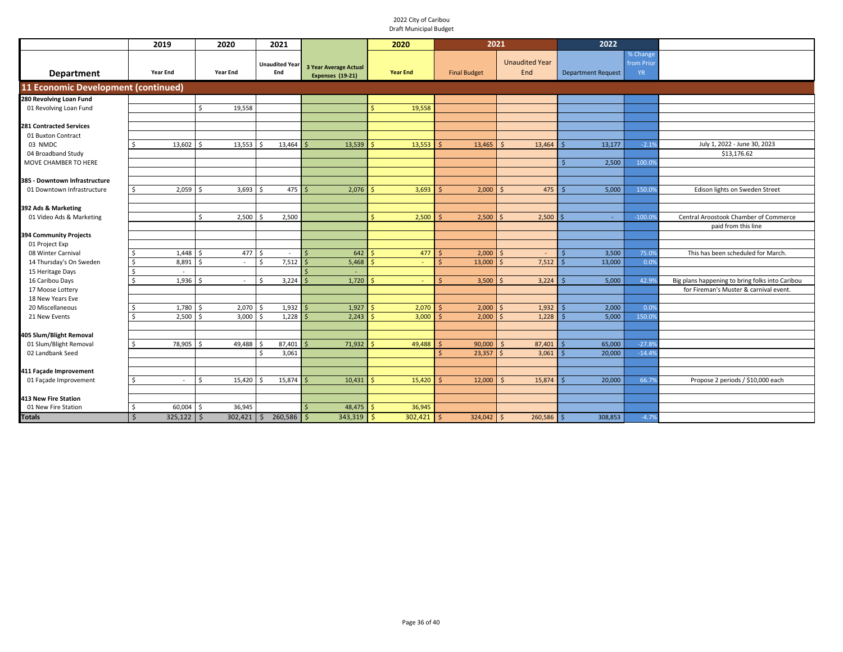|                                                   | 2019                           | 2020                    | 2021                                |                                                  | 2020               | 2021                |                              | 2022               |                                     |                                                 |
|---------------------------------------------------|--------------------------------|-------------------------|-------------------------------------|--------------------------------------------------|--------------------|---------------------|------------------------------|--------------------|-------------------------------------|-------------------------------------------------|
| <b>Department</b>                                 | <b>Year End</b>                | <b>Year End</b>         | <b>Unaudited Year</b><br>End        | <b>3 Year Average Actual</b><br>Expenses (19-21) | <b>Year End</b>    | <b>Final Budget</b> | <b>Unaudited Year</b><br>End | Department Request | % Change<br>from Prior<br><b>YR</b> |                                                 |
| 11 Economic Development (continued)               |                                |                         |                                     |                                                  |                    |                     |                              |                    |                                     |                                                 |
| 280 Revolving Loan Fund                           |                                |                         |                                     |                                                  |                    |                     |                              |                    |                                     |                                                 |
| 01 Revolving Loan Fund                            |                                | 19,558<br>ς.            |                                     |                                                  | 19,558             |                     |                              |                    |                                     |                                                 |
|                                                   |                                |                         |                                     |                                                  |                    |                     |                              |                    |                                     |                                                 |
| <b>281 Contracted Services</b>                    |                                |                         |                                     |                                                  |                    |                     |                              |                    |                                     |                                                 |
| 01 Buxton Contract<br>03 NMDC                     | 13,602                         | 13,553                  | 13,464                              | 13,539                                           | 13,553             | 13,465              | 13,464<br>$\leq$             | 13,177             | $-2.1%$                             | July 1, 2022 - June 30, 2023                    |
| 04 Broadband Study                                |                                |                         |                                     |                                                  |                    |                     |                              |                    |                                     | \$13,176.62                                     |
| MOVE CHAMBER TO HERE                              |                                |                         |                                     |                                                  |                    |                     |                              | 2,500              | 100.09                              |                                                 |
|                                                   |                                |                         |                                     |                                                  |                    |                     |                              |                    |                                     |                                                 |
| 385 - Downtown Infrastructure                     |                                |                         |                                     |                                                  |                    |                     |                              |                    |                                     |                                                 |
| 01 Downtown Infrastructure                        | 2,059<br>ς.                    | 3,693                   | 475                                 | 2,076                                            | 3,693              | 2,000               | 475<br>S                     | 5,000              | 150.09                              | Edison lights on Sweden Street                  |
|                                                   |                                |                         |                                     |                                                  |                    |                     |                              |                    |                                     |                                                 |
| 392 Ads & Marketing                               |                                |                         |                                     |                                                  |                    |                     |                              |                    |                                     |                                                 |
| 01 Video Ads & Marketing                          |                                | 2.500<br>\$             | 2.500                               |                                                  | 2,500<br>¢.        | 2,500               | 2,500<br>$\breve{\varsigma}$ |                    | $-100.09$                           | Central Aroostook Chamber of Commerce           |
|                                                   |                                |                         |                                     |                                                  |                    |                     |                              |                    |                                     | paid from this line                             |
| 394 Community Projects<br>01 Project Exp          |                                |                         |                                     |                                                  |                    |                     |                              |                    |                                     |                                                 |
| 08 Winter Carnival                                | 1,448<br>-S                    | 477<br>ς                | Ŝ.<br>$\sim$                        | 642                                              | 477                | 2,000<br>ς          | -Ś<br>$\sim$                 | 3,500              | 75.09                               | This has been scheduled for March.              |
| 14 Thursday's On Sweden                           | 8,891<br><sup>\$</sup>         | ¢                       | 7,512<br>$\zeta$                    | 5,468                                            |                    | 13,000<br><b>¢</b>  | 7,512                        | 13,000             | 0.0%                                |                                                 |
| 15 Heritage Days                                  | $\ddot{\phantom{0}}$<br>$\sim$ |                         |                                     |                                                  |                    |                     |                              |                    |                                     |                                                 |
| 16 Caribou Days                                   | $\zeta$<br>1,936               |                         | 3,224<br>$\hat{\zeta}$              | 1,720                                            |                    | 3,500<br>$\zeta$    | 3,224                        | 5,000              | 42.9%                               | Big plans happening to bring folks into Caribou |
| 17 Moose Lottery                                  |                                |                         |                                     |                                                  |                    |                     |                              |                    |                                     | for Fireman's Muster & carnival event.          |
| 18 New Years Eve                                  |                                |                         |                                     |                                                  |                    |                     |                              |                    |                                     |                                                 |
| 20 Miscellaneous                                  | 1,780                          | 2,070                   | 1,932                               | 1,927                                            | 2,070              | 2,000               | 1,932<br>$\breve{\varsigma}$ | 2,000              | 0.0%                                |                                                 |
| 21 New Events                                     | 2,500<br>S.                    | 3,000                   | 1,228                               | 2,243                                            | 3,000              | 2,000               | 1,228                        | 5,000              | 150.09                              |                                                 |
|                                                   |                                |                         |                                     |                                                  |                    |                     |                              |                    |                                     |                                                 |
| 405 Slum/Blight Removal<br>01 Slum/Blight Removal | 78,905<br>ς.                   | 49,488<br>ς             | 87.401                              | 71,932                                           | 49,488             | 90,000              | 87,401<br>$\zeta$            | 65,000             | $-27.89$                            |                                                 |
| 02 Landbank Seed                                  |                                |                         | <sup>\$</sup><br>3,061              |                                                  |                    | 23,357              | 3,061                        | 20,000             | $-14.49$                            |                                                 |
|                                                   |                                |                         |                                     |                                                  |                    |                     |                              |                    |                                     |                                                 |
| 411 Façade Improvement                            |                                |                         |                                     |                                                  |                    |                     |                              |                    |                                     |                                                 |
| 01 Façade Improvement                             | ς.<br>$\sim$                   | <sup>\$</sup><br>15,420 | 15,874                              | 10,431                                           | 15,420             | 12,000              | 15,874<br><sup>5</sup>       | 20,000             | 66.79                               | Propose 2 periods / \$10,000 each               |
|                                                   |                                |                         |                                     |                                                  |                    |                     |                              |                    |                                     |                                                 |
| <b>413 New Fire Station</b>                       |                                |                         |                                     |                                                  |                    |                     |                              |                    |                                     |                                                 |
| 01 New Fire Station                               | 60,004<br>Ŝ.                   | 36,945                  |                                     | 48,475                                           | 36,945             |                     |                              |                    |                                     |                                                 |
| <b>Totals</b>                                     | $325,122$ \$<br>$\mathsf{S}$   | 302,421                 | $260,586$ \$<br>$\ddot{\mathsf{S}}$ | 343,319                                          | $302,421$ \$<br>S. | 324,042             | $260,586$ \$<br>∣\$          | 308,853            | $-4.7%$                             |                                                 |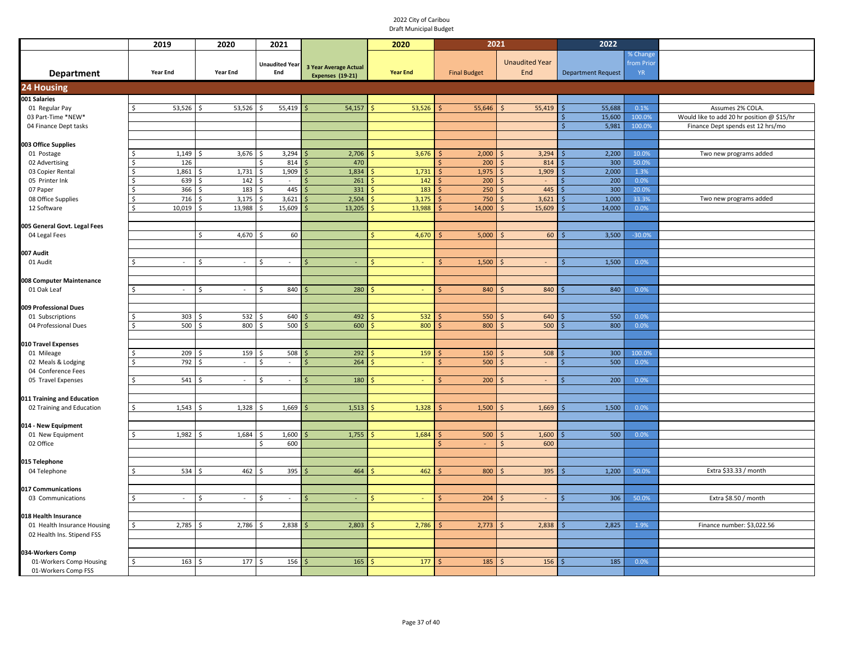|                                    | 2019                   | 2020                          | 2021                  |                              | 2020            | 2021                |                                 | 2022                      |              |                                            |
|------------------------------------|------------------------|-------------------------------|-----------------------|------------------------------|-----------------|---------------------|---------------------------------|---------------------------|--------------|--------------------------------------------|
|                                    |                        |                               |                       |                              |                 |                     |                                 |                           | % Change     |                                            |
|                                    |                        |                               | <b>Unaudited Year</b> | <b>3 Year Average Actual</b> |                 |                     | <b>Unaudited Year</b>           |                           | from Prio    |                                            |
| <b>Department</b>                  | <b>Year End</b>        | <b>Year End</b>               | End                   | Expenses (19-21)             | <b>Year End</b> | <b>Final Budget</b> | End                             | <b>Department Request</b> | <b>YR</b>    |                                            |
| 24 Housing                         |                        |                               |                       |                              |                 |                     |                                 |                           |              |                                            |
| 001 Salaries                       |                        |                               |                       |                              |                 |                     |                                 |                           |              |                                            |
| 01 Regular Pay                     | $53,526$ \$<br>$\zeta$ | 53,526                        | 55,419<br>\$          | 54,157                       | 53,526          | 55,646              | 55,419<br>$\varsigma$           | 55,688                    | 0.1%         | Assumes 2% COLA.                           |
| 03 Part-Time *NEW*                 |                        |                               |                       |                              |                 |                     |                                 | 15,600<br>Ś               | 100.0%       | Would like to add 20 hr position @ \$15/hr |
| 04 Finance Dept tasks              |                        |                               |                       |                              |                 |                     |                                 | 5,981<br>Ŝ.               | 100.0%       | Finance Dept spends est 12 hrs/mo          |
|                                    |                        |                               |                       |                              |                 |                     |                                 |                           |              |                                            |
| 003 Office Supplies                |                        |                               |                       |                              |                 |                     |                                 |                           |              |                                            |
| 01 Postage                         | 1,149                  | 3,676<br>S,                   | 3,294<br>Ŝ<br>Ś       | 2,706                        | 3,676           | 2,000               | 3,294                           | 2,200<br>Ś                | 10.0%        | Two new programs added                     |
| 02 Advertising                     | 126                    |                               | 814<br>Ś              | 470                          |                 | 200                 | 814                             | 300                       | 50.0%        |                                            |
| 03 Copier Rental<br>05 Printer Ink | 1,861<br>639           | 1,731<br>142                  | 1,909                 | 1,834<br>261                 | 1,731<br>142    | 1,975<br>200        | 1,909                           | 2,000<br>200              | 1.3%<br>0.0% |                                            |
| 07 Paper                           | 366                    | 183                           | S<br>$\sim$<br>445    | 331                          | 183             | 250                 | $\overline{\phantom{a}}$<br>445 | 300                       | 20.0%        |                                            |
| 08 Office Supplies                 | 716                    | 3,175                         | 3,621                 | 2,504                        | 3,175           | 750                 | 3,621                           | 1,000                     | 33.3%        | Two new programs added                     |
| 12 Software                        | 10,019                 | 13,988                        | 15,609                | 13,205                       | 13,988          | 14,000              | 15,609                          | 14,000                    | 0.0%         |                                            |
|                                    |                        |                               |                       |                              |                 |                     |                                 |                           |              |                                            |
| 005 General Govt. Legal Fees       |                        |                               |                       |                              |                 |                     |                                 |                           |              |                                            |
| 04 Legal Fees                      |                        | Ś.<br>4,670                   | 60                    |                              | 4,670           | 5,000               | 60                              | 3,500<br>Ŝ                | $-30.0%$     |                                            |
|                                    |                        |                               |                       |                              |                 |                     |                                 |                           |              |                                            |
| 007 Audit                          |                        |                               |                       |                              |                 |                     |                                 |                           |              |                                            |
| 01 Audit                           | $\sim$                 | <sup>\$</sup><br>$\omega$     | Ś<br>$\sim$           | <sup>\$</sup><br>$\omega$    | ÷               | 1,500<br>ς          | $\sim$                          | 1,500<br>Ś                | 0.0%         |                                            |
|                                    |                        |                               |                       |                              |                 |                     |                                 |                           |              |                                            |
| 008 Computer Maintenance           |                        |                               |                       |                              |                 |                     |                                 |                           |              |                                            |
| 01 Oak Leaf                        | Ŝ.<br>$\sim$           | Ŝ.<br>$\sim$                  | Ś.<br>840             | 280                          | $\sim$          | 840                 | 840                             | 840                       | 0.0%         |                                            |
|                                    |                        |                               |                       |                              |                 |                     |                                 |                           |              |                                            |
| 009 Professional Dues              |                        |                               |                       |                              |                 |                     |                                 |                           |              |                                            |
| 01 Subscriptions                   | 303                    | 532                           | 640                   | 492                          | 532             | 550                 | 640                             | 550                       | 0.0%         |                                            |
| 04 Professional Dues               | 500<br>$\zeta$         | 800                           | 500<br>ς.             | 600                          | 800             | 800                 | 500<br>$\varsigma$              | 800                       | 0.0%         |                                            |
| 010 Travel Expenses                |                        |                               |                       |                              |                 |                     |                                 |                           |              |                                            |
| 01 Mileage                         | 209                    | 159                           | 508                   | 292                          | 159             | 150                 | 508                             | 300                       | 100.0%       |                                            |
| 02 Meals & Lodging                 | 792                    | $\sim$                        | Ŝ.<br>$\omega$        | 264                          | G.              | 500                 | $\sim$                          | 500                       | 0.0%         |                                            |
| 04 Conference Fees                 |                        |                               |                       |                              |                 |                     |                                 |                           |              |                                            |
| 05 Travel Expenses                 | 541<br>Ŝ.              | $\sim$                        | Ŝ.<br>$\sim$          | 180<br>S,                    | ÷.              | 200                 | $\sim$<br>-S                    | 200                       | 0.0%         |                                            |
|                                    |                        |                               |                       |                              |                 |                     |                                 |                           |              |                                            |
| 011 Training and Education         |                        |                               |                       |                              |                 |                     |                                 |                           |              |                                            |
| 02 Training and Education          | 1,543<br>$\zeta$       | 1,328<br>S                    | 1,669                 | 1,513                        | 1,328           | 1,500               | 1,669                           | 1,500                     | 0.0%         |                                            |
|                                    |                        |                               |                       |                              |                 |                     |                                 |                           |              |                                            |
| 014 - New Equipment                |                        |                               |                       |                              |                 |                     |                                 |                           |              |                                            |
| 01 New Equipment                   | 1,982<br>¢.            | 1,684<br>$\zeta$              | 1,600<br>Ś            | 1,755                        | 1,684           | 500                 | 1,600<br>$\zeta$                | 500                       | 0.0%         |                                            |
| 02 Office                          |                        |                               | 600<br>Ś              |                              |                 |                     | 600<br>Ś                        |                           |              |                                            |
|                                    |                        |                               |                       |                              |                 |                     |                                 |                           |              |                                            |
| 015 Telephone                      |                        | 462<br>Ŝ                      | 395                   |                              | 462             |                     |                                 |                           | 50.0%        | Extra \$33.33 / month                      |
| 04 Telephone                       | 534                    |                               |                       | 464                          |                 | 800                 | 395                             | 1,200                     |              |                                            |
| 017 Communications                 |                        |                               |                       |                              |                 |                     |                                 |                           |              |                                            |
| 03 Communications                  | $\sim$                 | Ś<br>$\overline{\phantom{a}}$ | Ś<br>$\sim$           | $\overline{\phantom{a}}$     |                 | 204                 | $\overline{\phantom{a}}$        | 306                       | 50.0%        | Extra \$8.50 / month                       |
|                                    |                        |                               |                       |                              |                 |                     |                                 |                           |              |                                            |
| 018 Health Insurance               |                        |                               |                       |                              |                 |                     |                                 |                           |              |                                            |
| 01 Health Insurance Housing        | 2,785                  | 2,786                         | 2,838                 | 2,803                        | 2,786           | 2,773               | 2,838                           | 2,825<br>Ś                | 1.9%         | Finance number: \$3,022.56                 |
| 02 Health Ins. Stipend FSS         |                        |                               |                       |                              |                 |                     |                                 |                           |              |                                            |
|                                    |                        |                               |                       |                              |                 |                     |                                 |                           |              |                                            |
| 034-Workers Comp                   |                        |                               |                       |                              |                 |                     |                                 |                           |              |                                            |
| 01-Workers Comp Housing            | Ś<br>163               | 177<br>Ŝ.                     | 156<br>Ś              | 165                          | 177             | 185                 | 156<br>Ś                        | 185<br>Ŝ                  | 0.0%         |                                            |
| 01-Workers Comp FSS                |                        |                               |                       |                              |                 |                     |                                 |                           |              |                                            |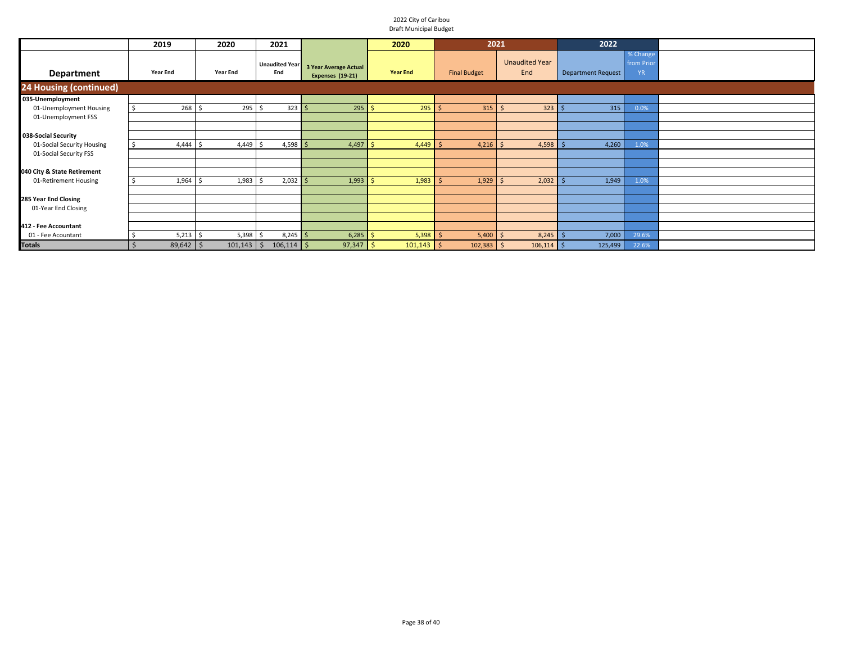|                               | 2019            | 2020            | 2021                         |                                                  | 2020            | 2021                |                              | 2022                      |                                     |  |
|-------------------------------|-----------------|-----------------|------------------------------|--------------------------------------------------|-----------------|---------------------|------------------------------|---------------------------|-------------------------------------|--|
| <b>Department</b>             | <b>Year End</b> | <b>Year End</b> | <b>Unaudited Year</b><br>End | <b>3 Year Average Actual</b><br>Expenses (19-21) | <b>Year End</b> | <b>Final Budget</b> | <b>Unaudited Year</b><br>End | <b>Department Request</b> | % Change<br>from Prior<br><b>YR</b> |  |
| <b>24 Housing (continued)</b> |                 |                 |                              |                                                  |                 |                     |                              |                           |                                     |  |
| 035-Unemployment              |                 |                 |                              |                                                  |                 |                     |                              |                           |                                     |  |
| 01-Unemployment Housing       | $268 \quad $$   | 295             | $323 \mid 5$                 | 295                                              | $295$ \$<br>-Ś  | $315$ \$            | $323$ \$                     | 315                       | 0.0%                                |  |
| 01-Unemployment FSS           |                 |                 |                              |                                                  |                 |                     |                              |                           |                                     |  |
|                               |                 |                 |                              |                                                  |                 |                     |                              |                           |                                     |  |
| 038-Social Security           |                 |                 |                              |                                                  |                 |                     |                              |                           |                                     |  |
| 01-Social Security Housing    | 4,444           | 4,449           | $4,598$ \$                   | 4,497                                            | -Ś<br>4,449     | $4,216$ \$          | $4,598$ \$                   | 4,260                     | 1.0%                                |  |
| 01-Social Security FSS        |                 |                 |                              |                                                  |                 |                     |                              |                           |                                     |  |
|                               |                 |                 |                              |                                                  |                 |                     |                              |                           |                                     |  |
| 040 City & State Retirement   |                 |                 |                              |                                                  |                 |                     |                              |                           |                                     |  |
| 01-Retirement Housing         | 1,964           | 1,983           | $2,032$ \$                   | 1,993                                            | 1,983           | $1,929$ \$          | 2,032                        | 1,949                     | 1.0%                                |  |
|                               |                 |                 |                              |                                                  |                 |                     |                              |                           |                                     |  |
| 285 Year End Closing          |                 |                 |                              |                                                  |                 |                     |                              |                           |                                     |  |
| 01-Year End Closing           |                 |                 |                              |                                                  |                 |                     |                              |                           |                                     |  |
|                               |                 |                 |                              |                                                  |                 |                     |                              |                           |                                     |  |
| 412 - Fee Accountant          |                 |                 |                              |                                                  |                 |                     |                              |                           |                                     |  |
| 01 - Fee Acountant            | 5,213           | 5,398           | $8,245$ \$                   | 6,285                                            | 5,398           | $5,400$ \$          | $8,245$ \$                   | 7,000                     | 29.6%                               |  |
| <b>Totals</b>                 | $89,642$ \$     | $101,143$ \$    | $106,114$ \$                 | $97,347$ \$                                      | $101,143$ \$    | $102,383$ \$        | $106,114$ \$                 | 125,499                   | 22.6%                               |  |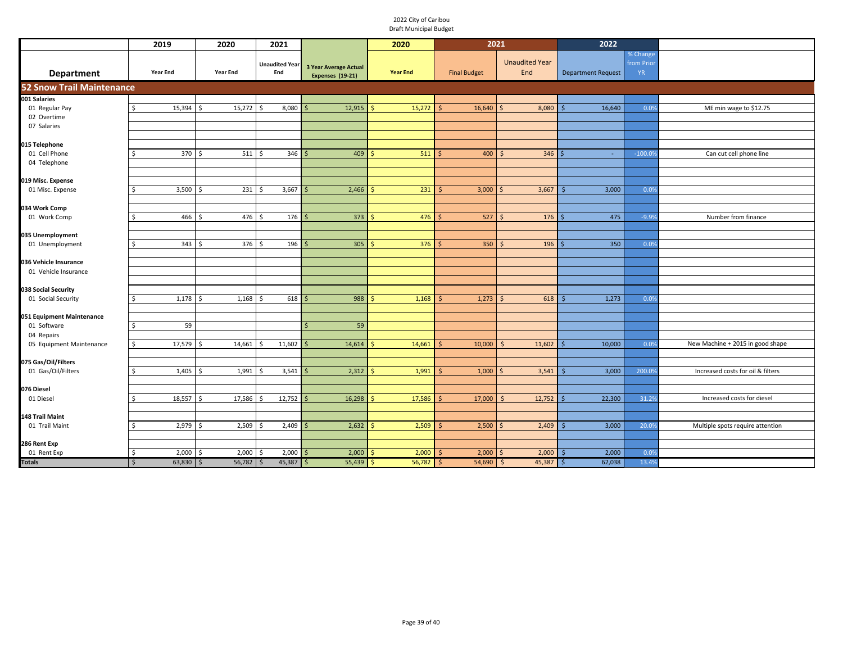|                                       | 2019                        | 2020                      | 2021                         |                                                  | 2020            | 2021                   |                              | 2022                      |                                     |                                   |
|---------------------------------------|-----------------------------|---------------------------|------------------------------|--------------------------------------------------|-----------------|------------------------|------------------------------|---------------------------|-------------------------------------|-----------------------------------|
| <b>Department</b>                     | <b>Year End</b>             | <b>Year End</b>           | <b>Unaudited Year</b><br>End | 3 Year Average Actual<br><b>Expenses (19-21)</b> | <b>Year End</b> | <b>Final Budget</b>    | <b>Unaudited Year</b><br>End | <b>Department Request</b> | % Change<br>from Prior<br><b>YR</b> |                                   |
| <b>52 Snow Trail Maintenance</b>      |                             |                           |                              |                                                  |                 |                        |                              |                           |                                     |                                   |
| 001 Salaries                          |                             |                           |                              |                                                  |                 |                        |                              |                           |                                     |                                   |
| 01 Regular Pay                        | 15,394<br>ς.                | 15,272<br>Ś               | 8,080                        | 12,915                                           | 15,272          | 16,640                 | 8,080                        | 16,640                    | 0.0%                                | ME min wage to \$12.75            |
| 02 Overtime                           |                             |                           |                              |                                                  |                 |                        |                              |                           |                                     |                                   |
| 07 Salaries                           |                             |                           |                              |                                                  |                 |                        |                              |                           |                                     |                                   |
| 15 Telephone                          |                             |                           |                              |                                                  |                 |                        |                              |                           |                                     |                                   |
| 01 Cell Phone                         | 370                         | 511                       | 346                          | 409                                              | 511             | 400                    | 346                          | $\sim$                    | $-100.0$                            | Can cut cell phone line           |
| 04 Telephone                          |                             |                           |                              |                                                  |                 |                        |                              |                           |                                     |                                   |
|                                       |                             |                           |                              |                                                  |                 |                        |                              |                           |                                     |                                   |
| 019 Misc. Expense<br>01 Misc. Expense | 3,500                       | 231                       | 3,667                        | 2,466                                            | 231             | 3,000                  | 3,667                        | 3,000                     | 0.0%                                |                                   |
|                                       |                             |                           |                              |                                                  |                 |                        |                              |                           |                                     |                                   |
| 034 Work Comp                         |                             |                           |                              |                                                  |                 |                        |                              |                           |                                     |                                   |
| 01 Work Comp                          | 466                         | 476                       | 176                          | 373                                              | 476             | 527                    | 176<br>$\breve{\varsigma}$   | 475                       | $-9.99$                             | Number from finance               |
|                                       |                             |                           |                              |                                                  |                 |                        |                              |                           |                                     |                                   |
| 035 Unemployment                      |                             |                           |                              |                                                  |                 |                        |                              |                           |                                     |                                   |
| 01 Unemployment                       | 343<br>$\zeta$              | 376<br>$\mathsf{\hat{S}}$ | 196<br>Ŝ.                    | 305                                              | 376             | 350                    | 196<br>$\varsigma$           | 350                       | 0.0%                                |                                   |
| 036 Vehicle Insurance                 |                             |                           |                              |                                                  |                 |                        |                              |                           |                                     |                                   |
| 01 Vehicle Insurance                  |                             |                           |                              |                                                  |                 |                        |                              |                           |                                     |                                   |
|                                       |                             |                           |                              |                                                  |                 |                        |                              |                           |                                     |                                   |
| 038 Social Security                   |                             |                           |                              |                                                  |                 |                        |                              |                           |                                     |                                   |
| 01 Social Security                    | $1,178$ \$<br>Ŝ             | 1,168                     | 618<br>Ŝ.                    | 988                                              | 1,168           | 1,273                  | 618<br>.S                    | 1,273<br>s                | 0.0%                                |                                   |
| 051 Equipment Maintenance             |                             |                           |                              |                                                  |                 |                        |                              |                           |                                     |                                   |
| 01 Software                           | 59<br>Ŝ.                    |                           |                              | 59                                               |                 |                        |                              |                           |                                     |                                   |
| 04 Repairs                            |                             |                           |                              |                                                  |                 |                        |                              |                           |                                     |                                   |
| 05 Equipment Maintenance              | 17,579<br><sup>\$</sup>     | 14,661                    | 11,602                       | 14,614                                           | 14,661          | 10,000                 | 11,602                       | 10,000                    | 0.09                                | New Machine + 2015 in good shape  |
| 075 Gas/Oil/Filters                   |                             |                           |                              |                                                  |                 |                        |                              |                           |                                     |                                   |
| 01 Gas/Oil/Filters                    | 1,405<br>ς.                 | 1,991<br>ς                | 3,541<br>S.                  | 2,312                                            | 1,991<br>Ŝ      | 1,000<br>ς             | 3,541<br>$\zeta$             | 3,000                     | 200.09                              | Increased costs for oil & filters |
|                                       |                             |                           |                              |                                                  |                 |                        |                              |                           |                                     |                                   |
| 076 Diesel                            |                             |                           |                              |                                                  |                 |                        |                              |                           |                                     |                                   |
| 01 Diesel                             | 18,557                      | 17,586<br>ς               | 12,752                       | 16,298<br>-S                                     | 17,586          | 17,000                 | 12,752<br>-S                 | 22,300<br>ς               | 31.2%                               | Increased costs for diesel        |
| 148 Trail Maint                       |                             |                           |                              |                                                  |                 |                        |                              |                           |                                     |                                   |
| 01 Trail Maint                        | 2,979                       | 2,509                     | 2,409                        | 2,632                                            | 2,509           | 2,500                  | 2,409                        | 3,000                     | 20.09                               | Multiple spots require attention  |
|                                       |                             |                           |                              |                                                  |                 |                        |                              |                           |                                     |                                   |
| 286 Rent Exp                          |                             |                           |                              |                                                  |                 |                        |                              |                           |                                     |                                   |
| 01 Rent Exp                           | \$<br>$2,000$ \$            | 2,000                     | 2,000<br>-\$                 | 2,000<br>l S                                     | 2,000<br>S.     | 2,000<br>-S            | 2,000<br>$\varsigma$         | 2,000<br>-S               | 0.0%                                |                                   |
| Totals                                | $\mathsf{S}$<br>$63,830$ \$ | 56,782                    | 45,387<br>Ŝ.                 | 55,439<br>\$                                     | 56,782<br>Ŝ.    | 54,690<br><sub>S</sub> | 45,387<br>$\mathsf{\hat{S}}$ | 62,038<br>\$              | 13.4%                               |                                   |